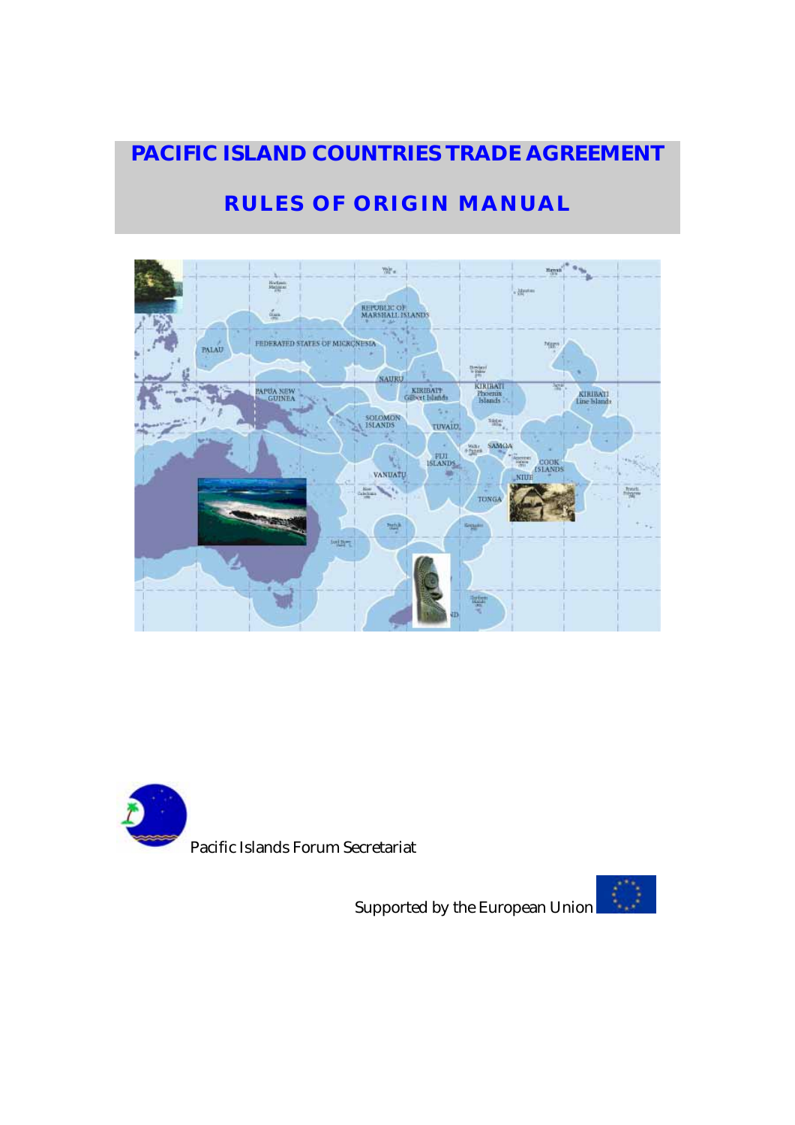# **PACIFIC ISLAND COUNTRIES TRADE AGREEMENT**

# **RULES OF ORIGIN MANUAL**





Pacific Islands Forum Secretariat

Supported by the European Union

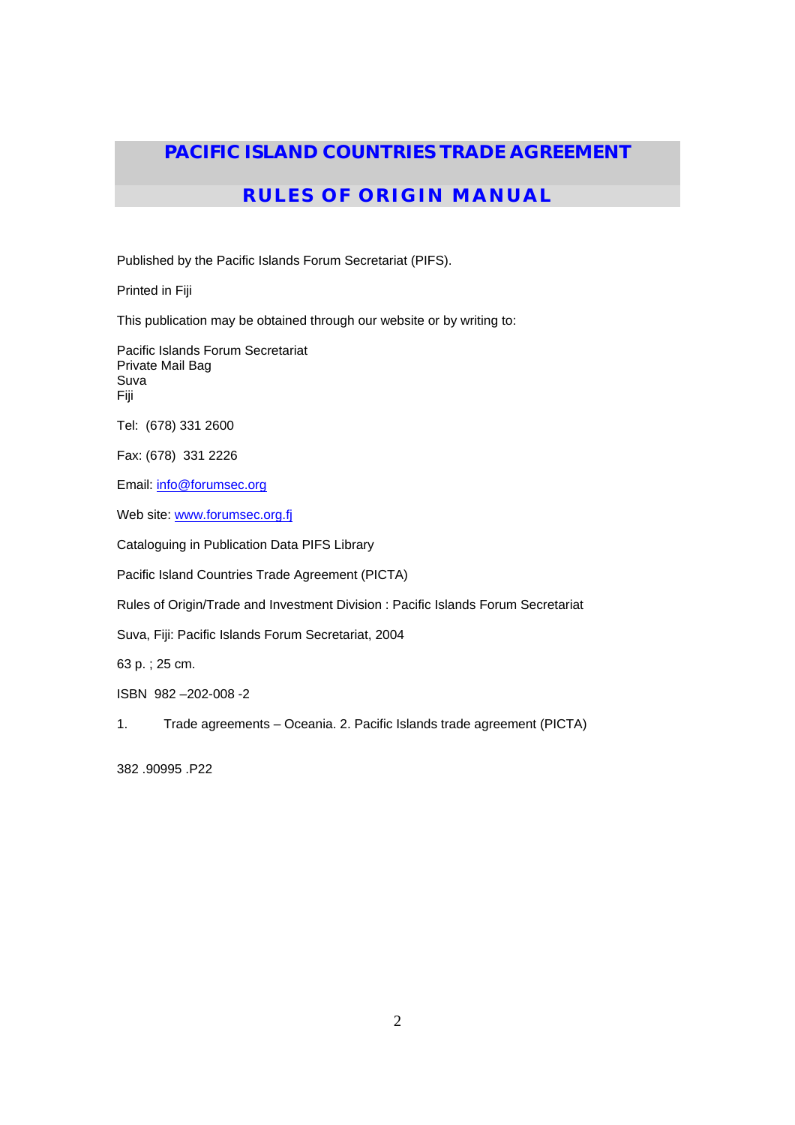## **PACIFIC ISLAND COUNTRIES TRADE AGREEMENT**

## **RULES OF ORIGIN MANUAL**

Published by the Pacific Islands Forum Secretariat (PIFS).

Printed in Fiji

This publication may be obtained through our website or by writing to:

Pacific Islands Forum Secretariat Private Mail Bag Suva Fiji

Tel: (678) 331 2600

Fax: (678) 331 2226

Email: info@forumsec.org

Web site: www.forumsec.org.fj

Cataloguing in Publication Data PIFS Library

Pacific Island Countries Trade Agreement (PICTA)

Rules of Origin/Trade and Investment Division : Pacific Islands Forum Secretariat

Suva, Fiji: Pacific Islands Forum Secretariat, 2004

63 p. ; 25 cm.

ISBN 982 –202-008 -2

1. Trade agreements – Oceania. 2. Pacific Islands trade agreement (PICTA)

382 .90995 .P22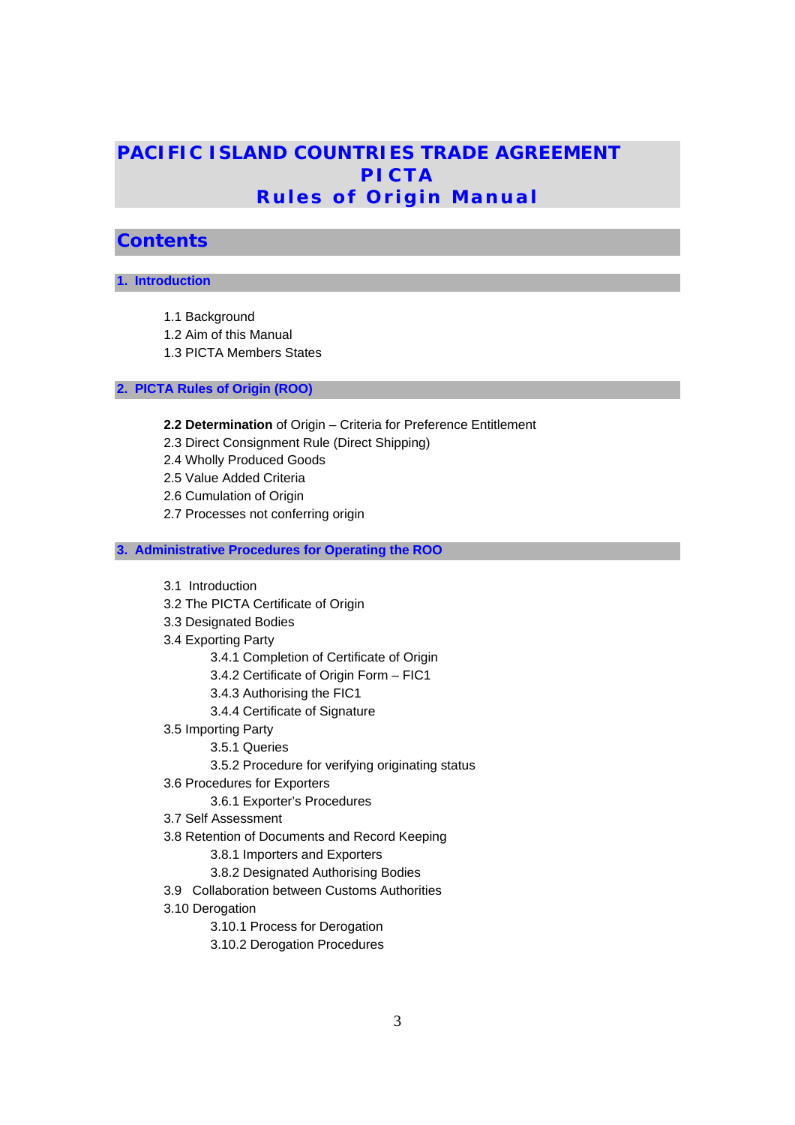## **PACIFIC ISLAND COUNTRIES TRADE AGREEMENT PICTA Rules of Origin Manual**

## **Contents**

### **1. Introduction**

- 1.1 Background
- 1.2 Aim of this Manual
- 1.3 PICTA Members States

## **2. PICTA Rules of Origin (ROO)**

- **2.2 Determination** of Origin Criteria for Preference Entitlement
- 2.3 Direct Consignment Rule (Direct Shipping)
- 2.4 Wholly Produced Goods
- 2.5 Value Added Criteria
- 2.6 Cumulation of Origin
- 2.7 Processes not conferring origin

### **3. Administrative Procedures for Operating the ROO**

- 3.1 Introduction
- 3.2 The PICTA Certificate of Origin
- 3.3 Designated Bodies
- 3.4 Exporting Party
	- 3.4.1 Completion of Certificate of Origin
	- 3.4.2 Certificate of Origin Form FIC1
	- 3.4.3 Authorising the FIC1
	- 3.4.4 Certificate of Signature
- 3.5 Importing Party
	- 3.5.1 Queries
	- 3.5.2 Procedure for verifying originating status
- 3.6 Procedures for Exporters
	- 3.6.1 Exporter's Procedures
- 3.7 Self Assessment
- 3.8 Retention of Documents and Record Keeping
	- 3.8.1 Importers and Exporters
	- 3.8.2 Designated Authorising Bodies
- 3.9 Collaboration between Customs Authorities
- 3.10 Derogation
	- 3.10.1 Process for Derogation
	- 3.10.2 Derogation Procedures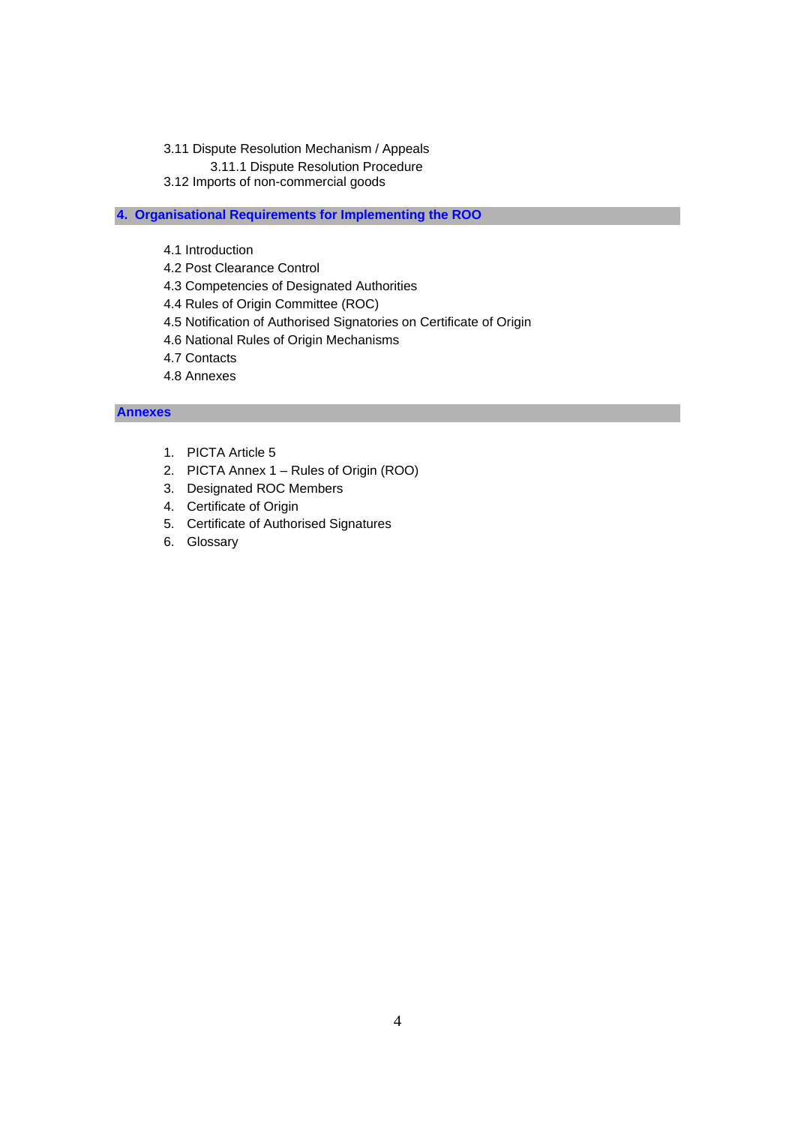- 3.11 Dispute Resolution Mechanism / Appeals
	- 3.11.1 Dispute Resolution Procedure
- 3.12 Imports of non-commercial goods

### **4. Organisational Requirements for Implementing the ROO**

- 4.1 Introduction
- 4.2 Post Clearance Control
- 4.3 Competencies of Designated Authorities
- 4.4 Rules of Origin Committee (ROC)
- 4.5 Notification of Authorised Signatories on Certificate of Origin
- 4.6 National Rules of Origin Mechanisms
- 4.7 Contacts
- 4.8 Annexes

### **Annexes**

- 1. PICTA Article 5
- 2. PICTA Annex 1 Rules of Origin (ROO)
- 3. Designated ROC Members
- 4. Certificate of Origin
- 5. Certificate of Authorised Signatures
- 6. Glossary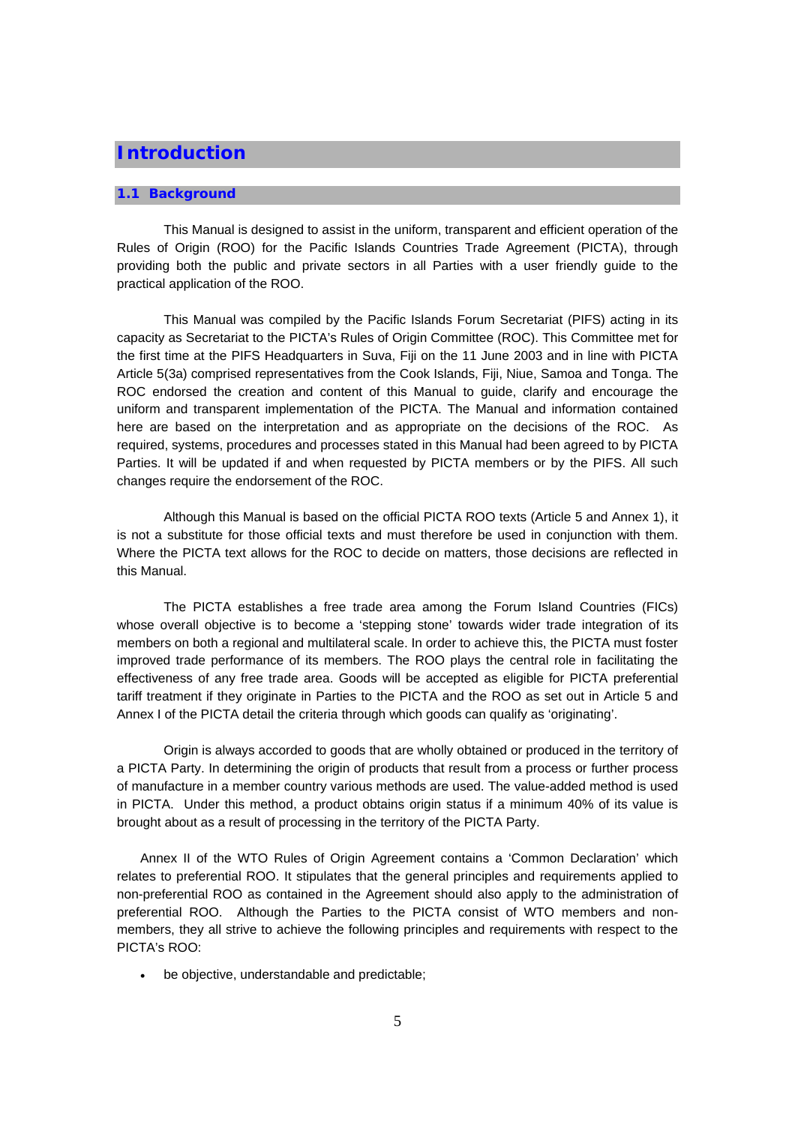## **Introduction**

#### **1.1 Background**

This Manual is designed to assist in the uniform, transparent and efficient operation of the Rules of Origin (ROO) for the Pacific Islands Countries Trade Agreement (PICTA), through providing both the public and private sectors in all Parties with a user friendly guide to the practical application of the ROO.

This Manual was compiled by the Pacific Islands Forum Secretariat (PIFS) acting in its capacity as Secretariat to the PICTA's Rules of Origin Committee (ROC). This Committee met for the first time at the PIFS Headquarters in Suva, Fiji on the 11 June 2003 and in line with PICTA Article 5(3a) comprised representatives from the Cook Islands, Fiji, Niue, Samoa and Tonga. The ROC endorsed the creation and content of this Manual to guide, clarify and encourage the uniform and transparent implementation of the PICTA. The Manual and information contained here are based on the interpretation and as appropriate on the decisions of the ROC. As required, systems, procedures and processes stated in this Manual had been agreed to by PICTA Parties. It will be updated if and when requested by PICTA members or by the PIFS. All such changes require the endorsement of the ROC.

Although this Manual is based on the official PICTA ROO texts (Article 5 and Annex 1), it is not a substitute for those official texts and must therefore be used in conjunction with them. Where the PICTA text allows for the ROC to decide on matters, those decisions are reflected in this Manual.

The PICTA establishes a free trade area among the Forum Island Countries (FICs) whose overall objective is to become a 'stepping stone' towards wider trade integration of its members on both a regional and multilateral scale. In order to achieve this, the PICTA must foster improved trade performance of its members. The ROO plays the central role in facilitating the effectiveness of any free trade area. Goods will be accepted as eligible for PICTA preferential tariff treatment if they originate in Parties to the PICTA and the ROO as set out in Article 5 and Annex I of the PICTA detail the criteria through which goods can qualify as 'originating'.

Origin is always accorded to goods that are wholly obtained or produced in the territory of a PICTA Party. In determining the origin of products that result from a process or further process of manufacture in a member country various methods are used. The value-added method is used in PICTA. Under this method, a product obtains origin status if a minimum 40% of its value is brought about as a result of processing in the territory of the PICTA Party.

Annex II of the WTO Rules of Origin Agreement contains a 'Common Declaration' which relates to preferential ROO. It stipulates that the general principles and requirements applied to non-preferential ROO as contained in the Agreement should also apply to the administration of preferential ROO. Although the Parties to the PICTA consist of WTO members and nonmembers, they all strive to achieve the following principles and requirements with respect to the PICTA's ROO:

• be objective, understandable and predictable;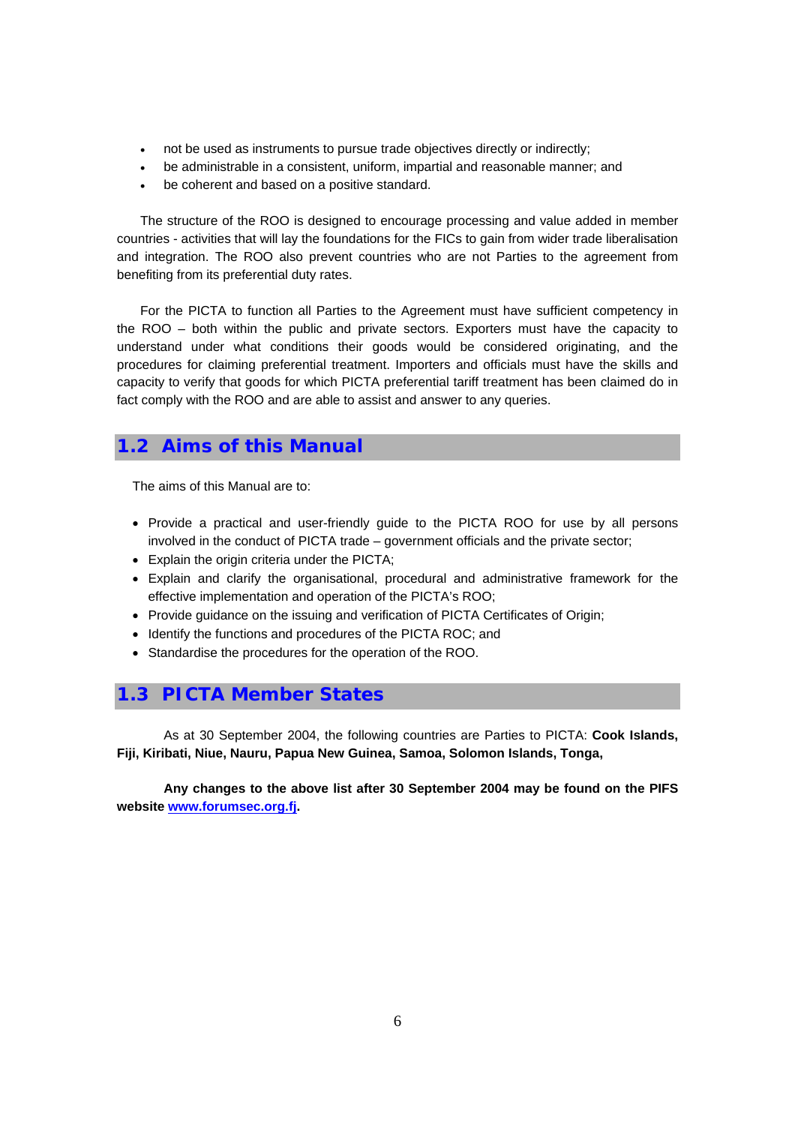- not be used as instruments to pursue trade objectives directly or indirectly;
- be administrable in a consistent, uniform, impartial and reasonable manner; and
- be coherent and based on a positive standard.

The structure of the ROO is designed to encourage processing and value added in member countries - activities that will lay the foundations for the FICs to gain from wider trade liberalisation and integration. The ROO also prevent countries who are not Parties to the agreement from benefiting from its preferential duty rates.

For the PICTA to function all Parties to the Agreement must have sufficient competency in the ROO – both within the public and private sectors. Exporters must have the capacity to understand under what conditions their goods would be considered originating, and the procedures for claiming preferential treatment. Importers and officials must have the skills and capacity to verify that goods for which PICTA preferential tariff treatment has been claimed do in fact comply with the ROO and are able to assist and answer to any queries.

## **1.2 Aims of this Manual**

The aims of this Manual are to:

- Provide a practical and user-friendly guide to the PICTA ROO for use by all persons involved in the conduct of PICTA trade – government officials and the private sector;
- Explain the origin criteria under the PICTA;
- Explain and clarify the organisational, procedural and administrative framework for the effective implementation and operation of the PICTA's ROO;
- Provide guidance on the issuing and verification of PICTA Certificates of Origin;
- Identify the functions and procedures of the PICTA ROC; and
- Standardise the procedures for the operation of the ROO.

## **1.3 PICTA Member States**

As at 30 September 2004, the following countries are Parties to PICTA: **Cook Islands, Fiji, Kiribati, Niue, Nauru, Papua New Guinea, Samoa, Solomon Islands, Tonga,** 

**Any changes to the above list after 30 September 2004 may be found on the PIFS website www.forumsec.org.fj.**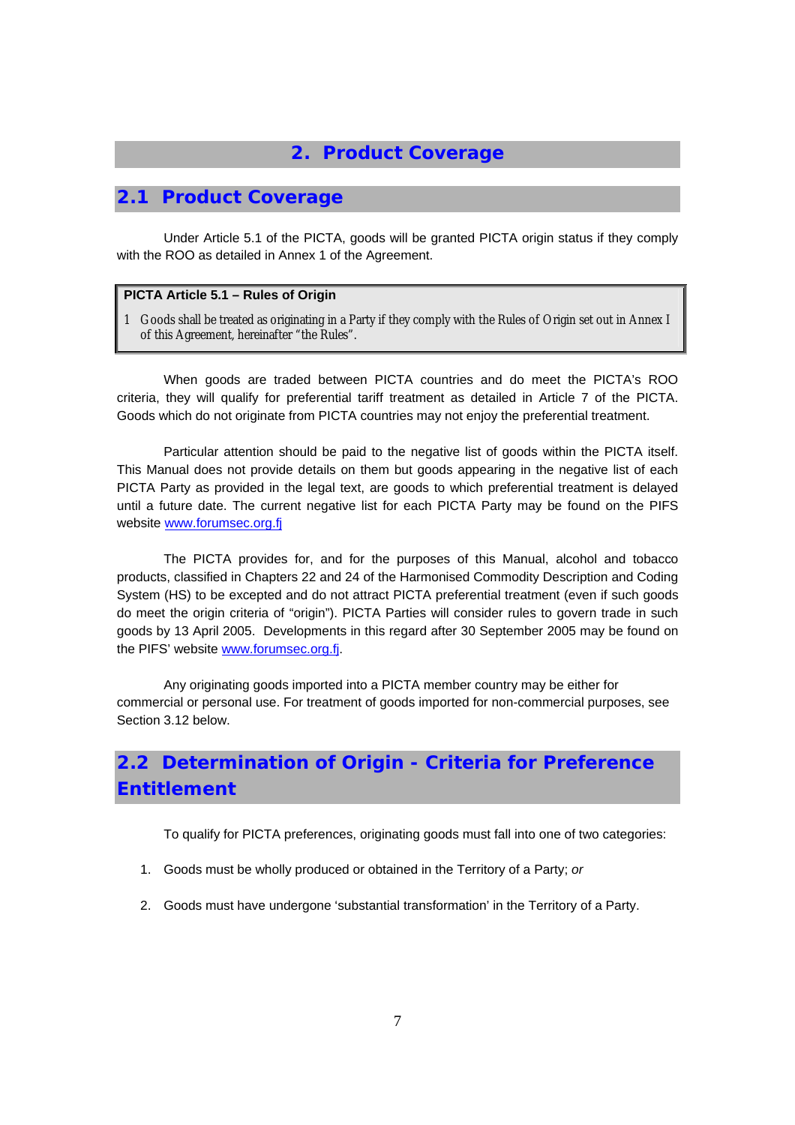## **2. Product Coverage**

## **2.1 Product Coverage**

Under Article 5.1 of the PICTA, goods will be granted PICTA origin status if they comply with the ROO as detailed in Annex 1 of the Agreement.

#### **PICTA Article 5.1 – Rules of Origin**

1 Goods shall be treated as originating in a Party if they comply with the Rules of Origin set out in Annex I of this Agreement, hereinafter "the Rules".

When goods are traded between PICTA countries and do meet the PICTA's ROO criteria, they will qualify for preferential tariff treatment as detailed in Article 7 of the PICTA. Goods which do not originate from PICTA countries may not enjoy the preferential treatment.

Particular attention should be paid to the negative list of goods within the PICTA itself. This Manual does not provide details on them but goods appearing in the negative list of each PICTA Party as provided in the legal text, are goods to which preferential treatment is delayed until a future date. The current negative list for each PICTA Party may be found on the PIFS website www.forumsec.org.fj

The PICTA provides for, and for the purposes of this Manual, alcohol and tobacco products, classified in Chapters 22 and 24 of the Harmonised Commodity Description and Coding System (HS) to be excepted and do not attract PICTA preferential treatment (even if such goods do meet the origin criteria of "origin"). PICTA Parties will consider rules to govern trade in such goods by 13 April 2005. Developments in this regard after 30 September 2005 may be found on the PIFS' website www.forumsec.org.fj.

Any originating goods imported into a PICTA member country may be either for commercial or personal use. For treatment of goods imported for non-commercial purposes, see Section 3.12 below.

# **2.2 Determination of Origin - Criteria for Preference Entitlement**

To qualify for PICTA preferences, originating goods must fall into one of two categories:

- 1. Goods must be wholly produced or obtained in the Territory of a Party; *or*
- 2. Goods must have undergone 'substantial transformation' in the Territory of a Party.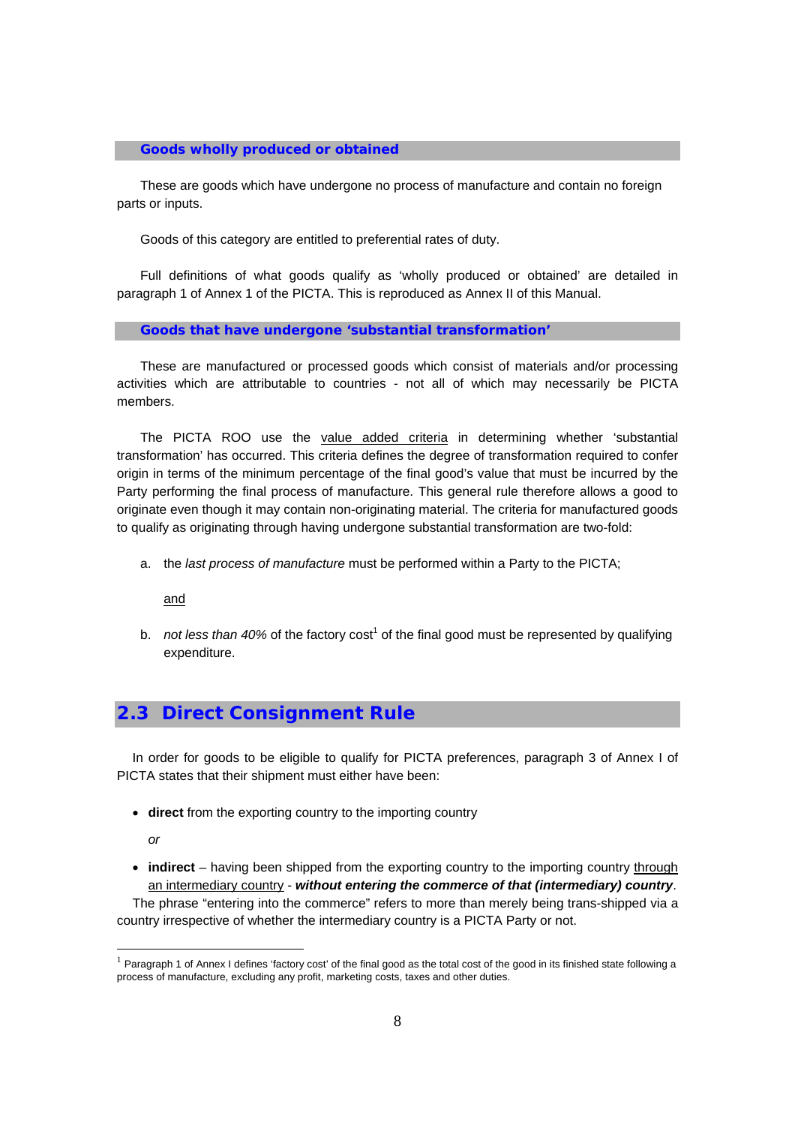#### **Goods wholly produced or obtained**

These are goods which have undergone no process of manufacture and contain no foreign parts or inputs.

Goods of this category are entitled to preferential rates of duty.

Full definitions of what goods qualify as 'wholly produced or obtained' are detailed in paragraph 1 of Annex 1 of the PICTA. This is reproduced as Annex II of this Manual.

#### **Goods that have undergone 'substantial transformation'**

These are manufactured or processed goods which consist of materials and/or processing activities which are attributable to countries - not all of which may necessarily be PICTA members.

The PICTA ROO use the value added criteria in determining whether 'substantial transformation' has occurred. This criteria defines the degree of transformation required to confer origin in terms of the minimum percentage of the final good's value that must be incurred by the Party performing the final process of manufacture. This general rule therefore allows a good to originate even though it may contain non-originating material. The criteria for manufactured goods to qualify as originating through having undergone substantial transformation are two-fold:

a. the *last process of manufacture* must be performed within a Party to the PICTA;

and

b. *not less than 40%* of the factory cost<sup>1</sup> of the final good must be represented by qualifying expenditure.

## **2.3 Direct Consignment Rule**

In order for goods to be eligible to qualify for PICTA preferences, paragraph 3 of Annex I of PICTA states that their shipment must either have been:

• **direct** from the exporting country to the importing country

*or* 

• **indirect** – having been shipped from the exporting country to the importing country through an intermediary country - *without entering the commerce of that (intermediary) country*.

The phrase "entering into the commerce" refers to more than merely being trans-shipped via a country irrespective of whether the intermediary country is a PICTA Party or not.

 $<sup>1</sup>$  Paragraph 1 of Annex I defines 'factory cost' of the final good as the total cost of the good in its finished state following a</sup> process of manufacture, excluding any profit, marketing costs, taxes and other duties.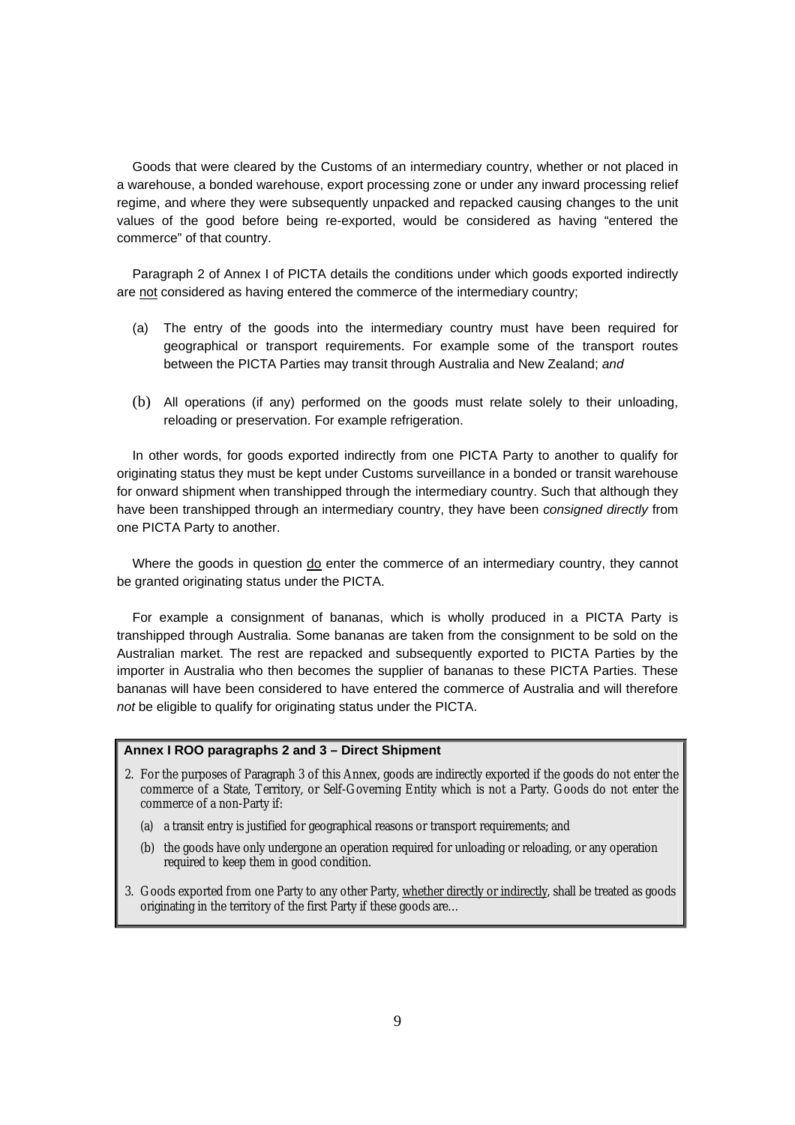Goods that were cleared by the Customs of an intermediary country, whether or not placed in a warehouse, a bonded warehouse, export processing zone or under any inward processing relief regime, and where they were subsequently unpacked and repacked causing changes to the unit values of the good before being re-exported, would be considered as having "entered the commerce" of that country.

Paragraph 2 of Annex I of PICTA details the conditions under which goods exported indirectly are not considered as having entered the commerce of the intermediary country;

- (a) The entry of the goods into the intermediary country must have been required for geographical or transport requirements. For example some of the transport routes between the PICTA Parties may transit through Australia and New Zealand; *and*
- (b) All operations (if any) performed on the goods must relate solely to their unloading, reloading or preservation. For example refrigeration.

In other words, for goods exported indirectly from one PICTA Party to another to qualify for originating status they must be kept under Customs surveillance in a bonded or transit warehouse for onward shipment when transhipped through the intermediary country. Such that although they have been transhipped through an intermediary country, they have been *consigned directly* from one PICTA Party to another.

Where the goods in question do enter the commerce of an intermediary country, they cannot be granted originating status under the PICTA.

For example a consignment of bananas, which is wholly produced in a PICTA Party is transhipped through Australia. Some bananas are taken from the consignment to be sold on the Australian market. The rest are repacked and subsequently exported to PICTA Parties by the importer in Australia who then becomes the supplier of bananas to these PICTA Parties. These bananas will have been considered to have entered the commerce of Australia and will therefore *not* be eligible to qualify for originating status under the PICTA.

#### **Annex I ROO paragraphs 2 and 3 – Direct Shipment**

- 2. For the purposes of Paragraph 3 of this Annex, goods are indirectly exported if the goods do not enter the commerce of a State, Territory, or Self-Governing Entity which is not a Party. Goods do not enter the commerce of a non-Party if:
	- (a) a transit entry is justified for geographical reasons or transport requirements; and
	- (b) the goods have only undergone an operation required for unloading or reloading, or any operation required to keep them in good condition.
- 3. Goods exported from one Party to any other Party, whether directly or indirectly, shall be treated as goods originating in the territory of the first Party if these goods are…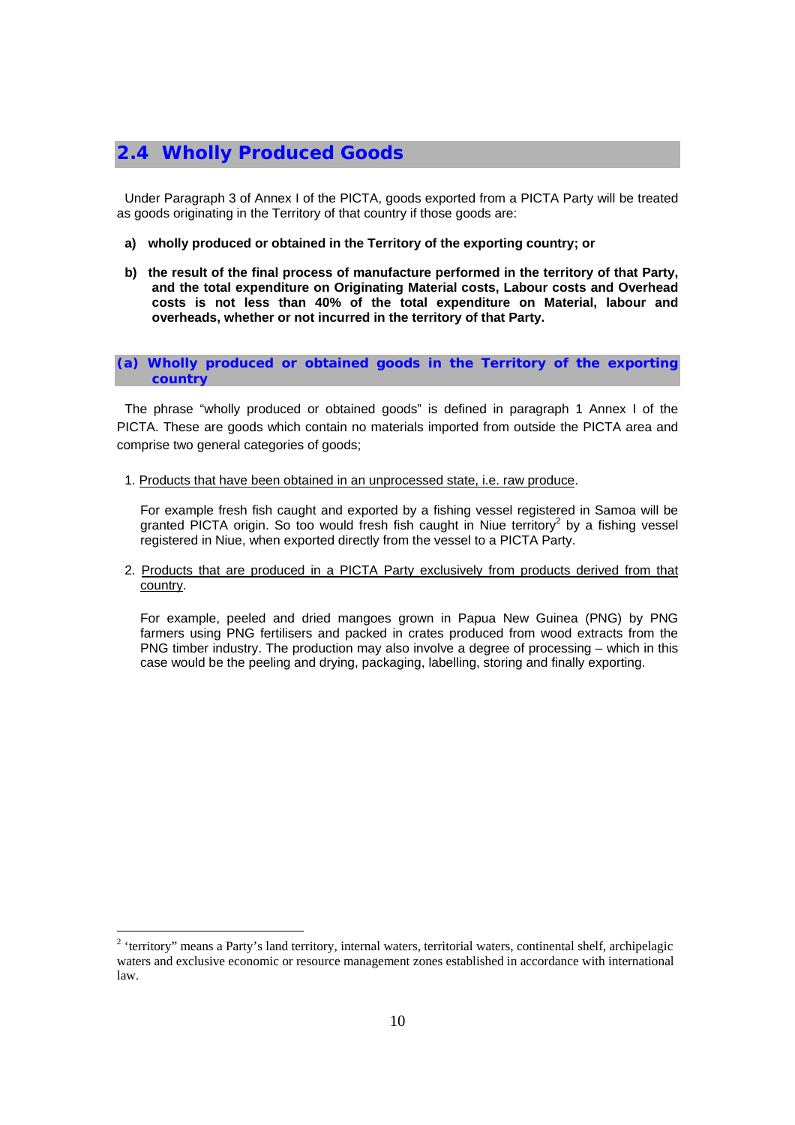## **2.4 Wholly Produced Goods**

Under Paragraph 3 of Annex I of the PICTA, goods exported from a PICTA Party will be treated as goods originating in the Territory of that country if those goods are:

- **a) wholly produced or obtained in the Territory of the exporting country; or**
- **b) the result of the final process of manufacture performed in the territory of that Party, and the total expenditure on Originating Material costs, Labour costs and Overhead costs is not less than 40% of the total expenditure on Material, labour and overheads, whether or not incurred in the territory of that Party.**

**(a) Wholly produced or obtained goods in the Territory of the exporting country** 

The phrase "wholly produced or obtained goods" is defined in paragraph 1 Annex I of the PICTA. These are goods which contain no materials imported from outside the PICTA area and comprise two general categories of goods;

1. Products that have been obtained in an unprocessed state, i.e. raw produce.

For example fresh fish caught and exported by a fishing vessel registered in Samoa will be granted PICTA origin. So too would fresh fish caught in Niue territory<sup>2</sup> by a fishing vessel registered in Niue, when exported directly from the vessel to a PICTA Party.

2. Products that are produced in a PICTA Party exclusively from products derived from that country.

For example, peeled and dried mangoes grown in Papua New Guinea (PNG) by PNG farmers using PNG fertilisers and packed in crates produced from wood extracts from the PNG timber industry. The production may also involve a degree of processing – which in this case would be the peeling and drying, packaging, labelling, storing and finally exporting.

<sup>&</sup>lt;sup>2</sup> 'territory" means a Party's land territory, internal waters, territorial waters, continental shelf, archipelagic waters and exclusive economic or resource management zones established in accordance with international law.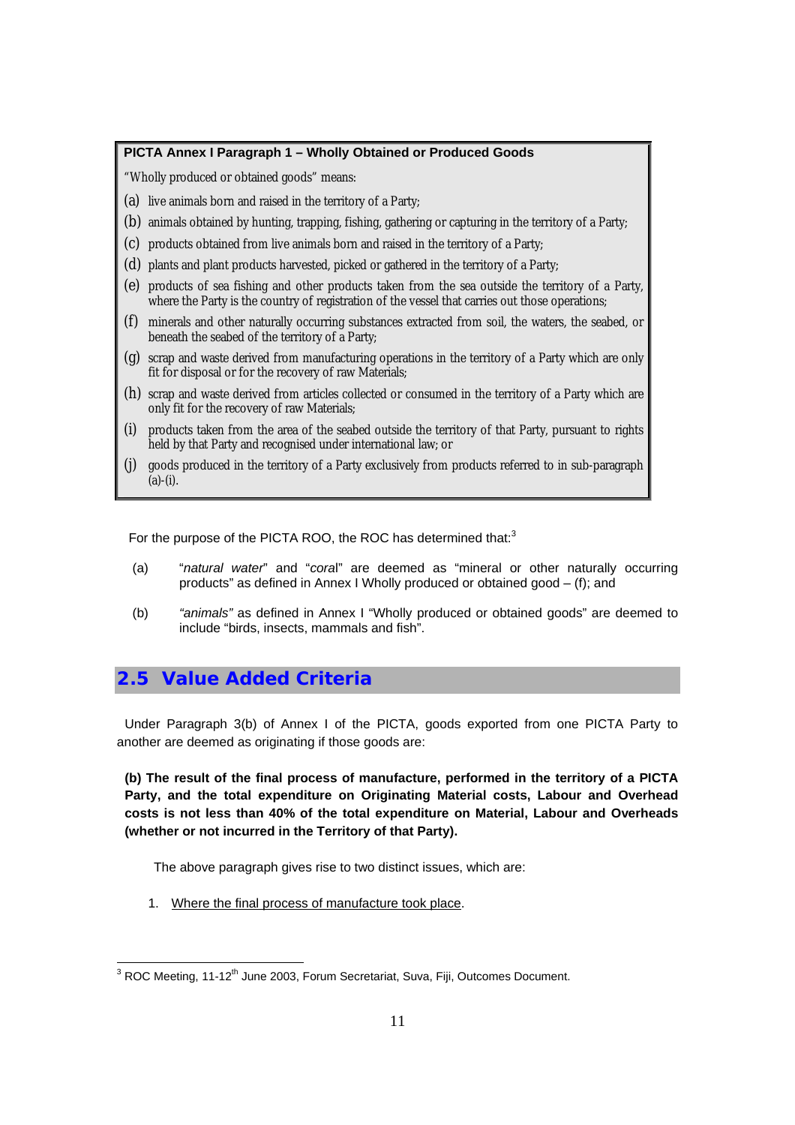### **PICTA Annex I Paragraph 1 – Wholly Obtained or Produced Goods**

"Wholly produced or obtained goods" means:

- (a) live animals born and raised in the territory of a Party;
- (b) animals obtained by hunting, trapping, fishing, gathering or capturing in the territory of a Party;
- (c) products obtained from live animals born and raised in the territory of a Party;
- (d) plants and plant products harvested, picked or gathered in the territory of a Party;
- (e) products of sea fishing and other products taken from the sea outside the territory of a Party, where the Party is the country of registration of the vessel that carries out those operations;
- (f) minerals and other naturally occurring substances extracted from soil, the waters, the seabed, or beneath the seabed of the territory of a Party;
- (g) scrap and waste derived from manufacturing operations in the territory of a Party which are only fit for disposal or for the recovery of raw Materials;
- (h) scrap and waste derived from articles collected or consumed in the territory of a Party which are only fit for the recovery of raw Materials;
- (i) products taken from the area of the seabed outside the territory of that Party, pursuant to rights held by that Party and recognised under international law; or
- (j) goods produced in the territory of a Party exclusively from products referred to in sub-paragraph  $(a)-(i)$ .

For the purpose of the PICTA ROO, the ROC has determined that:<sup>3</sup>

- (a) "*natural water*" and "*cora*l" are deemed as "mineral or other naturally occurring products" as defined in Annex I Wholly produced or obtained good – (f); and
- (b) *"animals"* as defined in Annex I "Wholly produced or obtained goods" are deemed to include "birds, insects, mammals and fish".

## **2.5 Value Added Criteria**

Under Paragraph 3(b) of Annex I of the PICTA, goods exported from one PICTA Party to another are deemed as originating if those goods are:

**(b) The result of the final process of manufacture, performed in the territory of a PICTA Party, and the total expenditure on Originating Material costs, Labour and Overhead costs is not less than 40% of the total expenditure on Material, Labour and Overheads (whether or not incurred in the Territory of that Party).** 

The above paragraph gives rise to two distinct issues, which are:

1. Where the final process of manufacture took place.

and Corport Corport Corport Corport Corport Corport Corport 3<br><sup>3</sup> ROC Meeting, 11-12<sup>th</sup> June 2003, Forum Secretariat, Suva, Fiji, Outcomes Document.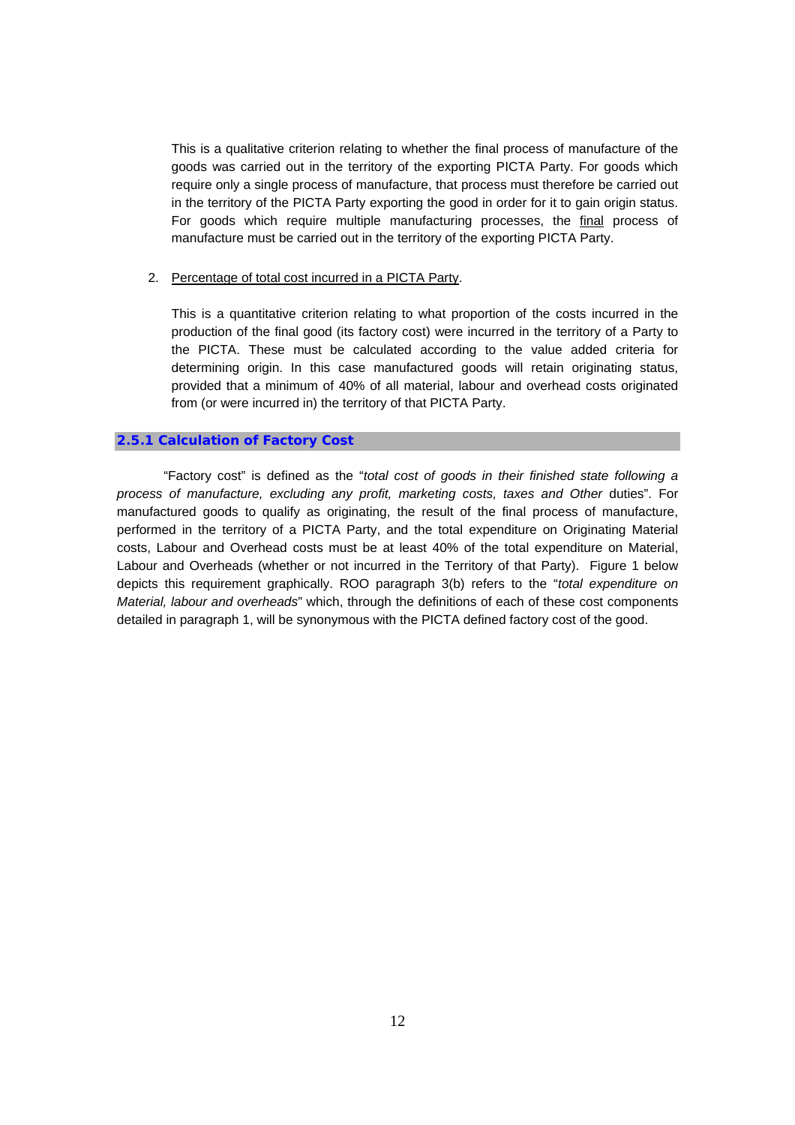This is a qualitative criterion relating to whether the final process of manufacture of the goods was carried out in the territory of the exporting PICTA Party. For goods which require only a single process of manufacture, that process must therefore be carried out in the territory of the PICTA Party exporting the good in order for it to gain origin status. For goods which require multiple manufacturing processes, the final process of manufacture must be carried out in the territory of the exporting PICTA Party.

#### 2. Percentage of total cost incurred in a PICTA Party.

This is a quantitative criterion relating to what proportion of the costs incurred in the production of the final good (its factory cost) were incurred in the territory of a Party to the PICTA. These must be calculated according to the value added criteria for determining origin. In this case manufactured goods will retain originating status, provided that a minimum of 40% of all material, labour and overhead costs originated from (or were incurred in) the territory of that PICTA Party.

#### **2.5.1 Calculation of Factory Cost**

"Factory cost" is defined as the "*total cost of goods in their finished state following a process of manufacture, excluding any profit, marketing costs, taxes and Other duties*". For manufactured goods to qualify as originating, the result of the final process of manufacture, performed in the territory of a PICTA Party, and the total expenditure on Originating Material costs, Labour and Overhead costs must be at least 40% of the total expenditure on Material, Labour and Overheads (whether or not incurred in the Territory of that Party). Figure 1 below depicts this requirement graphically. ROO paragraph 3(b) refers to the "*total expenditure on Material, labour and overheads*" which, through the definitions of each of these cost components detailed in paragraph 1, will be synonymous with the PICTA defined factory cost of the good.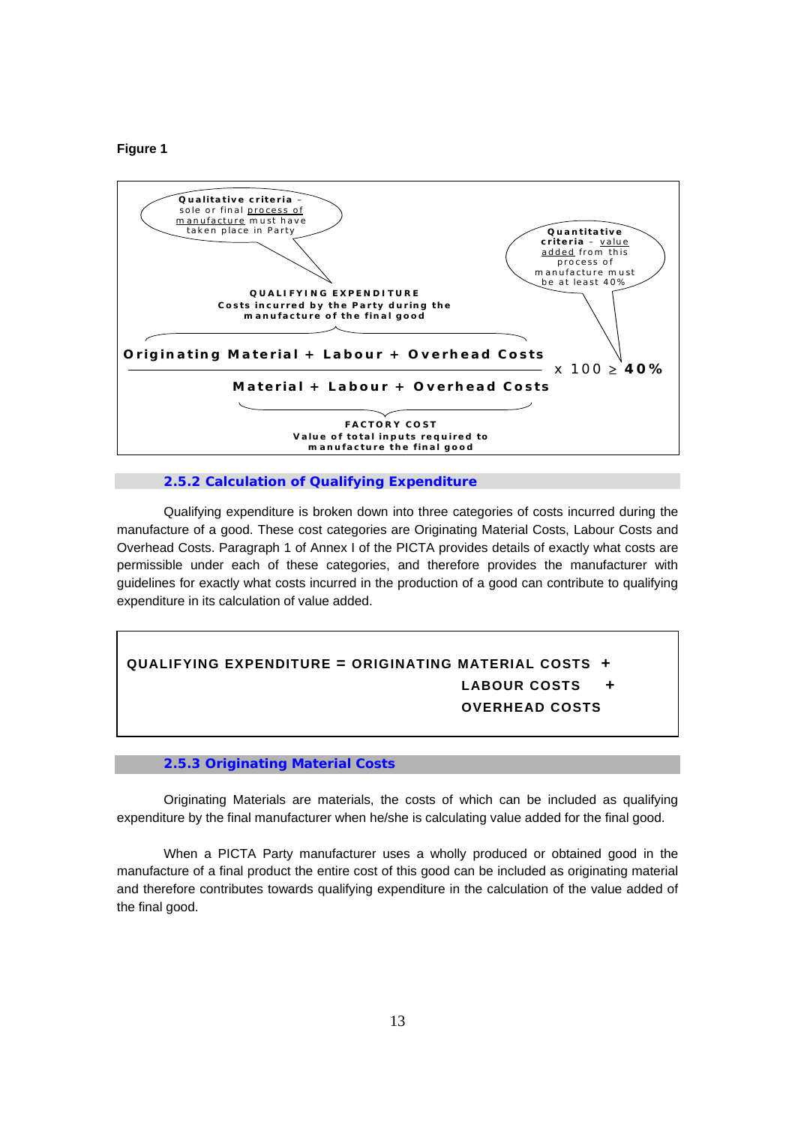#### **Figure 1**



#### **2.5.2 Calculation of Qualifying Expenditure**

Qualifying expenditure is broken down into three categories of costs incurred during the manufacture of a good. These cost categories are Originating Material Costs, Labour Costs and Overhead Costs. Paragraph 1 of Annex I of the PICTA provides details of exactly what costs are permissible under each of these categories, and therefore provides the manufacturer with guidelines for exactly what costs incurred in the production of a good can contribute to qualifying expenditure in its calculation of value added.

## **QUALIFYING EXPENDITURE = ORIGINATING MATERIAL COSTS + LABOUR COSTS + OVERHEAD COSTS +**

#### **2.5.3 Originating Material Costs**

Originating Materials are materials, the costs of which can be included as qualifying expenditure by the final manufacturer when he/she is calculating value added for the final good.

When a PICTA Party manufacturer uses a wholly produced or obtained good in the manufacture of a final product the entire cost of this good can be included as originating material and therefore contributes towards qualifying expenditure in the calculation of the value added of the final good.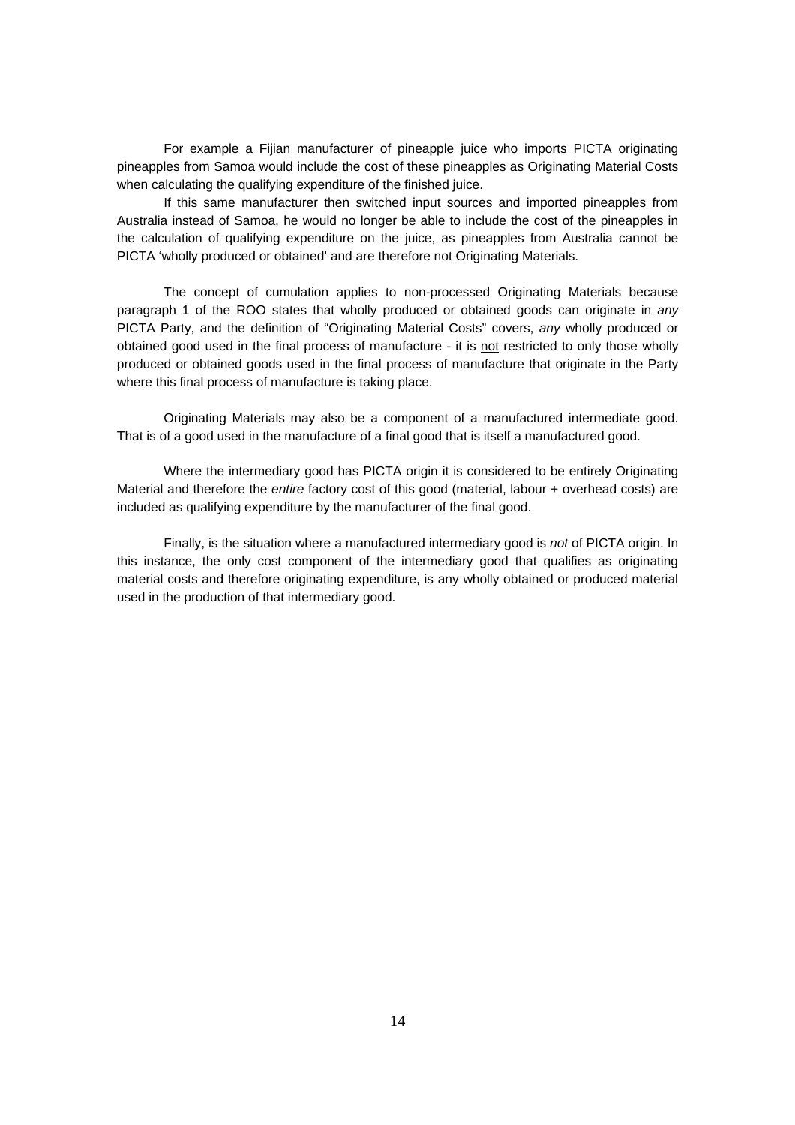For example a Fijian manufacturer of pineapple juice who imports PICTA originating pineapples from Samoa would include the cost of these pineapples as Originating Material Costs when calculating the qualifying expenditure of the finished juice.

If this same manufacturer then switched input sources and imported pineapples from Australia instead of Samoa, he would no longer be able to include the cost of the pineapples in the calculation of qualifying expenditure on the juice, as pineapples from Australia cannot be PICTA 'wholly produced or obtained' and are therefore not Originating Materials.

The concept of cumulation applies to non-processed Originating Materials because paragraph 1 of the ROO states that wholly produced or obtained goods can originate in *any* PICTA Party, and the definition of "Originating Material Costs" covers, *any* wholly produced or obtained good used in the final process of manufacture - it is not restricted to only those wholly produced or obtained goods used in the final process of manufacture that originate in the Party where this final process of manufacture is taking place.

Originating Materials may also be a component of a manufactured intermediate good. That is of a good used in the manufacture of a final good that is itself a manufactured good.

Where the intermediary good has PICTA origin it is considered to be entirely Originating Material and therefore the *entire* factory cost of this good (material, labour + overhead costs) are included as qualifying expenditure by the manufacturer of the final good.

Finally, is the situation where a manufactured intermediary good is *not* of PICTA origin. In this instance, the only cost component of the intermediary good that qualifies as originating material costs and therefore originating expenditure, is any wholly obtained or produced material used in the production of that intermediary good.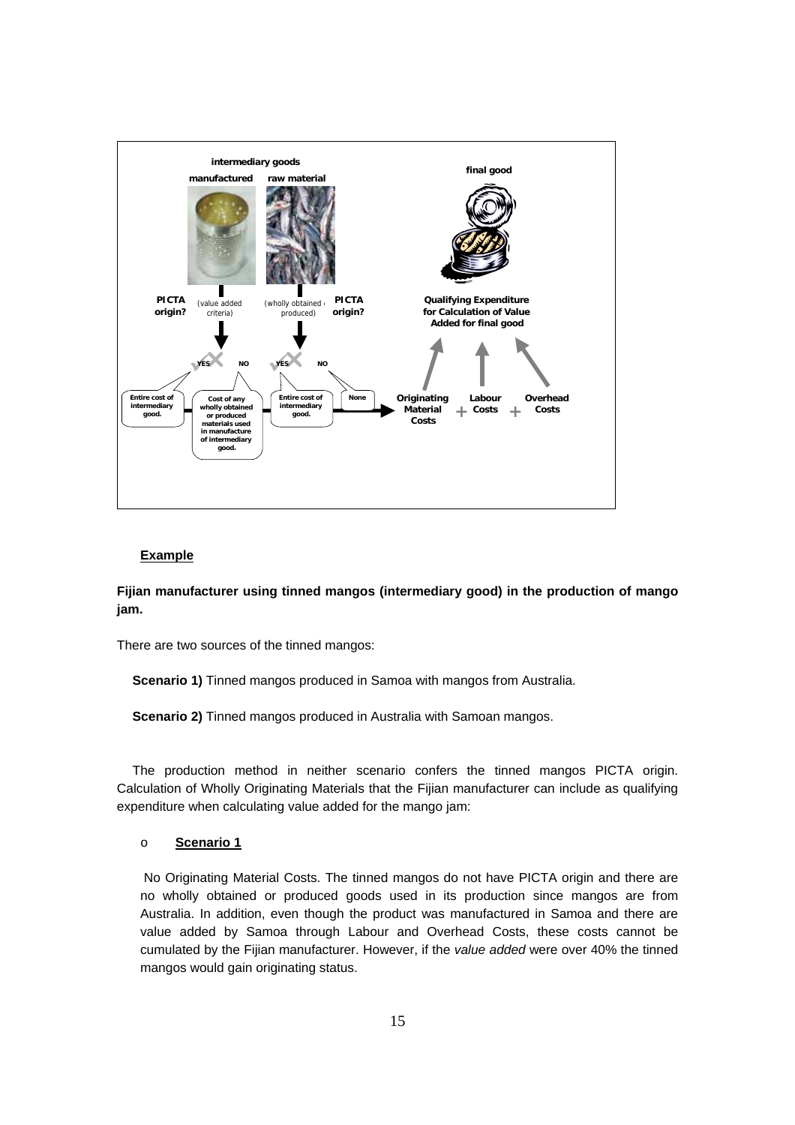

### **Example**

**Fijian manufacturer using tinned mangos (intermediary good) in the production of mango jam.** 

There are two sources of the tinned mangos:

**Scenario 1)** Tinned mangos produced in Samoa with mangos from Australia.

**Scenario 2)** Tinned mangos produced in Australia with Samoan mangos.

The production method in neither scenario confers the tinned mangos PICTA origin. Calculation of Wholly Originating Materials that the Fijian manufacturer can include as qualifying expenditure when calculating value added for the mango jam:

#### o **Scenario 1**

 No Originating Material Costs. The tinned mangos do not have PICTA origin and there are no wholly obtained or produced goods used in its production since mangos are from Australia. In addition, even though the product was manufactured in Samoa and there are value added by Samoa through Labour and Overhead Costs, these costs cannot be cumulated by the Fijian manufacturer. However, if the *value added* were over 40% the tinned mangos would gain originating status.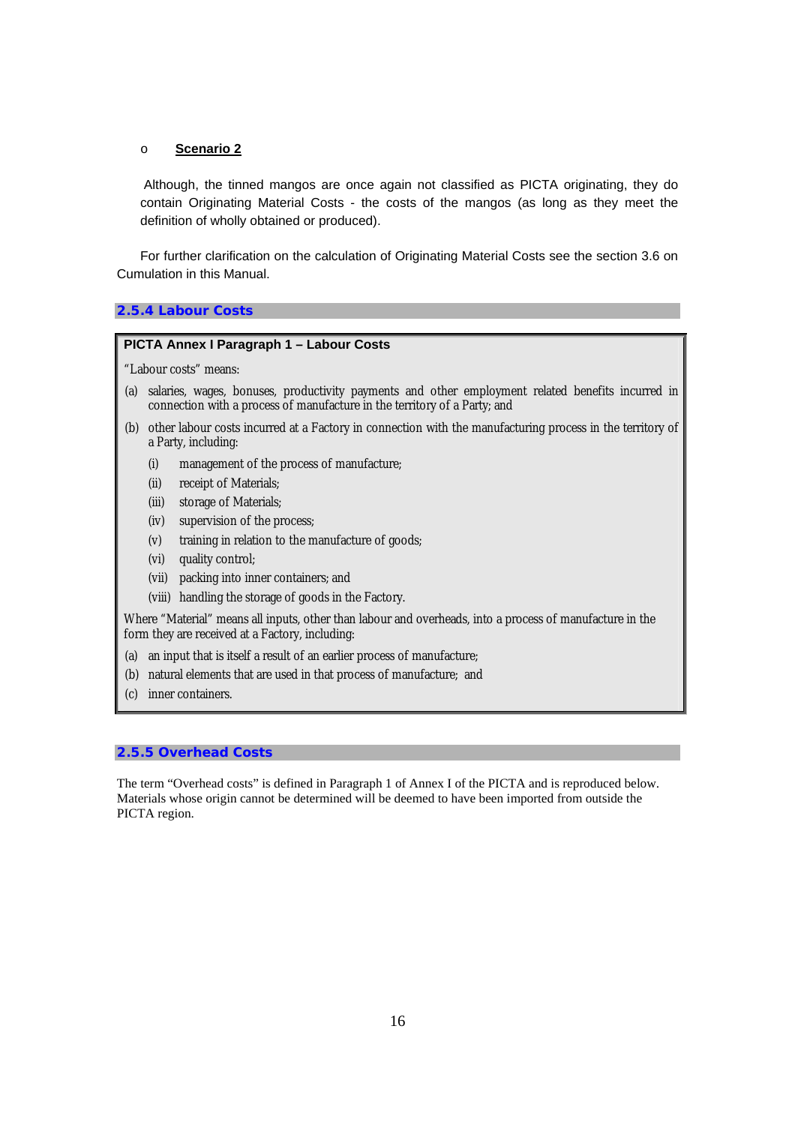#### o **Scenario 2**

 Although, the tinned mangos are once again not classified as PICTA originating, they do contain Originating Material Costs - the costs of the mangos (as long as they meet the definition of wholly obtained or produced).

For further clarification on the calculation of Originating Material Costs see the section 3.6 on Cumulation in this Manual.

#### **2.5.4 Labour Costs**

### **PICTA Annex I Paragraph 1 – Labour Costs**

"Labour costs" means:

- (a) salaries, wages, bonuses, productivity payments and other employment related benefits incurred in connection with a process of manufacture in the territory of a Party; and
- (b) other labour costs incurred at a Factory in connection with the manufacturing process in the territory of a Party, including:
	- (i) management of the process of manufacture;
	- (ii) receipt of Materials;
	- (iii) storage of Materials;
	- (iv) supervision of the process;
	- (v) training in relation to the manufacture of goods;
	- (vi) quality control;
	- (vii) packing into inner containers; and
	- (viii) handling the storage of goods in the Factory.

Where "Material" means all inputs, other than labour and overheads, into a process of manufacture in the form they are received at a Factory, including:

- (a) an input that is itself a result of an earlier process of manufacture;
- (b) natural elements that are used in that process of manufacture; and
- (c) inner containers.

### **2.5.5 Overhead Costs**

The term "Overhead costs" is defined in Paragraph 1 of Annex I of the PICTA and is reproduced below. Materials whose origin cannot be determined will be deemed to have been imported from outside the PICTA region.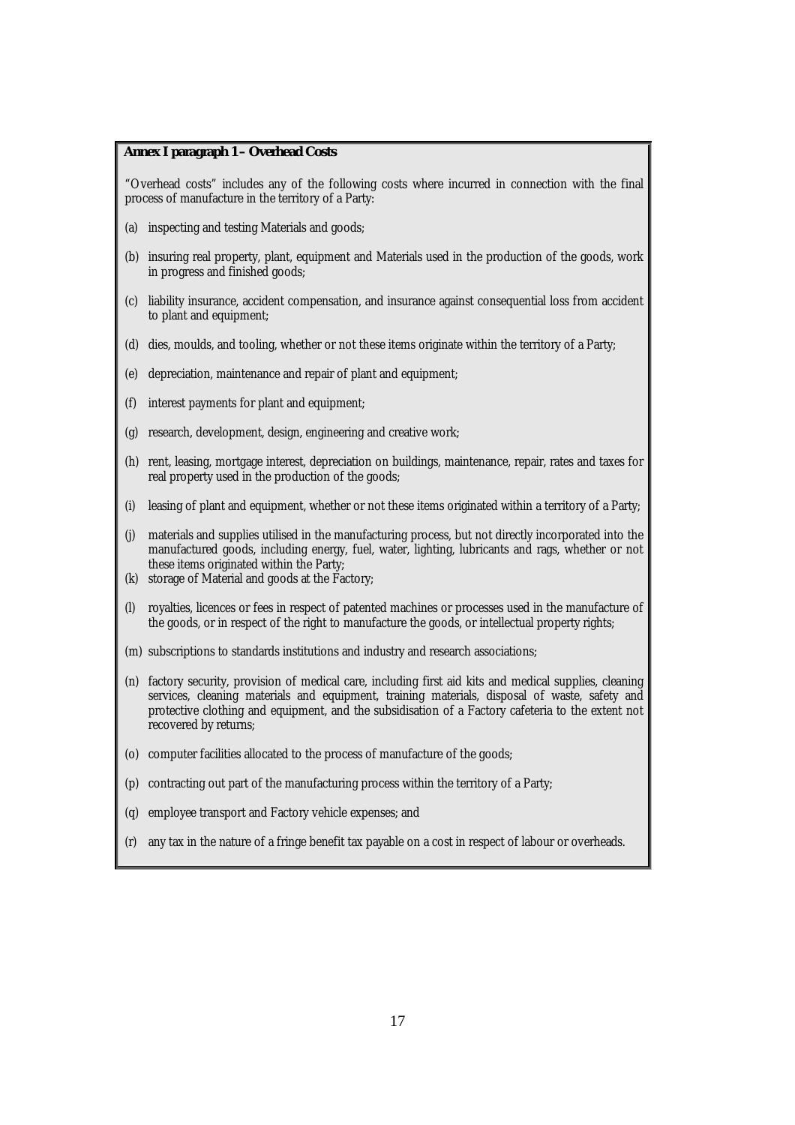#### **Annex I paragraph 1 – Overhead Costs**

"Overhead costs" includes any of the following costs where incurred in connection with the final process of manufacture in the territory of a Party:

- (a) inspecting and testing Materials and goods;
- (b) insuring real property, plant, equipment and Materials used in the production of the goods, work in progress and finished goods;
- (c) liability insurance, accident compensation, and insurance against consequential loss from accident to plant and equipment;
- (d) dies, moulds, and tooling, whether or not these items originate within the territory of a Party;
- (e) depreciation, maintenance and repair of plant and equipment;
- (f) interest payments for plant and equipment;
- (g) research, development, design, engineering and creative work;
- (h) rent, leasing, mortgage interest, depreciation on buildings, maintenance, repair, rates and taxes for real property used in the production of the goods;
- (i) leasing of plant and equipment, whether or not these items originated within a territory of a Party;
- (j) materials and supplies utilised in the manufacturing process, but not directly incorporated into the manufactured goods, including energy, fuel, water, lighting, lubricants and rags, whether or not these items originated within the Party;
- (k) storage of Material and goods at the Factory;
- (l) royalties, licences or fees in respect of patented machines or processes used in the manufacture of the goods, or in respect of the right to manufacture the goods, or intellectual property rights;
- (m) subscriptions to standards institutions and industry and research associations;
- (n) factory security, provision of medical care, including first aid kits and medical supplies, cleaning services, cleaning materials and equipment, training materials, disposal of waste, safety and protective clothing and equipment, and the subsidisation of a Factory cafeteria to the extent not recovered by returns;
- (o) computer facilities allocated to the process of manufacture of the goods;
- contracting out part of the manufacturing process within the territory of a Party;
- employee transport and Factory vehicle expenses; and
- (r) any tax in the nature of a fringe benefit tax payable on a cost in respect of labour or overheads.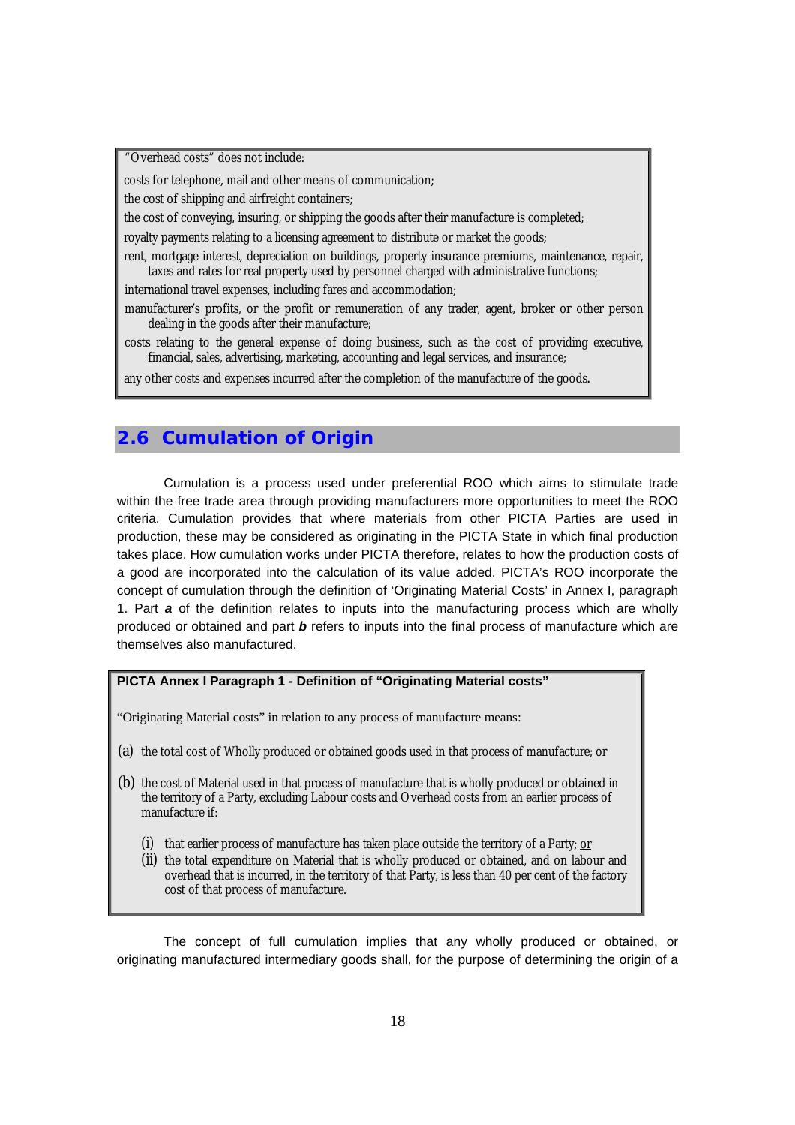"Overhead costs" does not include:

costs for telephone, mail and other means of communication;

the cost of shipping and airfreight containers;

the cost of conveying, insuring, or shipping the goods after their manufacture is completed;

royalty payments relating to a licensing agreement to distribute or market the goods;

rent, mortgage interest, depreciation on buildings, property insurance premiums, maintenance, repair, taxes and rates for real property used by personnel charged with administrative functions;

international travel expenses, including fares and accommodation;

manufacturer's profits, or the profit or remuneration of any trader, agent, broker or other person dealing in the goods after their manufacture;

costs relating to the general expense of doing business, such as the cost of providing executive, financial, sales, advertising, marketing, accounting and legal services, and insurance;

any other costs and expenses incurred after the completion of the manufacture of the goods.

## **2.6 Cumulation of Origin**

Cumulation is a process used under preferential ROO which aims to stimulate trade within the free trade area through providing manufacturers more opportunities to meet the ROO criteria. Cumulation provides that where materials from other PICTA Parties are used in production, these may be considered as originating in the PICTA State in which final production takes place. How cumulation works under PICTA therefore, relates to how the production costs of a good are incorporated into the calculation of its value added. PICTA's ROO incorporate the concept of cumulation through the definition of 'Originating Material Costs' in Annex I, paragraph 1. Part *a* of the definition relates to inputs into the manufacturing process which are wholly produced or obtained and part *b* refers to inputs into the final process of manufacture which are themselves also manufactured.

## **PICTA Annex I Paragraph 1 - Definition of "Originating Material costs"**

"Originating Material costs" in relation to any process of manufacture means:

- (a) the total cost of Wholly produced or obtained goods used in that process of manufacture; or
- (b) the cost of Material used in that process of manufacture that is wholly produced or obtained in the territory of a Party, excluding Labour costs and Overhead costs from an earlier process of manufacture if:
	- (i) that earlier process of manufacture has taken place outside the territory of a Party; or
	- (ii) the total expenditure on Material that is wholly produced or obtained, and on labour and overhead that is incurred, in the territory of that Party, is less than 40 per cent of the factory cost of that process of manufacture.

The concept of full cumulation implies that any wholly produced or obtained, or originating manufactured intermediary goods shall, for the purpose of determining the origin of a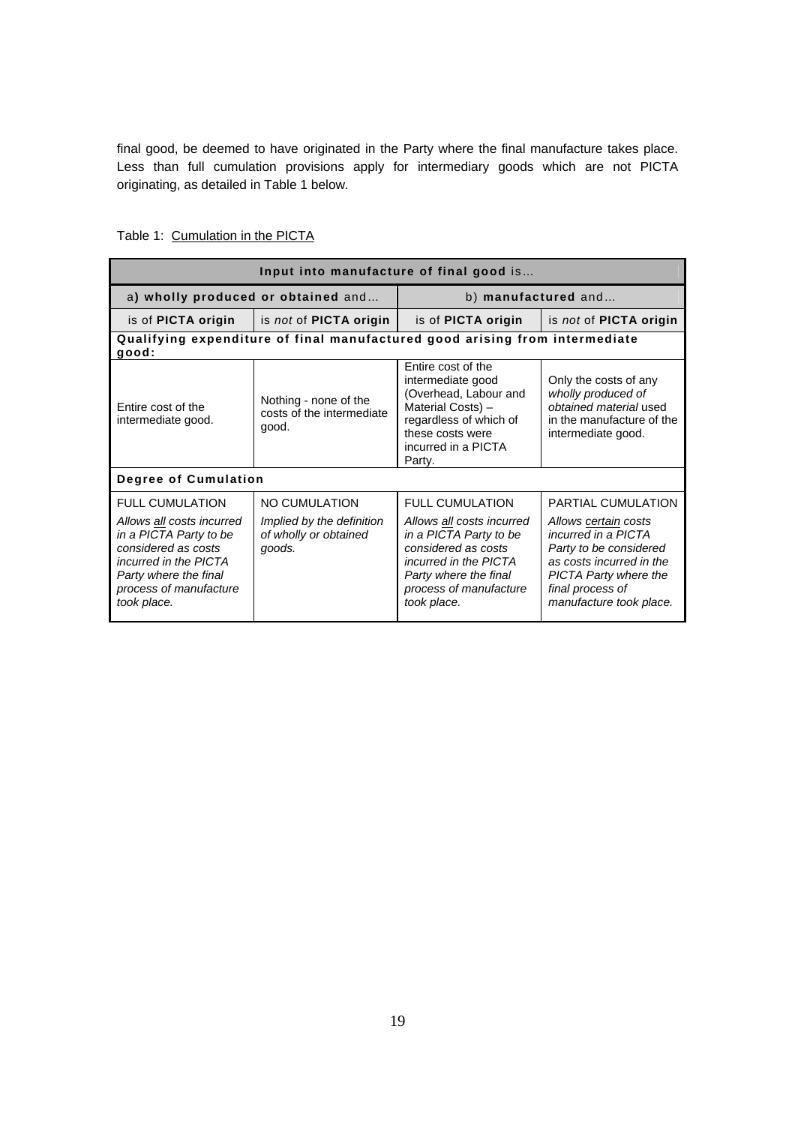final good, be deemed to have originated in the Party where the final manufacture takes place. Less than full cumulation provisions apply for intermediary goods which are not PICTA originating, as detailed in Table 1 below.

| Input into manufacture of final good is                                                                                                                                                                |                                                                               |                                                                                                                                                                                                 |                                                                                                                                                                                                               |
|--------------------------------------------------------------------------------------------------------------------------------------------------------------------------------------------------------|-------------------------------------------------------------------------------|-------------------------------------------------------------------------------------------------------------------------------------------------------------------------------------------------|---------------------------------------------------------------------------------------------------------------------------------------------------------------------------------------------------------------|
|                                                                                                                                                                                                        | a) wholly produced or obtained and                                            | b) manufactured and                                                                                                                                                                             |                                                                                                                                                                                                               |
| is of <b>PICTA</b> origin                                                                                                                                                                              | $\vert$ is <i>not</i> of <b>PICTA</b> origin                                  | is of <b>PICTA</b> origin                                                                                                                                                                       | is not of <b>PICTA</b> origin                                                                                                                                                                                 |
| good:                                                                                                                                                                                                  | Qualifying expenditure of final manufactured good arising from intermediate   |                                                                                                                                                                                                 |                                                                                                                                                                                                               |
| Nothing - none of the<br>Entire cost of the<br>costs of the intermediate<br>intermediate good.<br>good.                                                                                                |                                                                               | Entire cost of the<br>intermediate good<br>(Overhead, Labour and<br>Material Costs) -<br>regardless of which of<br>these costs were<br>incurred in a PICTA<br>Party.                            | Only the costs of any<br>wholly produced of<br>obtained material used<br>in the manufacture of the<br>intermediate good.                                                                                      |
| Degree of Cumulation                                                                                                                                                                                   |                                                                               |                                                                                                                                                                                                 |                                                                                                                                                                                                               |
| <b>FULL CUMULATION</b><br>Allows all costs incurred<br>in a PICTA Party to be<br>considered as costs<br><i>incurred in the PICTA</i><br>Party where the final<br>process of manufacture<br>took place. | NO CUMULATION<br>Implied by the definition<br>of wholly or obtained<br>goods. | <b>FULL CUMULATION</b><br>Allows all costs incurred<br>in a PICTA Party to be<br>considered as costs<br>incurred in the PICTA<br>Party where the final<br>process of manufacture<br>took place. | <b>PARTIAL CUMULATION</b><br>Allows certain costs<br>incurred in a PICTA<br>Party to be considered<br>as costs incurred in the<br><b>PICTA Party where the</b><br>final process of<br>manufacture took place. |

## Table 1: Cumulation in the PICTA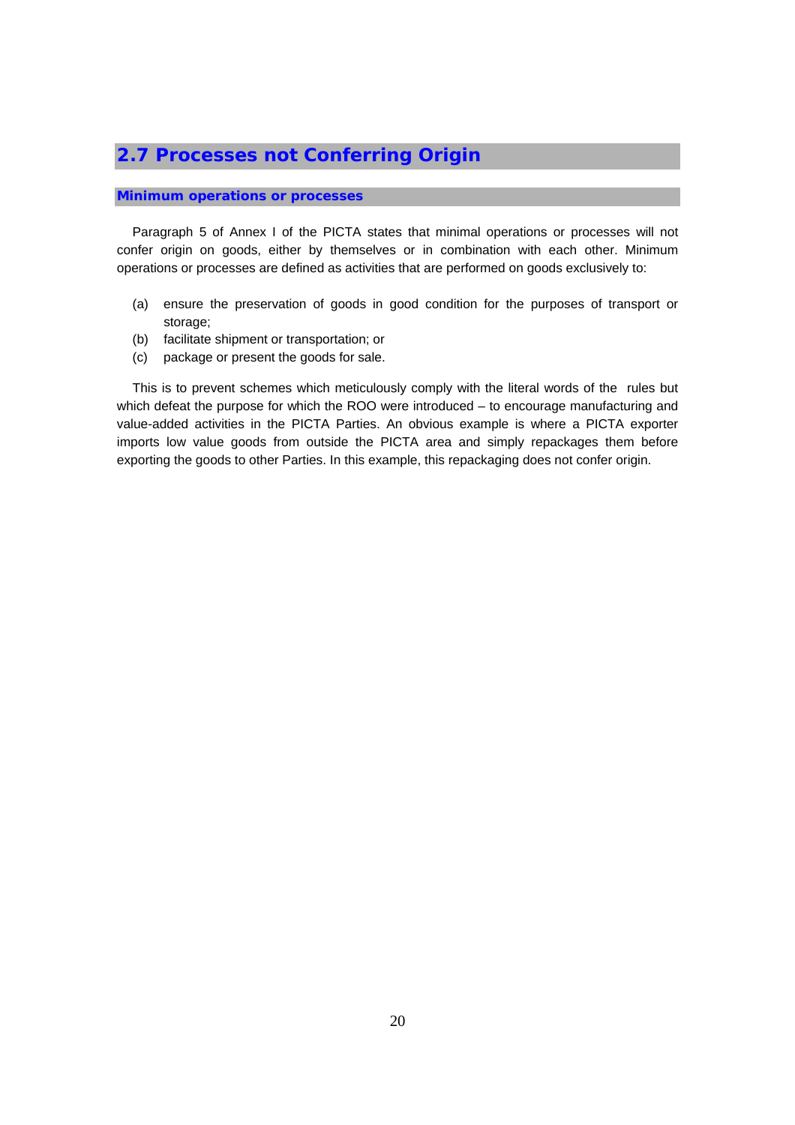## **2.7 Processes not Conferring Origin**

#### **Minimum operations or processes**

Paragraph 5 of Annex I of the PICTA states that minimal operations or processes will not confer origin on goods, either by themselves or in combination with each other. Minimum operations or processes are defined as activities that are performed on goods exclusively to:

- (a) ensure the preservation of goods in good condition for the purposes of transport or storage;
- (b) facilitate shipment or transportation; or
- (c) package or present the goods for sale.

This is to prevent schemes which meticulously comply with the literal words of the rules but which defeat the purpose for which the ROO were introduced – to encourage manufacturing and value-added activities in the PICTA Parties. An obvious example is where a PICTA exporter imports low value goods from outside the PICTA area and simply repackages them before exporting the goods to other Parties. In this example, this repackaging does not confer origin.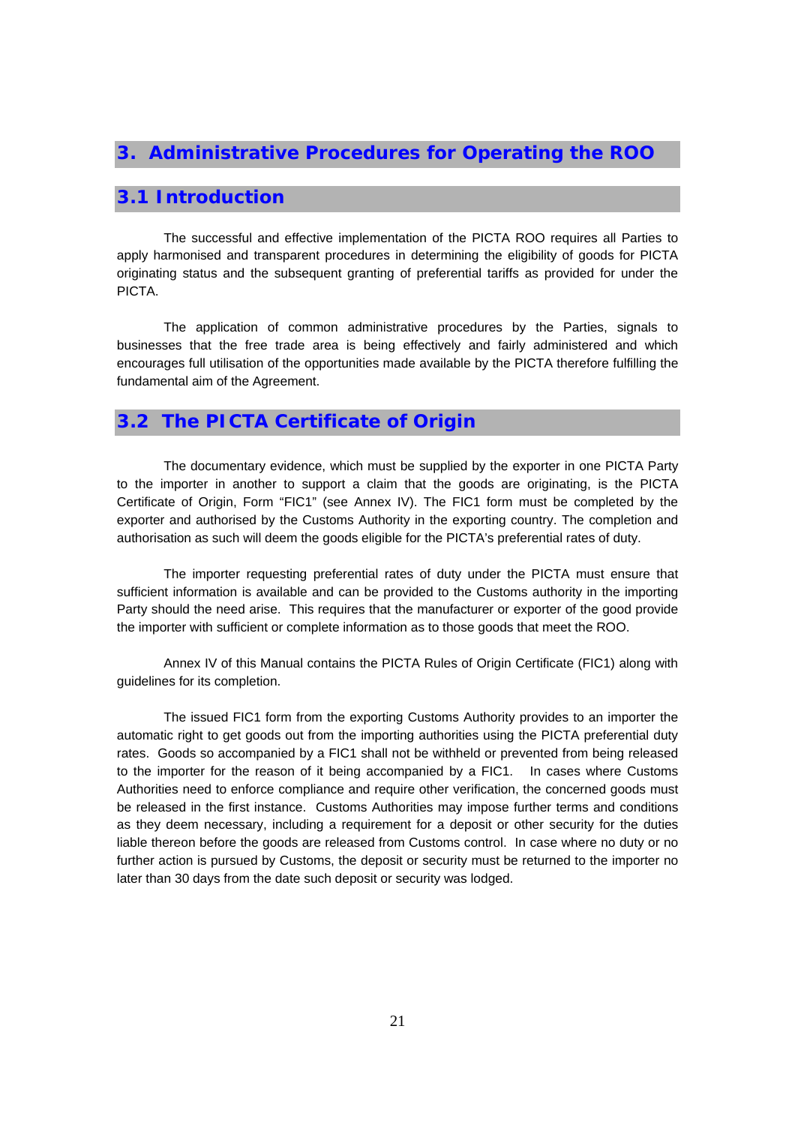## **3. Administrative Procedures for Operating the ROO**

## **3.1 Introduction**

The successful and effective implementation of the PICTA ROO requires all Parties to apply harmonised and transparent procedures in determining the eligibility of goods for PICTA originating status and the subsequent granting of preferential tariffs as provided for under the PICTA.

The application of common administrative procedures by the Parties, signals to businesses that the free trade area is being effectively and fairly administered and which encourages full utilisation of the opportunities made available by the PICTA therefore fulfilling the fundamental aim of the Agreement.

## **3.2 The PICTA Certificate of Origin**

The documentary evidence, which must be supplied by the exporter in one PICTA Party to the importer in another to support a claim that the goods are originating, is the PICTA Certificate of Origin, Form "FIC1" (see Annex IV). The FIC1 form must be completed by the exporter and authorised by the Customs Authority in the exporting country. The completion and authorisation as such will deem the goods eligible for the PICTA's preferential rates of duty.

The importer requesting preferential rates of duty under the PICTA must ensure that sufficient information is available and can be provided to the Customs authority in the importing Party should the need arise. This requires that the manufacturer or exporter of the good provide the importer with sufficient or complete information as to those goods that meet the ROO.

Annex IV of this Manual contains the PICTA Rules of Origin Certificate (FIC1) along with guidelines for its completion.

The issued FIC1 form from the exporting Customs Authority provides to an importer the automatic right to get goods out from the importing authorities using the PICTA preferential duty rates. Goods so accompanied by a FIC1 shall not be withheld or prevented from being released to the importer for the reason of it being accompanied by a FIC1. In cases where Customs Authorities need to enforce compliance and require other verification, the concerned goods must be released in the first instance. Customs Authorities may impose further terms and conditions as they deem necessary, including a requirement for a deposit or other security for the duties liable thereon before the goods are released from Customs control. In case where no duty or no further action is pursued by Customs, the deposit or security must be returned to the importer no later than 30 days from the date such deposit or security was lodged.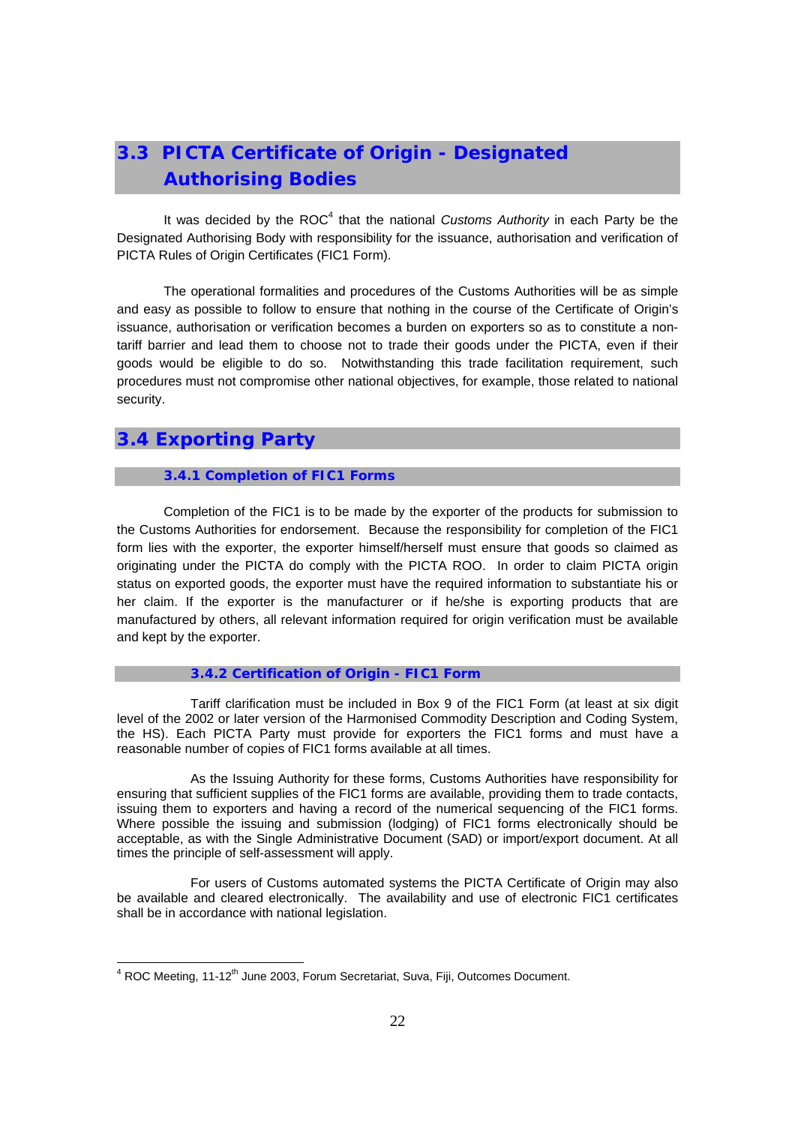# **3.3 PICTA Certificate of Origin - Designated Authorising Bodies**

It was decided by the ROC<sup>4</sup> that the national *Customs Authority* in each Party be the Designated Authorising Body with responsibility for the issuance, authorisation and verification of PICTA Rules of Origin Certificates (FIC1 Form).

The operational formalities and procedures of the Customs Authorities will be as simple and easy as possible to follow to ensure that nothing in the course of the Certificate of Origin's issuance, authorisation or verification becomes a burden on exporters so as to constitute a nontariff barrier and lead them to choose not to trade their goods under the PICTA, even if their goods would be eligible to do so. Notwithstanding this trade facilitation requirement, such procedures must not compromise other national objectives, for example, those related to national security.

## **3.4 Exporting Party**

#### **3.4.1 Completion of FIC1 Forms**

Completion of the FIC1 is to be made by the exporter of the products for submission to the Customs Authorities for endorsement. Because the responsibility for completion of the FIC1 form lies with the exporter, the exporter himself/herself must ensure that goods so claimed as originating under the PICTA do comply with the PICTA ROO. In order to claim PICTA origin status on exported goods, the exporter must have the required information to substantiate his or her claim. If the exporter is the manufacturer or if he/she is exporting products that are manufactured by others, all relevant information required for origin verification must be available and kept by the exporter.

#### **3.4.2 Certification of Origin - FIC1 Form**

 Tariff clarification must be included in Box 9 of the FIC1 Form (at least at six digit level of the 2002 or later version of the Harmonised Commodity Description and Coding System, the HS). Each PICTA Party must provide for exporters the FIC1 forms and must have a reasonable number of copies of FIC1 forms available at all times.

 As the Issuing Authority for these forms, Customs Authorities have responsibility for ensuring that sufficient supplies of the FIC1 forms are available, providing them to trade contacts, issuing them to exporters and having a record of the numerical sequencing of the FIC1 forms. Where possible the issuing and submission (lodging) of FIC1 forms electronically should be acceptable, as with the Single Administrative Document (SAD) or import/export document. At all times the principle of self-assessment will apply.

 For users of Customs automated systems the PICTA Certificate of Origin may also be available and cleared electronically. The availability and use of electronic FIC1 certificates shall be in accordance with national legislation.

<sup>4&</sup>lt;br><sup>4</sup> ROC Meeting, 11-12<sup>th</sup> June 2003, Forum Secretariat, Suva, Fiji, Outcomes Document.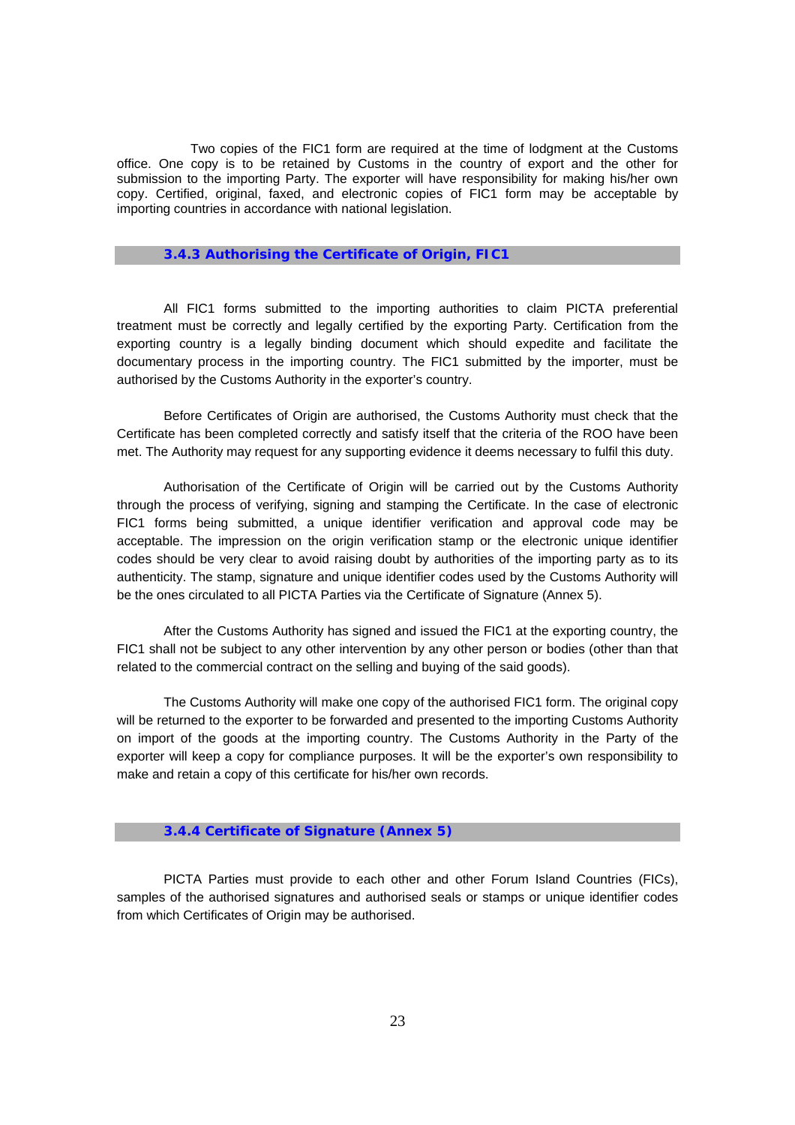Two copies of the FIC1 form are required at the time of lodgment at the Customs office. One copy is to be retained by Customs in the country of export and the other for submission to the importing Party. The exporter will have responsibility for making his/her own copy. Certified, original, faxed, and electronic copies of FIC1 form may be acceptable by importing countries in accordance with national legislation.

#### **3.4.3 Authorising the Certificate of Origin, FIC1**

All FIC1 forms submitted to the importing authorities to claim PICTA preferential treatment must be correctly and legally certified by the exporting Party. Certification from the exporting country is a legally binding document which should expedite and facilitate the documentary process in the importing country. The FIC1 submitted by the importer, must be authorised by the Customs Authority in the exporter's country.

Before Certificates of Origin are authorised, the Customs Authority must check that the Certificate has been completed correctly and satisfy itself that the criteria of the ROO have been met. The Authority may request for any supporting evidence it deems necessary to fulfil this duty.

Authorisation of the Certificate of Origin will be carried out by the Customs Authority through the process of verifying, signing and stamping the Certificate. In the case of electronic FIC1 forms being submitted, a unique identifier verification and approval code may be acceptable. The impression on the origin verification stamp or the electronic unique identifier codes should be very clear to avoid raising doubt by authorities of the importing party as to its authenticity. The stamp, signature and unique identifier codes used by the Customs Authority will be the ones circulated to all PICTA Parties via the Certificate of Signature (Annex 5).

After the Customs Authority has signed and issued the FIC1 at the exporting country, the FIC1 shall not be subject to any other intervention by any other person or bodies (other than that related to the commercial contract on the selling and buying of the said goods).

The Customs Authority will make one copy of the authorised FIC1 form. The original copy will be returned to the exporter to be forwarded and presented to the importing Customs Authority on import of the goods at the importing country. The Customs Authority in the Party of the exporter will keep a copy for compliance purposes. It will be the exporter's own responsibility to make and retain a copy of this certificate for his/her own records.

#### **3.4.4 Certificate of Signature (Annex 5)**

PICTA Parties must provide to each other and other Forum Island Countries (FICs), samples of the authorised signatures and authorised seals or stamps or unique identifier codes from which Certificates of Origin may be authorised.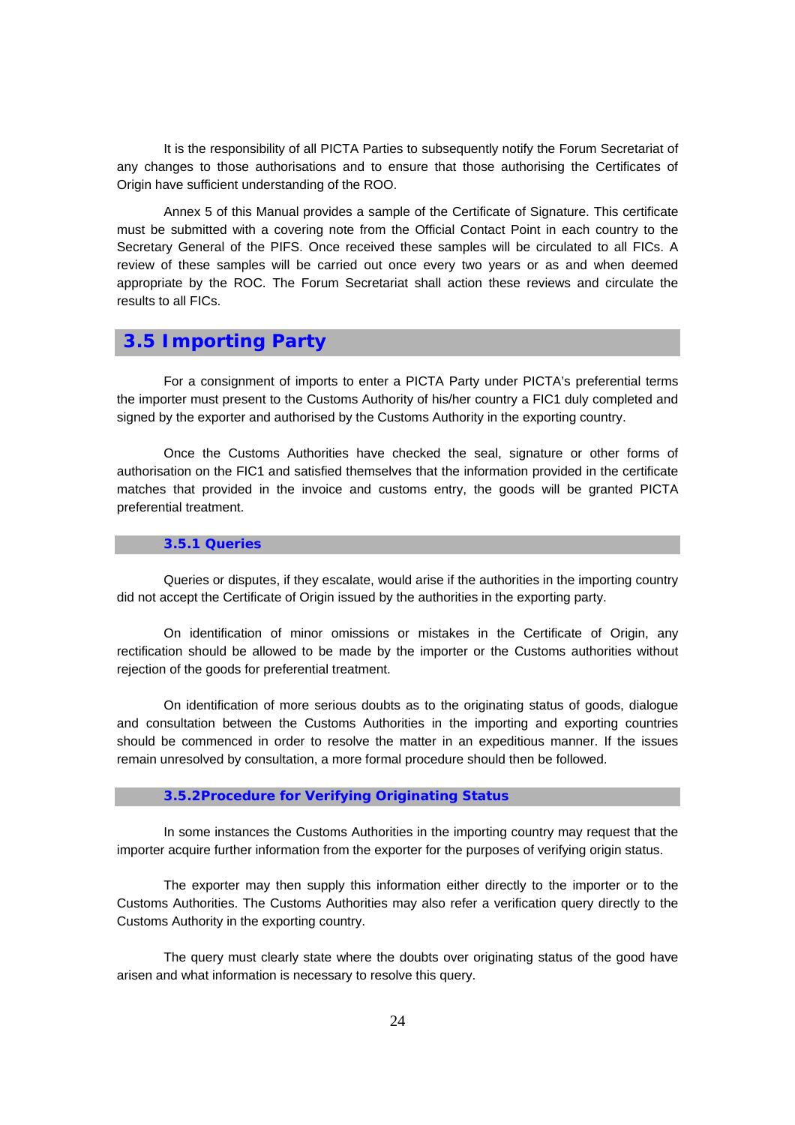It is the responsibility of all PICTA Parties to subsequently notify the Forum Secretariat of any changes to those authorisations and to ensure that those authorising the Certificates of Origin have sufficient understanding of the ROO.

Annex 5 of this Manual provides a sample of the Certificate of Signature. This certificate must be submitted with a covering note from the Official Contact Point in each country to the Secretary General of the PIFS. Once received these samples will be circulated to all FICs. A review of these samples will be carried out once every two years or as and when deemed appropriate by the ROC. The Forum Secretariat shall action these reviews and circulate the results to all FICs.

## **3.5 Importing Party**

For a consignment of imports to enter a PICTA Party under PICTA's preferential terms the importer must present to the Customs Authority of his/her country a FIC1 duly completed and signed by the exporter and authorised by the Customs Authority in the exporting country.

Once the Customs Authorities have checked the seal, signature or other forms of authorisation on the FIC1 and satisfied themselves that the information provided in the certificate matches that provided in the invoice and customs entry, the goods will be granted PICTA preferential treatment.

#### **3.5.1 Queries**

Queries or disputes, if they escalate, would arise if the authorities in the importing country did not accept the Certificate of Origin issued by the authorities in the exporting party.

On identification of minor omissions or mistakes in the Certificate of Origin, any rectification should be allowed to be made by the importer or the Customs authorities without rejection of the goods for preferential treatment.

On identification of more serious doubts as to the originating status of goods, dialogue and consultation between the Customs Authorities in the importing and exporting countries should be commenced in order to resolve the matter in an expeditious manner. If the issues remain unresolved by consultation, a more formal procedure should then be followed.

#### **3.5.2Procedure for Verifying Originating Status**

In some instances the Customs Authorities in the importing country may request that the importer acquire further information from the exporter for the purposes of verifying origin status.

The exporter may then supply this information either directly to the importer or to the Customs Authorities. The Customs Authorities may also refer a verification query directly to the Customs Authority in the exporting country.

The query must clearly state where the doubts over originating status of the good have arisen and what information is necessary to resolve this query.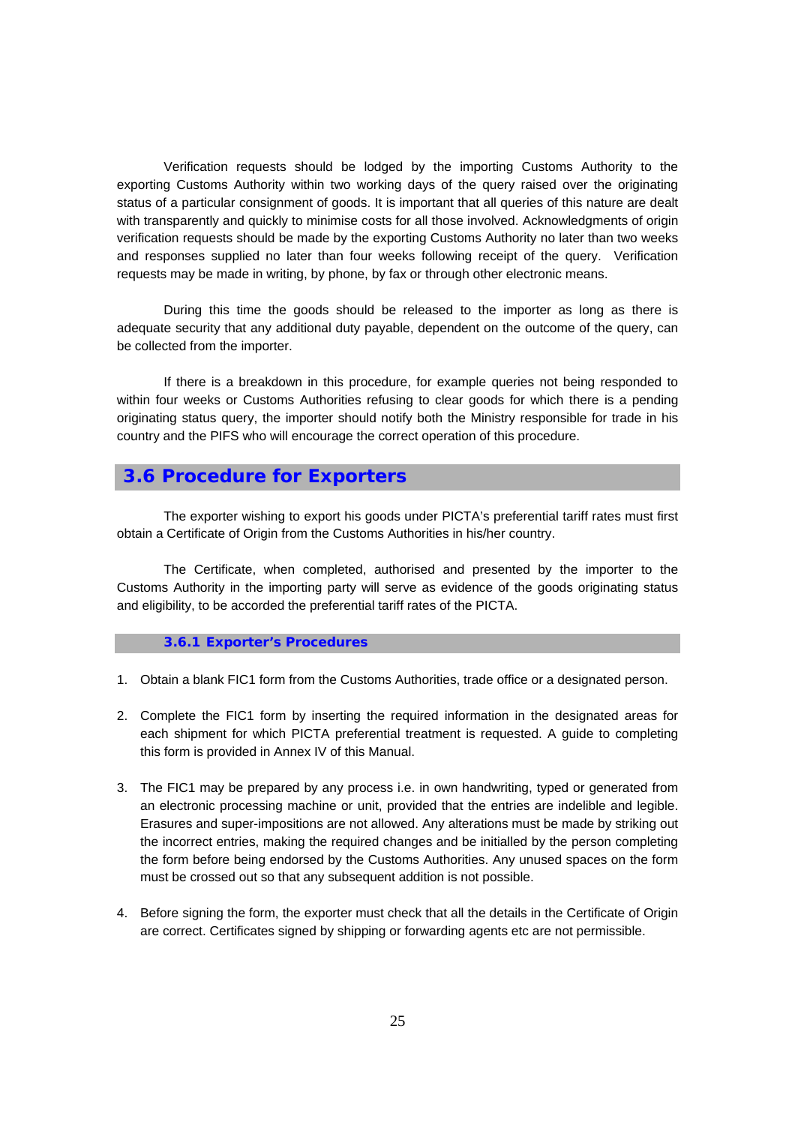Verification requests should be lodged by the importing Customs Authority to the exporting Customs Authority within two working days of the query raised over the originating status of a particular consignment of goods. It is important that all queries of this nature are dealt with transparently and quickly to minimise costs for all those involved. Acknowledgments of origin verification requests should be made by the exporting Customs Authority no later than two weeks and responses supplied no later than four weeks following receipt of the query. Verification requests may be made in writing, by phone, by fax or through other electronic means.

During this time the goods should be released to the importer as long as there is adequate security that any additional duty payable, dependent on the outcome of the query, can be collected from the importer.

If there is a breakdown in this procedure, for example queries not being responded to within four weeks or Customs Authorities refusing to clear goods for which there is a pending originating status query, the importer should notify both the Ministry responsible for trade in his country and the PIFS who will encourage the correct operation of this procedure.

## **3.6 Procedure for Exporters**

The exporter wishing to export his goods under PICTA's preferential tariff rates must first obtain a Certificate of Origin from the Customs Authorities in his/her country.

The Certificate, when completed, authorised and presented by the importer to the Customs Authority in the importing party will serve as evidence of the goods originating status and eligibility, to be accorded the preferential tariff rates of the PICTA.

#### **3.6.1 Exporter's Procedures**

- 1. Obtain a blank FIC1 form from the Customs Authorities, trade office or a designated person.
- 2. Complete the FIC1 form by inserting the required information in the designated areas for each shipment for which PICTA preferential treatment is requested. A guide to completing this form is provided in Annex IV of this Manual.
- 3. The FIC1 may be prepared by any process i.e. in own handwriting, typed or generated from an electronic processing machine or unit, provided that the entries are indelible and legible. Erasures and super-impositions are not allowed. Any alterations must be made by striking out the incorrect entries, making the required changes and be initialled by the person completing the form before being endorsed by the Customs Authorities. Any unused spaces on the form must be crossed out so that any subsequent addition is not possible.
- 4. Before signing the form, the exporter must check that all the details in the Certificate of Origin are correct. Certificates signed by shipping or forwarding agents etc are not permissible.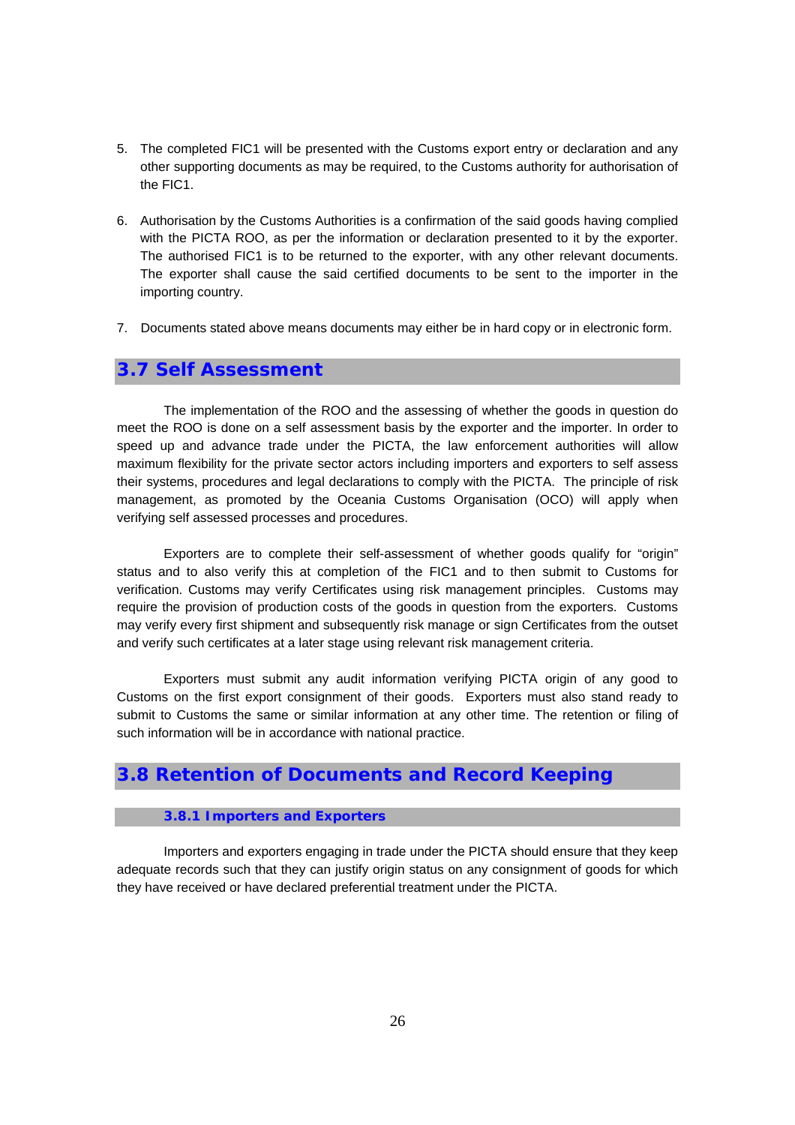- 5. The completed FIC1 will be presented with the Customs export entry or declaration and any other supporting documents as may be required, to the Customs authority for authorisation of the FIC1.
- 6. Authorisation by the Customs Authorities is a confirmation of the said goods having complied with the PICTA ROO, as per the information or declaration presented to it by the exporter. The authorised FIC1 is to be returned to the exporter, with any other relevant documents. The exporter shall cause the said certified documents to be sent to the importer in the importing country.
- 7. Documents stated above means documents may either be in hard copy or in electronic form.

## **3.7 Self Assessment**

The implementation of the ROO and the assessing of whether the goods in question do meet the ROO is done on a self assessment basis by the exporter and the importer. In order to speed up and advance trade under the PICTA, the law enforcement authorities will allow maximum flexibility for the private sector actors including importers and exporters to self assess their systems, procedures and legal declarations to comply with the PICTA. The principle of risk management, as promoted by the Oceania Customs Organisation (OCO) will apply when verifying self assessed processes and procedures.

Exporters are to complete their self-assessment of whether goods qualify for "origin" status and to also verify this at completion of the FIC1 and to then submit to Customs for verification. Customs may verify Certificates using risk management principles. Customs may require the provision of production costs of the goods in question from the exporters. Customs may verify every first shipment and subsequently risk manage or sign Certificates from the outset and verify such certificates at a later stage using relevant risk management criteria.

Exporters must submit any audit information verifying PICTA origin of any good to Customs on the first export consignment of their goods. Exporters must also stand ready to submit to Customs the same or similar information at any other time. The retention or filing of such information will be in accordance with national practice.

## **3.8 Retention of Documents and Record Keeping**

#### **3.8.1 Importers and Exporters**

Importers and exporters engaging in trade under the PICTA should ensure that they keep adequate records such that they can justify origin status on any consignment of goods for which they have received or have declared preferential treatment under the PICTA.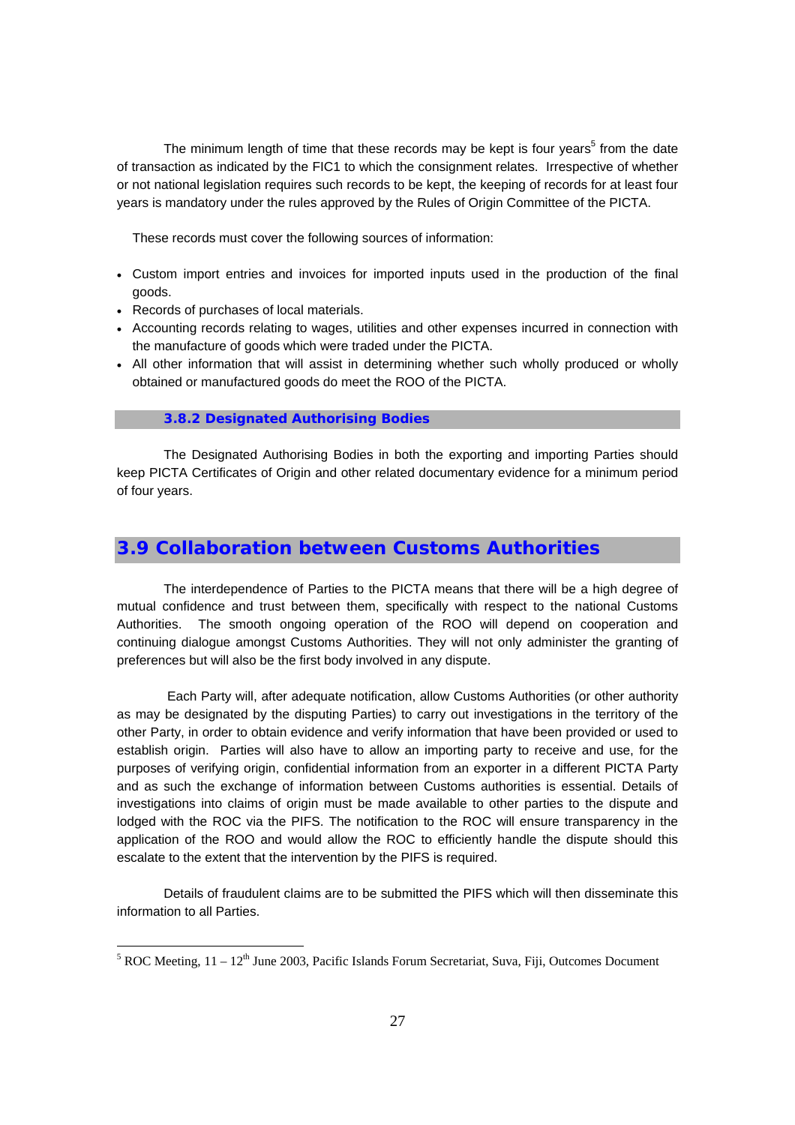The minimum length of time that these records may be kept is four years<sup>5</sup> from the date of transaction as indicated by the FIC1 to which the consignment relates. Irrespective of whether or not national legislation requires such records to be kept, the keeping of records for at least four years is mandatory under the rules approved by the Rules of Origin Committee of the PICTA.

These records must cover the following sources of information:

- Custom import entries and invoices for imported inputs used in the production of the final goods.
- Records of purchases of local materials.

- Accounting records relating to wages, utilities and other expenses incurred in connection with the manufacture of goods which were traded under the PICTA.
- All other information that will assist in determining whether such wholly produced or wholly obtained or manufactured goods do meet the ROO of the PICTA.

#### **3.8.2 Designated Authorising Bodies**

The Designated Authorising Bodies in both the exporting and importing Parties should keep PICTA Certificates of Origin and other related documentary evidence for a minimum period of four years.

## **3.9 Collaboration between Customs Authorities**

The interdependence of Parties to the PICTA means that there will be a high degree of mutual confidence and trust between them, specifically with respect to the national Customs Authorities. The smooth ongoing operation of the ROO will depend on cooperation and continuing dialogue amongst Customs Authorities. They will not only administer the granting of preferences but will also be the first body involved in any dispute.

 Each Party will, after adequate notification, allow Customs Authorities (or other authority as may be designated by the disputing Parties) to carry out investigations in the territory of the other Party, in order to obtain evidence and verify information that have been provided or used to establish origin. Parties will also have to allow an importing party to receive and use, for the purposes of verifying origin, confidential information from an exporter in a different PICTA Party and as such the exchange of information between Customs authorities is essential. Details of investigations into claims of origin must be made available to other parties to the dispute and lodged with the ROC via the PIFS. The notification to the ROC will ensure transparency in the application of the ROO and would allow the ROC to efficiently handle the dispute should this escalate to the extent that the intervention by the PIFS is required.

Details of fraudulent claims are to be submitted the PIFS which will then disseminate this information to all Parties.

 $<sup>5</sup>$  ROC Meeting, 11 – 12<sup>th</sup> June 2003, Pacific Islands Forum Secretariat, Suva, Fiji, Outcomes Document</sup>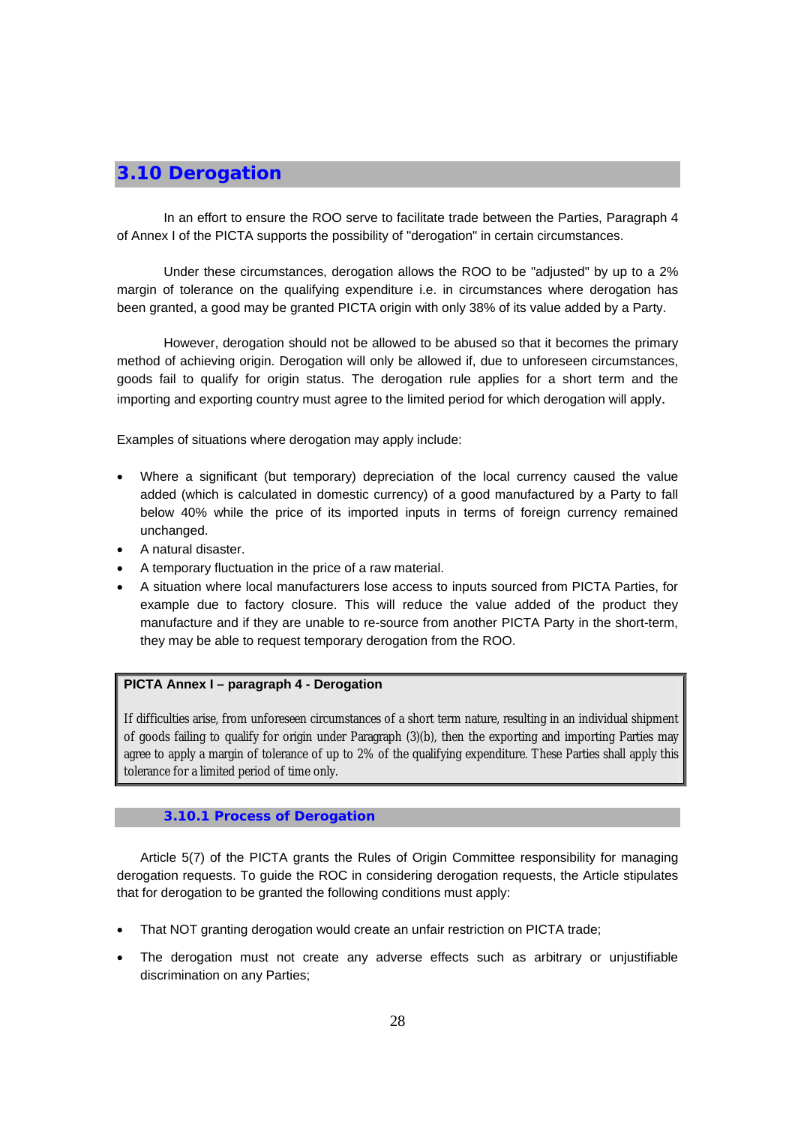## **3.10 Derogation**

In an effort to ensure the ROO serve to facilitate trade between the Parties, Paragraph 4 of Annex I of the PICTA supports the possibility of "derogation" in certain circumstances.

Under these circumstances, derogation allows the ROO to be "adjusted" by up to a 2% margin of tolerance on the qualifying expenditure i.e. in circumstances where derogation has been granted, a good may be granted PICTA origin with only 38% of its value added by a Party.

However, derogation should not be allowed to be abused so that it becomes the primary method of achieving origin. Derogation will only be allowed if, due to unforeseen circumstances, goods fail to qualify for origin status. The derogation rule applies for a short term and the importing and exporting country must agree to the limited period for which derogation will apply.

Examples of situations where derogation may apply include:

- Where a significant (but temporary) depreciation of the local currency caused the value added (which is calculated in domestic currency) of a good manufactured by a Party to fall below 40% while the price of its imported inputs in terms of foreign currency remained unchanged.
- A natural disaster.
- A temporary fluctuation in the price of a raw material.
- A situation where local manufacturers lose access to inputs sourced from PICTA Parties, for example due to factory closure. This will reduce the value added of the product they manufacture and if they are unable to re-source from another PICTA Party in the short-term, they may be able to request temporary derogation from the ROO.

## **PICTA Annex I – paragraph 4 - Derogation**

If difficulties arise, from unforeseen circumstances of a short term nature, resulting in an individual shipment of goods failing to qualify for origin under Paragraph (3)(b), then the exporting and importing Parties may agree to apply a margin of tolerance of up to 2% of the qualifying expenditure. These Parties shall apply this tolerance for a limited period of time only.

## **3.10.1 Process of Derogation**

Article 5(7) of the PICTA grants the Rules of Origin Committee responsibility for managing derogation requests. To guide the ROC in considering derogation requests, the Article stipulates that for derogation to be granted the following conditions must apply:

- That NOT granting derogation would create an unfair restriction on PICTA trade;
- The derogation must not create any adverse effects such as arbitrary or unjustifiable discrimination on any Parties;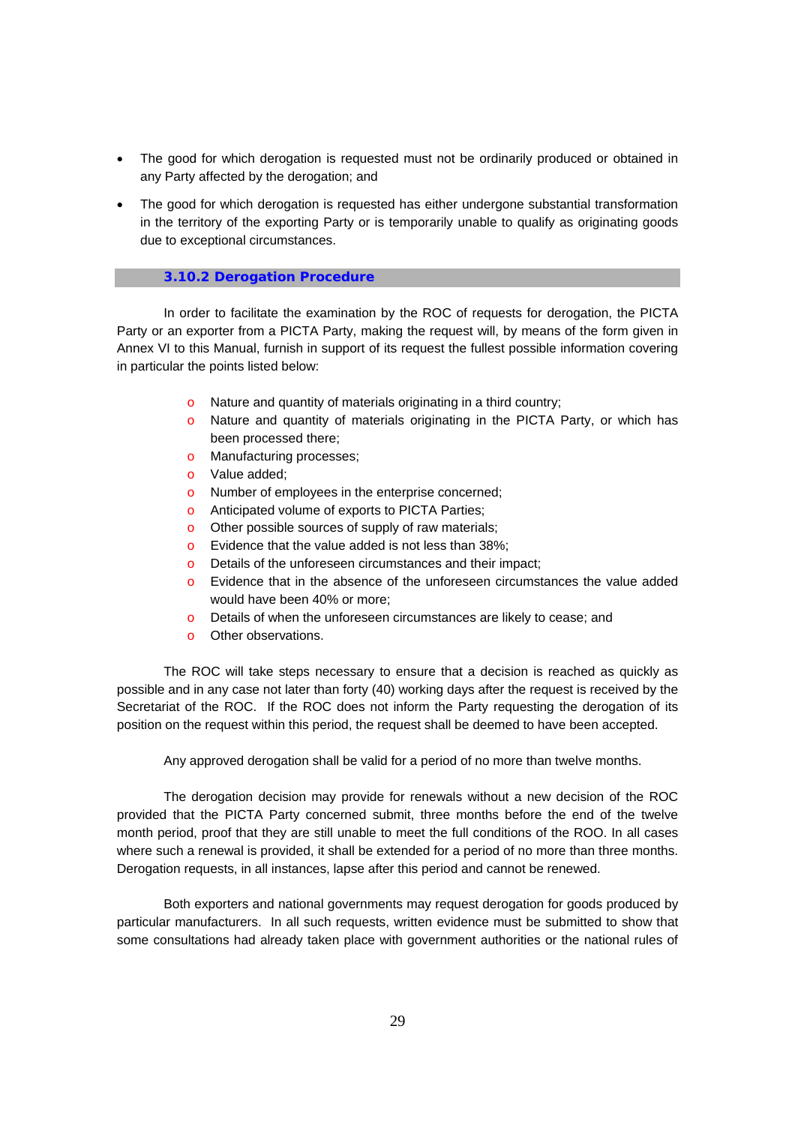- The good for which derogation is requested must not be ordinarily produced or obtained in any Party affected by the derogation; and
- The good for which derogation is requested has either undergone substantial transformation in the territory of the exporting Party or is temporarily unable to qualify as originating goods due to exceptional circumstances.

#### **3.10.2 Derogation Procedure**

In order to facilitate the examination by the ROC of requests for derogation, the PICTA Party or an exporter from a PICTA Party, making the request will, by means of the form given in Annex VI to this Manual, furnish in support of its request the fullest possible information covering in particular the points listed below:

- o Nature and quantity of materials originating in a third country;
- o Nature and quantity of materials originating in the PICTA Party, or which has been processed there;
- o Manufacturing processes;
- o Value added;
- o Number of employees in the enterprise concerned;
- o Anticipated volume of exports to PICTA Parties;
- o Other possible sources of supply of raw materials;
- o Evidence that the value added is not less than 38%;
- o Details of the unforeseen circumstances and their impact;
- o Evidence that in the absence of the unforeseen circumstances the value added would have been 40% or more;
- o Details of when the unforeseen circumstances are likely to cease; and
- o Other observations.

The ROC will take steps necessary to ensure that a decision is reached as quickly as possible and in any case not later than forty (40) working days after the request is received by the Secretariat of the ROC. If the ROC does not inform the Party requesting the derogation of its position on the request within this period, the request shall be deemed to have been accepted.

Any approved derogation shall be valid for a period of no more than twelve months.

The derogation decision may provide for renewals without a new decision of the ROC provided that the PICTA Party concerned submit, three months before the end of the twelve month period, proof that they are still unable to meet the full conditions of the ROO. In all cases where such a renewal is provided, it shall be extended for a period of no more than three months. Derogation requests, in all instances, lapse after this period and cannot be renewed.

Both exporters and national governments may request derogation for goods produced by particular manufacturers. In all such requests, written evidence must be submitted to show that some consultations had already taken place with government authorities or the national rules of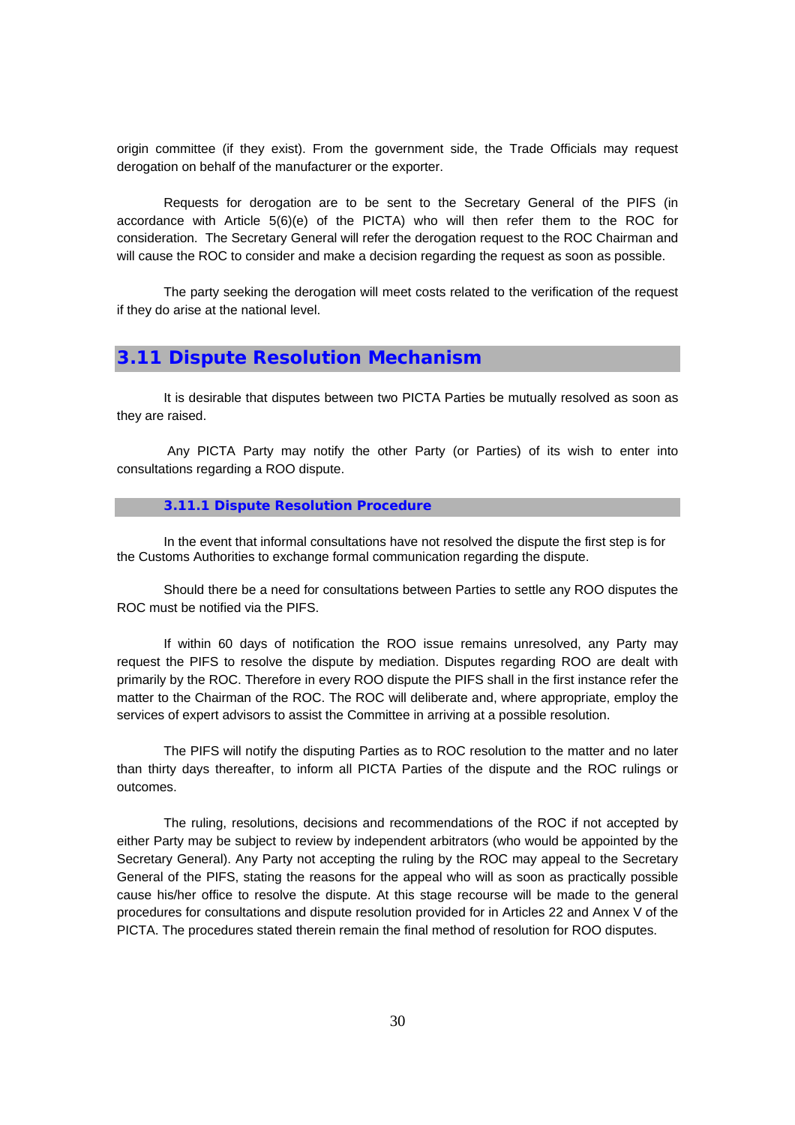origin committee (if they exist). From the government side, the Trade Officials may request derogation on behalf of the manufacturer or the exporter.

Requests for derogation are to be sent to the Secretary General of the PIFS (in accordance with Article  $5(6)(e)$  of the PICTA) who will then refer them to the ROC for consideration. The Secretary General will refer the derogation request to the ROC Chairman and will cause the ROC to consider and make a decision regarding the request as soon as possible.

The party seeking the derogation will meet costs related to the verification of the request if they do arise at the national level.

## **3.11 Dispute Resolution Mechanism**

It is desirable that disputes between two PICTA Parties be mutually resolved as soon as they are raised.

Any PICTA Party may notify the other Party (or Parties) of its wish to enter into consultations regarding a ROO dispute.

#### **3.11.1 Dispute Resolution Procedure**

In the event that informal consultations have not resolved the dispute the first step is for the Customs Authorities to exchange formal communication regarding the dispute.

Should there be a need for consultations between Parties to settle any ROO disputes the ROC must be notified via the PIFS.

If within 60 days of notification the ROO issue remains unresolved, any Party may request the PIFS to resolve the dispute by mediation. Disputes regarding ROO are dealt with primarily by the ROC. Therefore in every ROO dispute the PIFS shall in the first instance refer the matter to the Chairman of the ROC. The ROC will deliberate and, where appropriate, employ the services of expert advisors to assist the Committee in arriving at a possible resolution.

The PIFS will notify the disputing Parties as to ROC resolution to the matter and no later than thirty days thereafter, to inform all PICTA Parties of the dispute and the ROC rulings or outcomes.

The ruling, resolutions, decisions and recommendations of the ROC if not accepted by either Party may be subject to review by independent arbitrators (who would be appointed by the Secretary General). Any Party not accepting the ruling by the ROC may appeal to the Secretary General of the PIFS, stating the reasons for the appeal who will as soon as practically possible cause his/her office to resolve the dispute. At this stage recourse will be made to the general procedures for consultations and dispute resolution provided for in Articles 22 and Annex V of the PICTA. The procedures stated therein remain the final method of resolution for ROO disputes.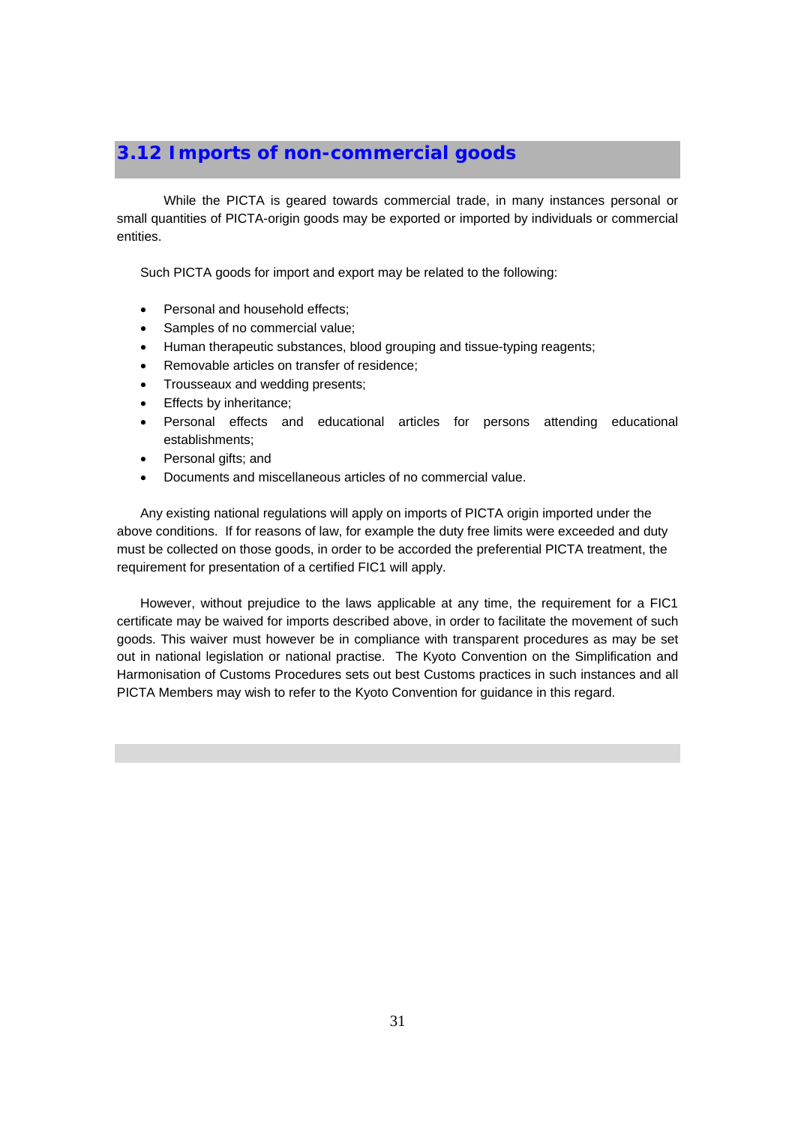## **3.12 Imports of non-commercial goods**

While the PICTA is geared towards commercial trade, in many instances personal or small quantities of PICTA-origin goods may be exported or imported by individuals or commercial entities.

Such PICTA goods for import and export may be related to the following:

- Personal and household effects:
- Samples of no commercial value;
- Human therapeutic substances, blood grouping and tissue-typing reagents;
- Removable articles on transfer of residence;
- Trousseaux and wedding presents;
- Effects by inheritance;
- Personal effects and educational articles for persons attending educational establishments;
- Personal gifts; and
- Documents and miscellaneous articles of no commercial value.

Any existing national regulations will apply on imports of PICTA origin imported under the above conditions. If for reasons of law, for example the duty free limits were exceeded and duty must be collected on those goods, in order to be accorded the preferential PICTA treatment, the requirement for presentation of a certified FIC1 will apply.

However, without prejudice to the laws applicable at any time, the requirement for a FIC1 certificate may be waived for imports described above, in order to facilitate the movement of such goods. This waiver must however be in compliance with transparent procedures as may be set out in national legislation or national practise. The Kyoto Convention on the Simplification and Harmonisation of Customs Procedures sets out best Customs practices in such instances and all PICTA Members may wish to refer to the Kyoto Convention for guidance in this regard.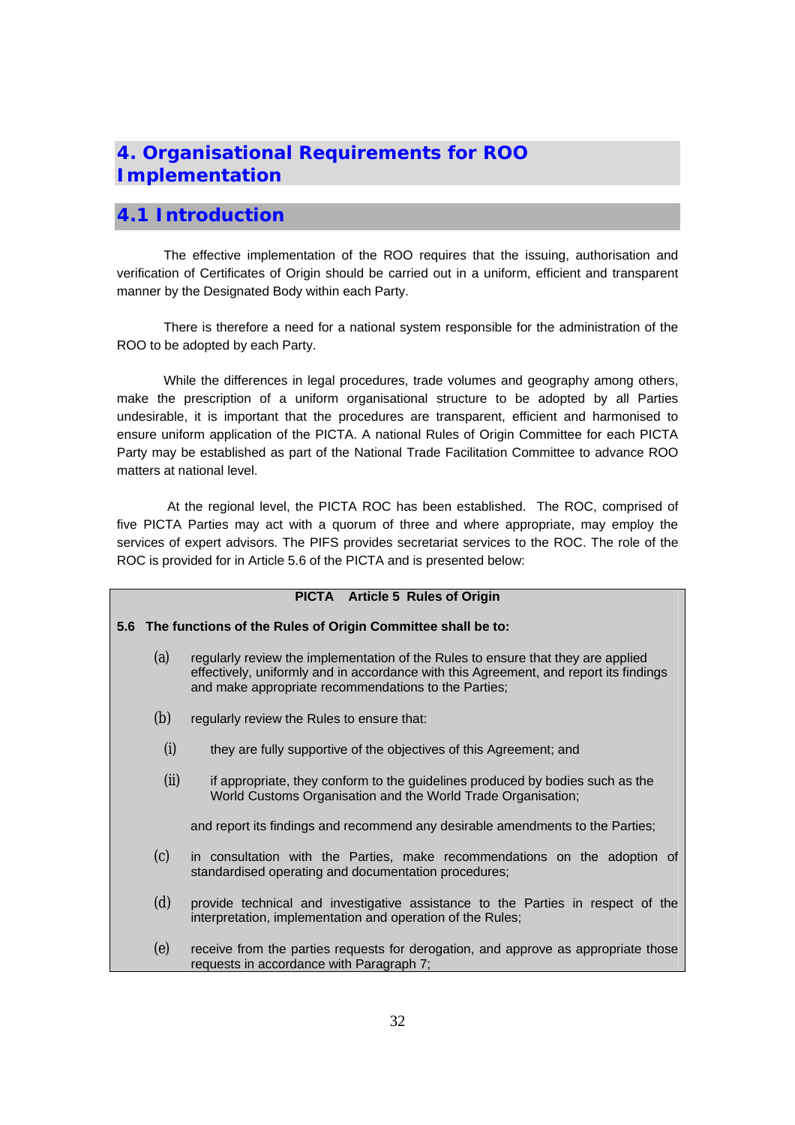## **4. Organisational Requirements for ROO Implementation**

## **4.1 Introduction**

The effective implementation of the ROO requires that the issuing, authorisation and verification of Certificates of Origin should be carried out in a uniform, efficient and transparent manner by the Designated Body within each Party.

There is therefore a need for a national system responsible for the administration of the ROO to be adopted by each Party.

While the differences in legal procedures, trade volumes and geography among others, make the prescription of a uniform organisational structure to be adopted by all Parties undesirable, it is important that the procedures are transparent, efficient and harmonised to ensure uniform application of the PICTA. A national Rules of Origin Committee for each PICTA Party may be established as part of the National Trade Facilitation Committee to advance ROO matters at national level.

 At the regional level, the PICTA ROC has been established. The ROC, comprised of five PICTA Parties may act with a quorum of three and where appropriate, may employ the services of expert advisors. The PIFS provides secretariat services to the ROC. The role of the ROC is provided for in Article 5.6 of the PICTA and is presented below:

|      | PICTA Article 5 Rules of Origin                                                                                                                                                                                                   |
|------|-----------------------------------------------------------------------------------------------------------------------------------------------------------------------------------------------------------------------------------|
|      | 5.6 The functions of the Rules of Origin Committee shall be to:                                                                                                                                                                   |
| (a)  | regularly review the implementation of the Rules to ensure that they are applied<br>effectively, uniformly and in accordance with this Agreement, and report its findings<br>and make appropriate recommendations to the Parties; |
| (b)  | regularly review the Rules to ensure that:                                                                                                                                                                                        |
| (i)  | they are fully supportive of the objectives of this Agreement; and                                                                                                                                                                |
| (ii) | if appropriate, they conform to the guidelines produced by bodies such as the<br>World Customs Organisation and the World Trade Organisation;                                                                                     |
|      | and report its findings and recommend any desirable amendments to the Parties;                                                                                                                                                    |
| (c)  | in consultation with the Parties, make recommendations on the adoption of<br>standardised operating and documentation procedures;                                                                                                 |
| (d)  | provide technical and investigative assistance to the Parties in respect of the<br>interpretation, implementation and operation of the Rules;                                                                                     |
| (e)  | receive from the parties requests for derogation, and approve as appropriate those<br>requests in accordance with Paragraph 7;                                                                                                    |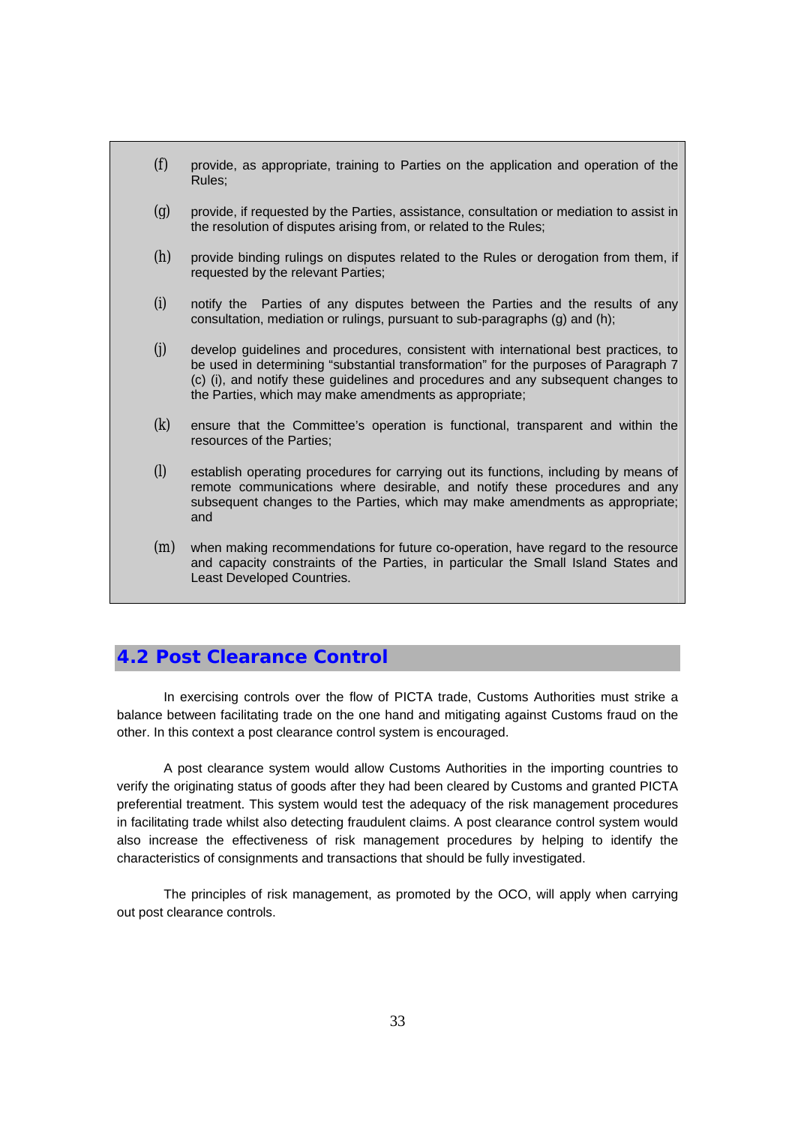(f) provide, as appropriate, training to Parties on the application and operation of the Rules; (g) provide, if requested by the Parties, assistance, consultation or mediation to assist in the resolution of disputes arising from, or related to the Rules; (h) provide binding rulings on disputes related to the Rules or derogation from them, if requested by the relevant Parties; (i) notify the Parties of any disputes between the Parties and the results of any consultation, mediation or rulings, pursuant to sub-paragraphs (g) and (h); (j) develop guidelines and procedures, consistent with international best practices, to be used in determining "substantial transformation" for the purposes of Paragraph 7 (c) (i), and notify these guidelines and procedures and any subsequent changes to the Parties, which may make amendments as appropriate; (k) ensure that the Committee's operation is functional, transparent and within the resources of the Parties; (l) establish operating procedures for carrying out its functions, including by means of remote communications where desirable, and notify these procedures and any subsequent changes to the Parties, which may make amendments as appropriate; and (m) when making recommendations for future co-operation, have regard to the resource and capacity constraints of the Parties, in particular the Small Island States and Least Developed Countries.

## **4.2 Post Clearance Control**

In exercising controls over the flow of PICTA trade, Customs Authorities must strike a balance between facilitating trade on the one hand and mitigating against Customs fraud on the other. In this context a post clearance control system is encouraged.

A post clearance system would allow Customs Authorities in the importing countries to verify the originating status of goods after they had been cleared by Customs and granted PICTA preferential treatment. This system would test the adequacy of the risk management procedures in facilitating trade whilst also detecting fraudulent claims. A post clearance control system would also increase the effectiveness of risk management procedures by helping to identify the characteristics of consignments and transactions that should be fully investigated.

The principles of risk management, as promoted by the OCO, will apply when carrying out post clearance controls.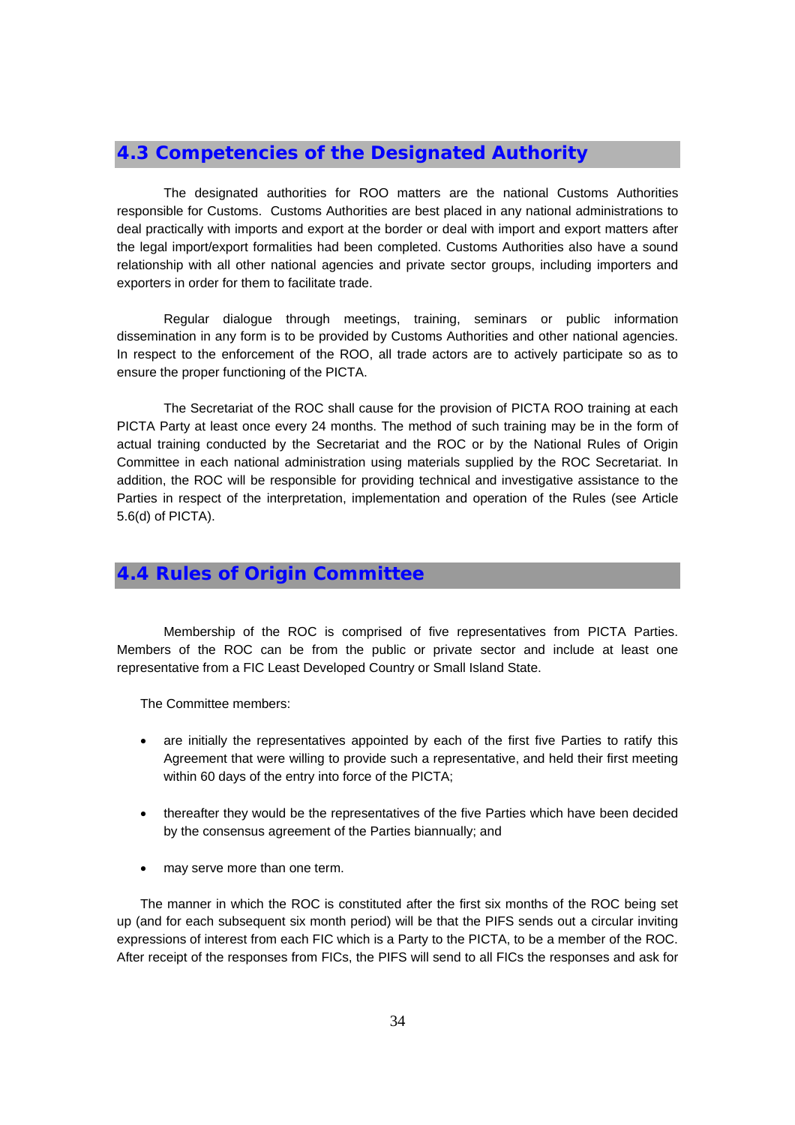## **4.3 Competencies of the Designated Authority**

The designated authorities for ROO matters are the national Customs Authorities responsible for Customs. Customs Authorities are best placed in any national administrations to deal practically with imports and export at the border or deal with import and export matters after the legal import/export formalities had been completed. Customs Authorities also have a sound relationship with all other national agencies and private sector groups, including importers and exporters in order for them to facilitate trade.

Regular dialogue through meetings, training, seminars or public information dissemination in any form is to be provided by Customs Authorities and other national agencies. In respect to the enforcement of the ROO, all trade actors are to actively participate so as to ensure the proper functioning of the PICTA.

The Secretariat of the ROC shall cause for the provision of PICTA ROO training at each PICTA Party at least once every 24 months. The method of such training may be in the form of actual training conducted by the Secretariat and the ROC or by the National Rules of Origin Committee in each national administration using materials supplied by the ROC Secretariat. In addition, the ROC will be responsible for providing technical and investigative assistance to the Parties in respect of the interpretation, implementation and operation of the Rules (see Article 5.6(d) of PICTA).

## **4.4 Rules of Origin Committee**

Membership of the ROC is comprised of five representatives from PICTA Parties. Members of the ROC can be from the public or private sector and include at least one representative from a FIC Least Developed Country or Small Island State.

The Committee members:

- are initially the representatives appointed by each of the first five Parties to ratify this Agreement that were willing to provide such a representative, and held their first meeting within 60 days of the entry into force of the PICTA;
- thereafter they would be the representatives of the five Parties which have been decided by the consensus agreement of the Parties biannually; and
- may serve more than one term.

The manner in which the ROC is constituted after the first six months of the ROC being set up (and for each subsequent six month period) will be that the PIFS sends out a circular inviting expressions of interest from each FIC which is a Party to the PICTA, to be a member of the ROC. After receipt of the responses from FICs, the PIFS will send to all FICs the responses and ask for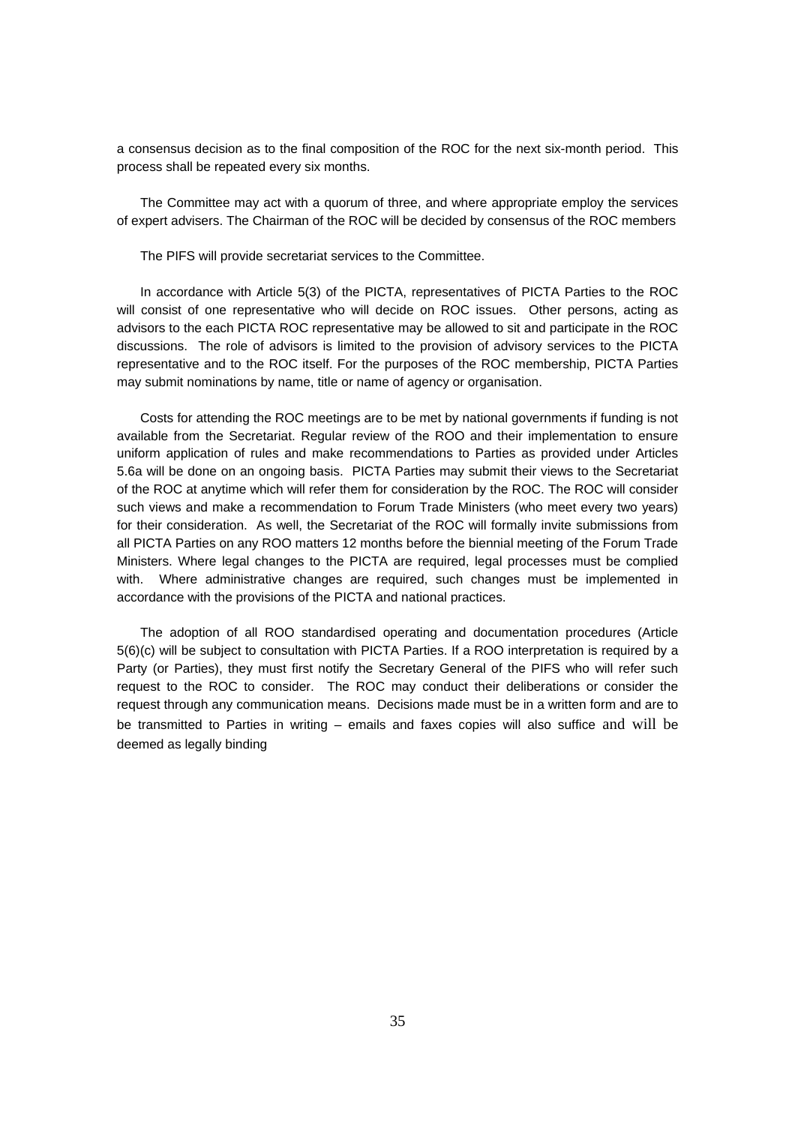a consensus decision as to the final composition of the ROC for the next six-month period. This process shall be repeated every six months.

The Committee may act with a quorum of three, and where appropriate employ the services of expert advisers. The Chairman of the ROC will be decided by consensus of the ROC members

The PIFS will provide secretariat services to the Committee.

In accordance with Article 5(3) of the PICTA, representatives of PICTA Parties to the ROC will consist of one representative who will decide on ROC issues. Other persons, acting as advisors to the each PICTA ROC representative may be allowed to sit and participate in the ROC discussions. The role of advisors is limited to the provision of advisory services to the PICTA representative and to the ROC itself. For the purposes of the ROC membership, PICTA Parties may submit nominations by name, title or name of agency or organisation.

Costs for attending the ROC meetings are to be met by national governments if funding is not available from the Secretariat. Regular review of the ROO and their implementation to ensure uniform application of rules and make recommendations to Parties as provided under Articles 5.6a will be done on an ongoing basis. PICTA Parties may submit their views to the Secretariat of the ROC at anytime which will refer them for consideration by the ROC. The ROC will consider such views and make a recommendation to Forum Trade Ministers (who meet every two years) for their consideration. As well, the Secretariat of the ROC will formally invite submissions from all PICTA Parties on any ROO matters 12 months before the biennial meeting of the Forum Trade Ministers. Where legal changes to the PICTA are required, legal processes must be complied with. Where administrative changes are required, such changes must be implemented in accordance with the provisions of the PICTA and national practices.

The adoption of all ROO standardised operating and documentation procedures (Article 5(6)(c) will be subject to consultation with PICTA Parties. If a ROO interpretation is required by a Party (or Parties), they must first notify the Secretary General of the PIFS who will refer such request to the ROC to consider. The ROC may conduct their deliberations or consider the request through any communication means. Decisions made must be in a written form and are to be transmitted to Parties in writing – emails and faxes copies will also suffice and will be deemed as legally binding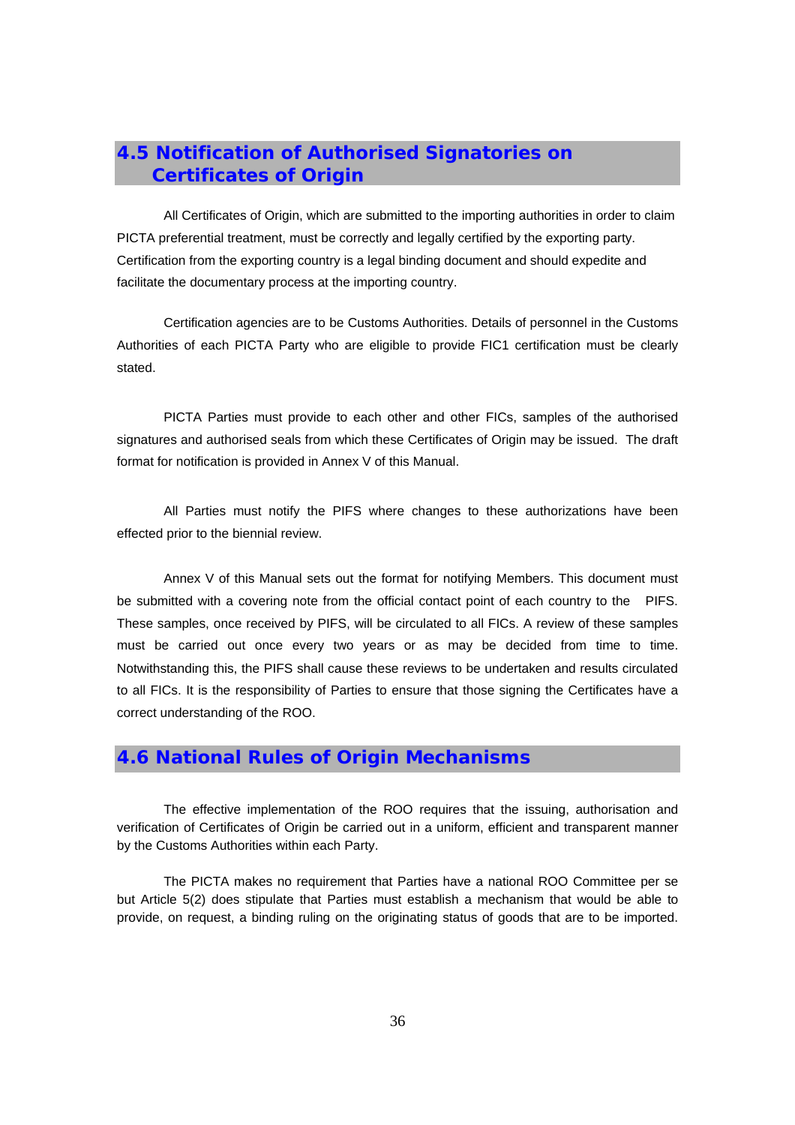## **4.5 Notification of Authorised Signatories on Certificates of Origin**

 All Certificates of Origin, which are submitted to the importing authorities in order to claim PICTA preferential treatment, must be correctly and legally certified by the exporting party. Certification from the exporting country is a legal binding document and should expedite and facilitate the documentary process at the importing country.

Certification agencies are to be Customs Authorities. Details of personnel in the Customs Authorities of each PICTA Party who are eligible to provide FIC1 certification must be clearly stated.

PICTA Parties must provide to each other and other FICs, samples of the authorised signatures and authorised seals from which these Certificates of Origin may be issued. The draft format for notification is provided in Annex V of this Manual.

All Parties must notify the PIFS where changes to these authorizations have been effected prior to the biennial review.

Annex V of this Manual sets out the format for notifying Members. This document must be submitted with a covering note from the official contact point of each country to the PIFS. These samples, once received by PIFS, will be circulated to all FICs. A review of these samples must be carried out once every two years or as may be decided from time to time. Notwithstanding this, the PIFS shall cause these reviews to be undertaken and results circulated to all FICs. It is the responsibility of Parties to ensure that those signing the Certificates have a correct understanding of the ROO.

## **4.6 National Rules of Origin Mechanisms**

The effective implementation of the ROO requires that the issuing, authorisation and verification of Certificates of Origin be carried out in a uniform, efficient and transparent manner by the Customs Authorities within each Party.

The PICTA makes no requirement that Parties have a national ROO Committee per se but Article 5(2) does stipulate that Parties must establish a mechanism that would be able to provide, on request, a binding ruling on the originating status of goods that are to be imported.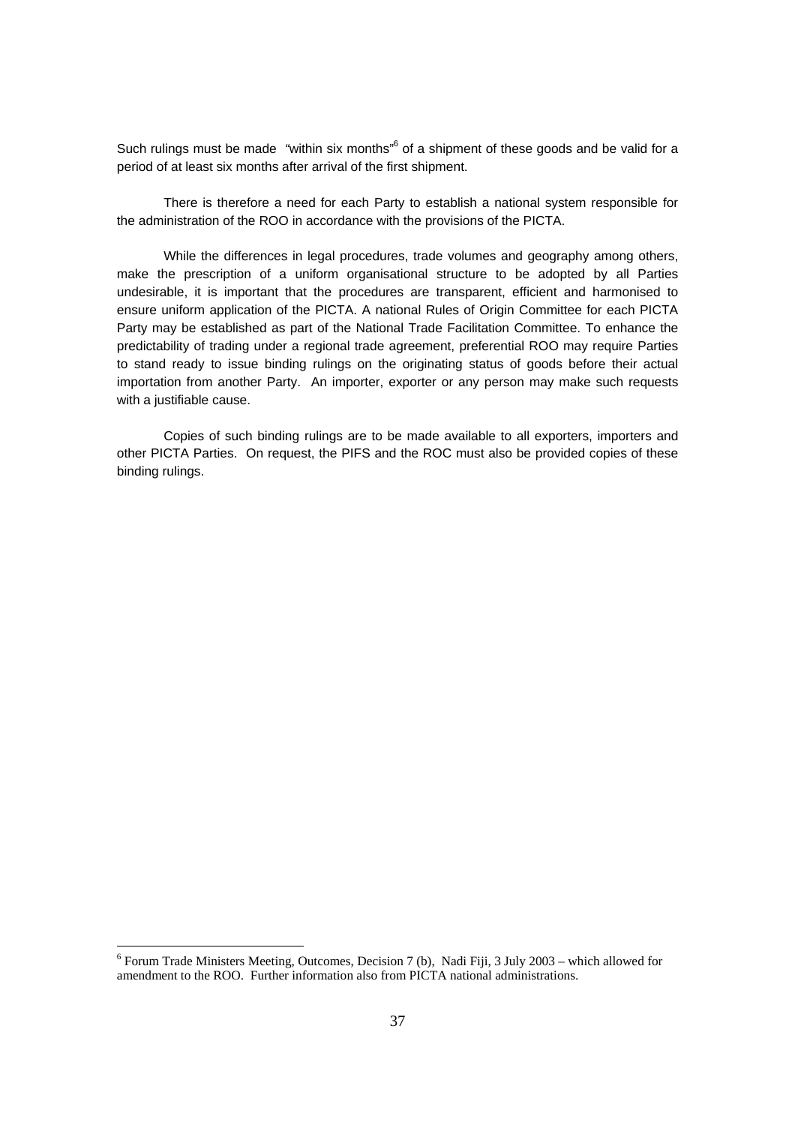Such rulings must be made "within six months"<sup>6</sup> of a shipment of these goods and be valid for a period of at least six months after arrival of the first shipment.

There is therefore a need for each Party to establish a national system responsible for the administration of the ROO in accordance with the provisions of the PICTA.

While the differences in legal procedures, trade volumes and geography among others, make the prescription of a uniform organisational structure to be adopted by all Parties undesirable, it is important that the procedures are transparent, efficient and harmonised to ensure uniform application of the PICTA. A national Rules of Origin Committee for each PICTA Party may be established as part of the National Trade Facilitation Committee. To enhance the predictability of trading under a regional trade agreement, preferential ROO may require Parties to stand ready to issue binding rulings on the originating status of goods before their actual importation from another Party. An importer, exporter or any person may make such requests with a justifiable cause.

Copies of such binding rulings are to be made available to all exporters, importers and other PICTA Parties. On request, the PIFS and the ROC must also be provided copies of these binding rulings.

<sup>&</sup>lt;sup>6</sup> Forum Trade Ministers Meeting, Outcomes, Decision 7 (b), Nadi Fiji, 3 July 2003 – which allowed for amendment to the ROO. Further information also from PICTA national administrations.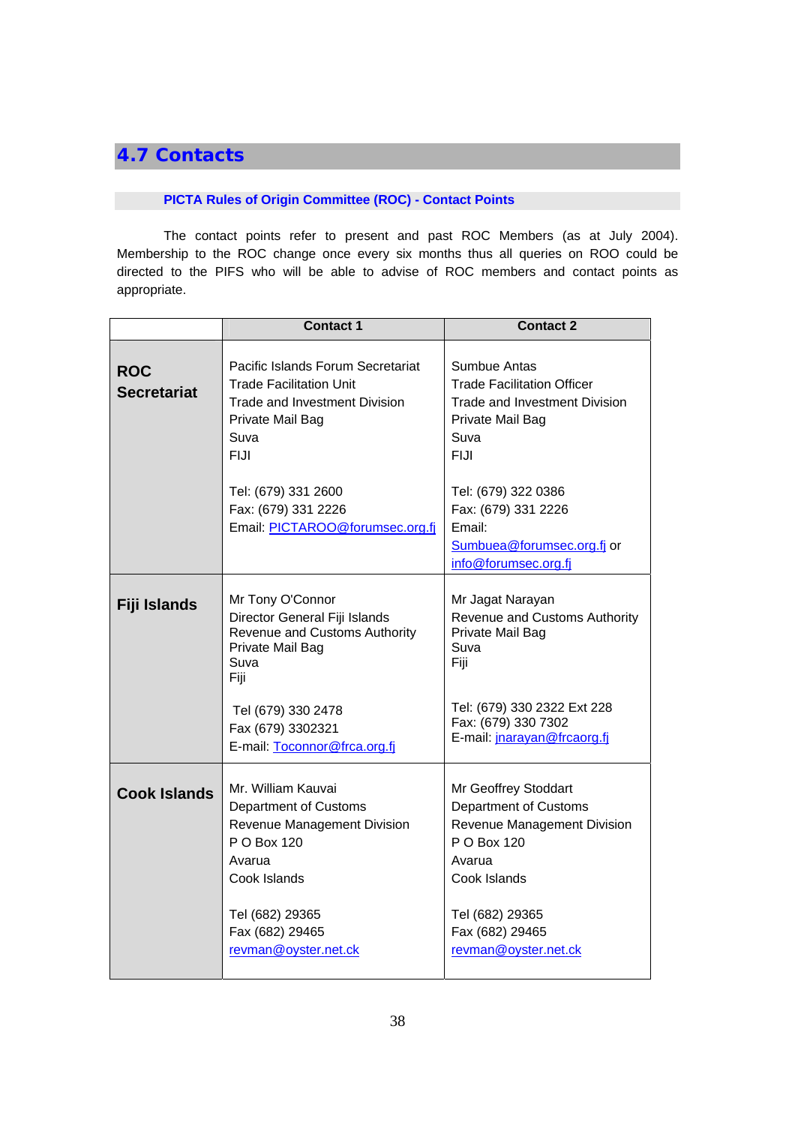# **4.7 Contacts**

## **PICTA Rules of Origin Committee (ROC) - Contact Points**

The contact points refer to present and past ROC Members (as at July 2004). Membership to the ROC change once every six months thus all queries on ROO could be directed to the PIFS who will be able to advise of ROC members and contact points as appropriate.

|                                  | <b>Contact 1</b>                                                                                                                                                                                  | <b>Contact 2</b>                                                                                                                                                                    |
|----------------------------------|---------------------------------------------------------------------------------------------------------------------------------------------------------------------------------------------------|-------------------------------------------------------------------------------------------------------------------------------------------------------------------------------------|
| <b>ROC</b><br><b>Secretariat</b> | Pacific Islands Forum Secretariat<br><b>Trade Facilitation Unit</b><br>Trade and Investment Division<br>Private Mail Bag<br>Suva<br>FIJI                                                          | Sumbue Antas<br><b>Trade Facilitation Officer</b><br>Trade and Investment Division<br>Private Mail Bag<br>Suva<br><b>FIJI</b>                                                       |
|                                  | Tel: (679) 331 2600<br>Fax: (679) 331 2226<br>Email: PICTAROO@forumsec.org.fj                                                                                                                     | Tel: (679) 322 0386<br>Fax: (679) 331 2226<br>Email:<br>Sumbuea@forumsec.org.fj or<br>info@forumsec.org.fj                                                                          |
| Fiji Islands                     | Mr Tony O'Connor<br>Director General Fiji Islands<br>Revenue and Customs Authority<br>Private Mail Bag<br>Suva<br>Fiji<br>Tel (679) 330 2478<br>Fax (679) 3302321<br>E-mail: Toconnor@frca.org.fj | Mr Jagat Narayan<br>Revenue and Customs Authority<br>Private Mail Bag<br>Suva<br>Fiji<br>Tel: (679) 330 2322 Ext 228<br>Fax: (679) 330 7302<br>E-mail: jnarayan@frcaorg.fj          |
| <b>Cook Islands</b>              | Mr. William Kauvai<br>Department of Customs<br>Revenue Management Division<br>P O Box 120<br>Avarua<br>Cook Islands<br>Tel (682) 29365<br>Fax (682) 29465<br>revman@oyster.net.ck                 | Mr Geoffrey Stoddart<br>Department of Customs<br>Revenue Management Division<br>P O Box 120<br>Avarua<br>Cook Islands<br>Tel (682) 29365<br>Fax (682) 29465<br>revman@oyster.net.ck |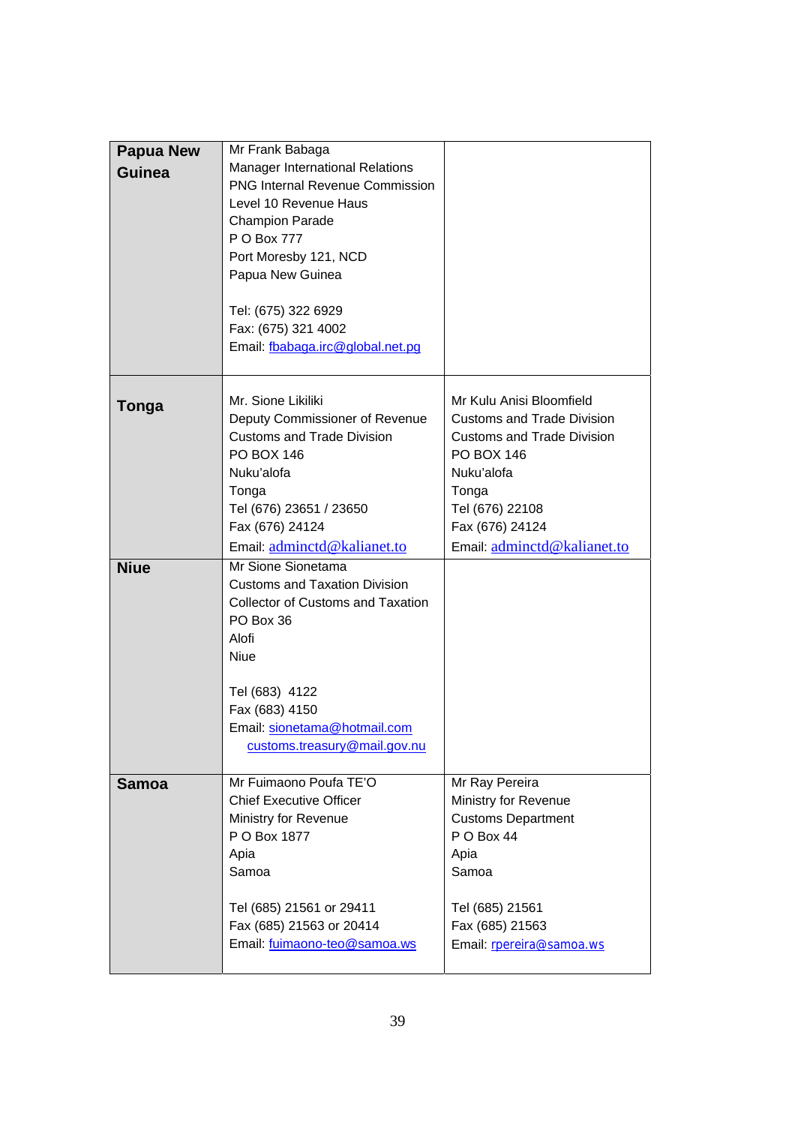| <b>Papua New</b> | Mr Frank Babaga                          |                                        |
|------------------|------------------------------------------|----------------------------------------|
| Guinea           | <b>Manager International Relations</b>   |                                        |
|                  | <b>PNG Internal Revenue Commission</b>   |                                        |
|                  | Level 10 Revenue Haus                    |                                        |
|                  | <b>Champion Parade</b>                   |                                        |
|                  | P O Box 777                              |                                        |
|                  | Port Moresby 121, NCD                    |                                        |
|                  | Papua New Guinea                         |                                        |
|                  |                                          |                                        |
|                  |                                          |                                        |
|                  | Tel: (675) 322 6929                      |                                        |
|                  | Fax: (675) 321 4002                      |                                        |
|                  | Email: fbabaga.irc@global.net.pg         |                                        |
|                  |                                          |                                        |
| Tonga            | Mr. Sione Likiliki                       | Mr Kulu Anisi Bloomfield               |
|                  | Deputy Commissioner of Revenue           | <b>Customs and Trade Division</b>      |
|                  | <b>Customs and Trade Division</b>        | <b>Customs and Trade Division</b>      |
|                  | <b>PO BOX 146</b>                        | <b>PO BOX 146</b>                      |
|                  | Nuku'alofa                               | Nuku'alofa                             |
|                  | Tonga                                    | Tonga                                  |
|                  | Tel (676) 23651 / 23650                  | Tel (676) 22108                        |
|                  | Fax (676) 24124                          | Fax (676) 24124                        |
|                  | Email: adminctd@kalianet.to              | Email: adminctd@kalianet.to            |
| <b>Niue</b>      | Mr Sione Sionetama                       |                                        |
|                  | <b>Customs and Taxation Division</b>     |                                        |
|                  | <b>Collector of Customs and Taxation</b> |                                        |
|                  | PO Box 36                                |                                        |
|                  | Alofi                                    |                                        |
|                  | Niue                                     |                                        |
|                  |                                          |                                        |
|                  | Tel (683) 4122                           |                                        |
|                  | Fax (683) 4150                           |                                        |
|                  | Email: sionetama@hotmail.com             |                                        |
|                  | customs.treasury@mail.gov.nu             |                                        |
|                  | Mr Fuimaono Poufa TE'O                   |                                        |
| <b>Samoa</b>     | <b>Chief Executive Officer</b>           | Mr Ray Pereira<br>Ministry for Revenue |
|                  |                                          |                                        |
|                  | Ministry for Revenue                     | <b>Customs Department</b>              |
|                  | P O Box 1877                             | P O Box 44                             |
|                  | Apia                                     | Apia                                   |
|                  | Samoa                                    | Samoa                                  |
|                  | Tel (685) 21561 or 29411                 | Tel (685) 21561                        |
|                  | Fax (685) 21563 or 20414                 | Fax (685) 21563                        |
|                  | Email: fuimaono-teo@samoa.ws             | Email: rpereira@samoa.ws               |
|                  |                                          |                                        |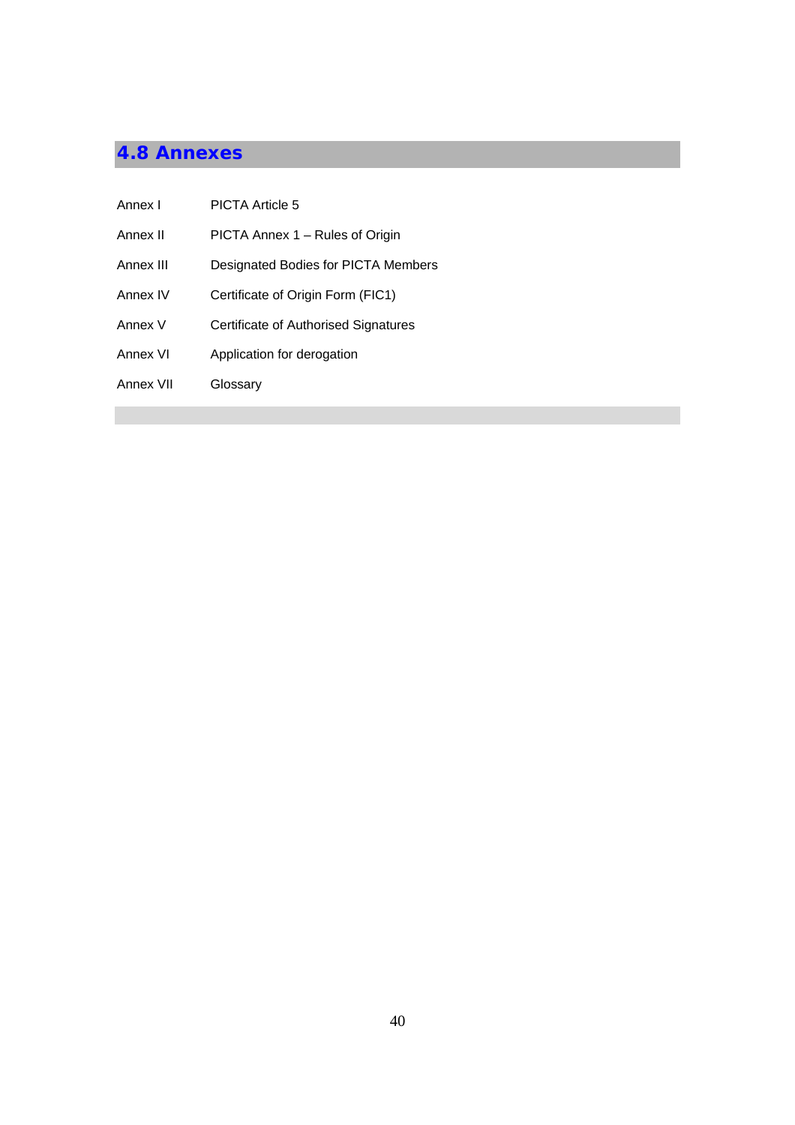# **4.8 Annexes**

| Annex I   | <b>PICTA Article 5</b>               |
|-----------|--------------------------------------|
| Annex II  | PICTA Annex 1 - Rules of Origin      |
| Annex III | Designated Bodies for PICTA Members  |
| Annex IV  | Certificate of Origin Form (FIC1)    |
| Annex V   | Certificate of Authorised Signatures |
| Annex VI  | Application for derogation           |
| Annex VII | Glossary                             |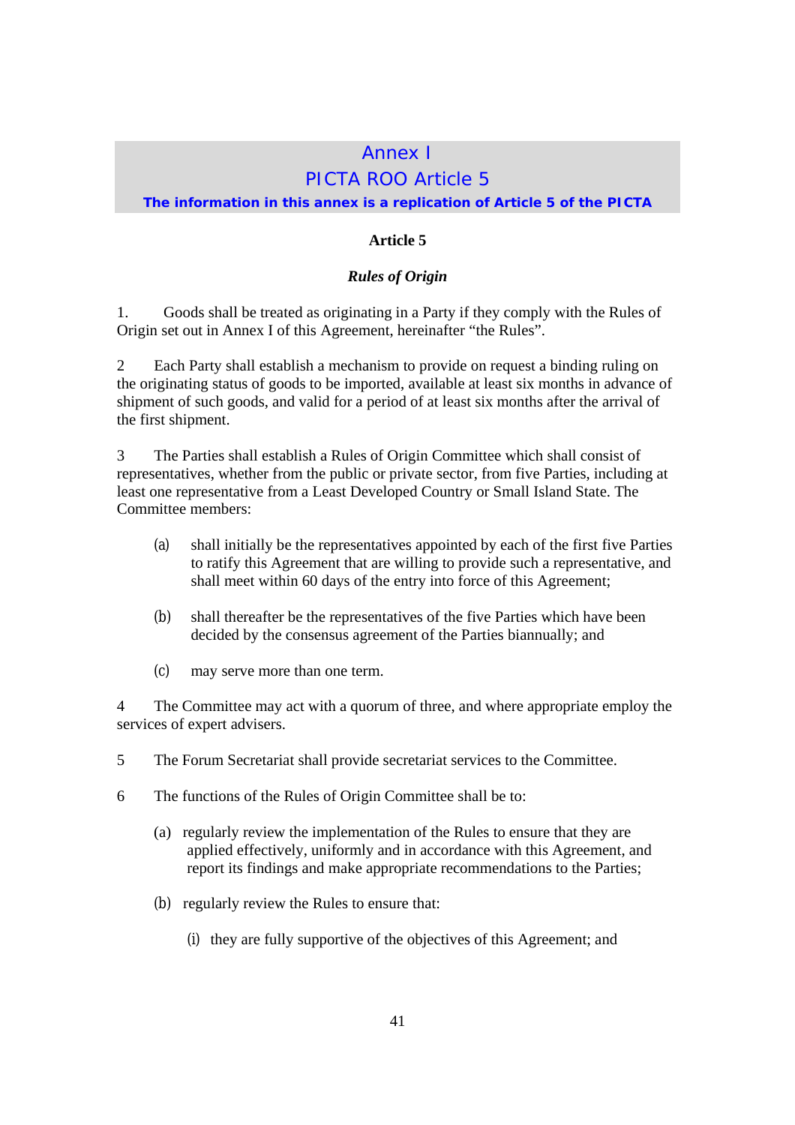## Annex I PICTA ROO Article 5

## **The information in this annex is a replication of Article 5 of the PICTA**

## **Article 5**

## *Rules of Origin*

1. Goods shall be treated as originating in a Party if they comply with the Rules of Origin set out in Annex I of this Agreement, hereinafter "the Rules".

2 Each Party shall establish a mechanism to provide on request a binding ruling on the originating status of goods to be imported, available at least six months in advance of shipment of such goods, and valid for a period of at least six months after the arrival of the first shipment.

3 The Parties shall establish a Rules of Origin Committee which shall consist of representatives, whether from the public or private sector, from five Parties, including at least one representative from a Least Developed Country or Small Island State. The Committee members:

- (a) shall initially be the representatives appointed by each of the first five Parties to ratify this Agreement that are willing to provide such a representative, and shall meet within 60 days of the entry into force of this Agreement;
- (b) shall thereafter be the representatives of the five Parties which have been decided by the consensus agreement of the Parties biannually; and
- (c) may serve more than one term.

4 The Committee may act with a quorum of three, and where appropriate employ the services of expert advisers.

- 5 The Forum Secretariat shall provide secretariat services to the Committee.
- 6 The functions of the Rules of Origin Committee shall be to:
	- (a) regularly review the implementation of the Rules to ensure that they are applied effectively, uniformly and in accordance with this Agreement, and report its findings and make appropriate recommendations to the Parties;
	- (b) regularly review the Rules to ensure that:
		- (i) they are fully supportive of the objectives of this Agreement; and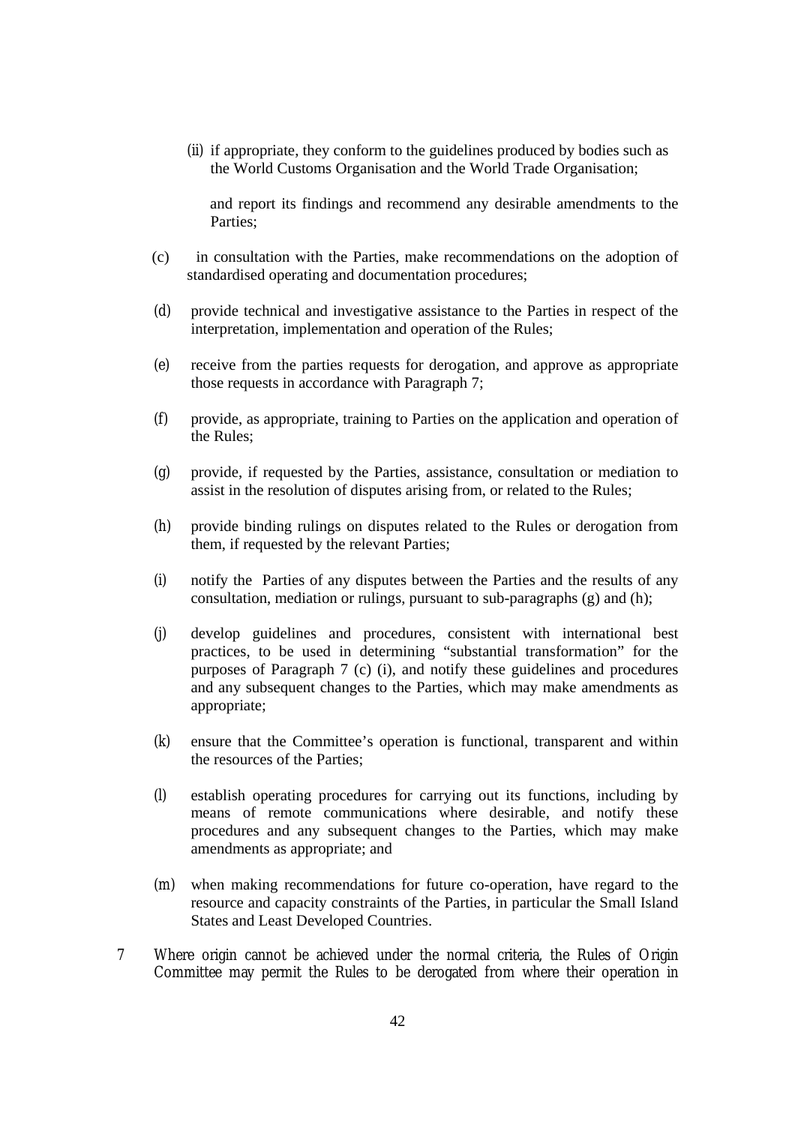(ii) if appropriate, they conform to the guidelines produced by bodies such as the World Customs Organisation and the World Trade Organisation;

 and report its findings and recommend any desirable amendments to the Parties;

- (c) in consultation with the Parties, make recommendations on the adoption of standardised operating and documentation procedures;
- (d) provide technical and investigative assistance to the Parties in respect of the interpretation, implementation and operation of the Rules;
- (e) receive from the parties requests for derogation, and approve as appropriate those requests in accordance with Paragraph 7;
- (f) provide, as appropriate, training to Parties on the application and operation of the Rules;
- (g) provide, if requested by the Parties, assistance, consultation or mediation to assist in the resolution of disputes arising from, or related to the Rules;
- (h) provide binding rulings on disputes related to the Rules or derogation from them, if requested by the relevant Parties;
- (i) notify the Parties of any disputes between the Parties and the results of any consultation, mediation or rulings, pursuant to sub-paragraphs (g) and (h);
- (j) develop guidelines and procedures, consistent with international best practices, to be used in determining "substantial transformation" for the purposes of Paragraph 7 (c) (i), and notify these guidelines and procedures and any subsequent changes to the Parties, which may make amendments as appropriate;
- (k) ensure that the Committee's operation is functional, transparent and within the resources of the Parties;
- (l) establish operating procedures for carrying out its functions, including by means of remote communications where desirable, and notify these procedures and any subsequent changes to the Parties, which may make amendments as appropriate; and
- (m) when making recommendations for future co-operation, have regard to the resource and capacity constraints of the Parties, in particular the Small Island States and Least Developed Countries.
- 7 Where origin cannot be achieved under the normal criteria, the Rules of Origin Committee may permit the Rules to be derogated from where their operation in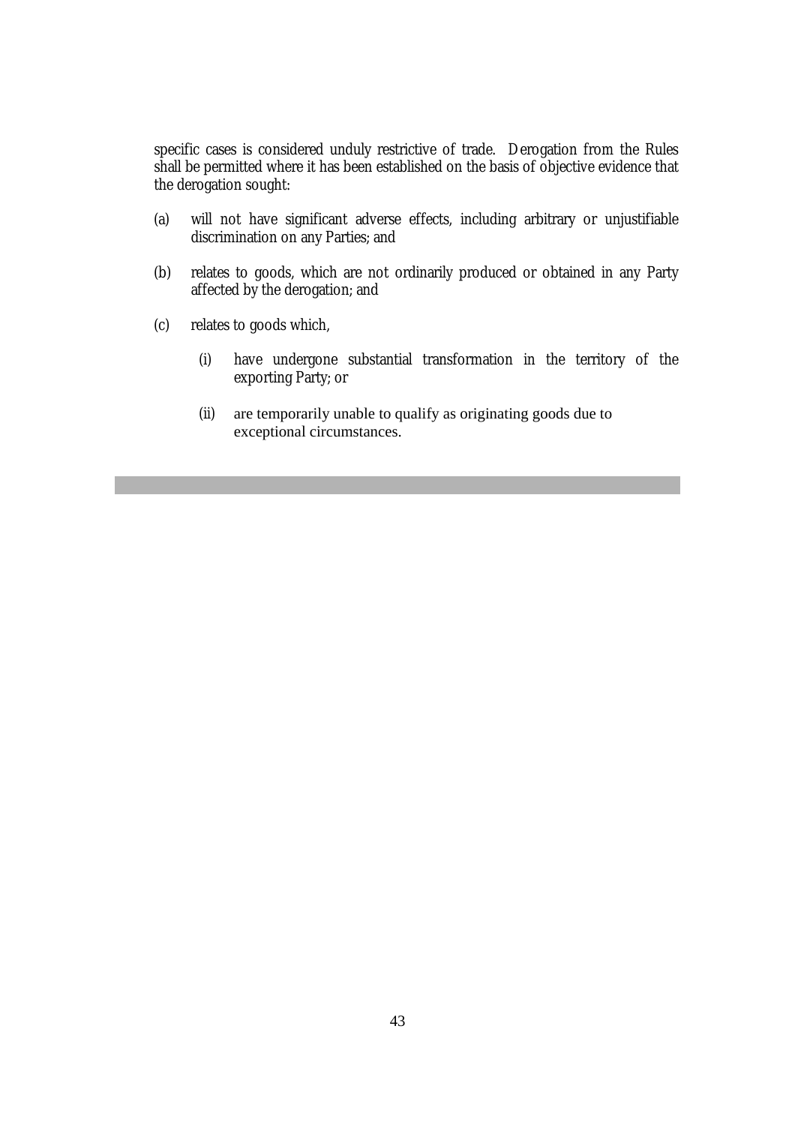specific cases is considered unduly restrictive of trade. Derogation from the Rules shall be permitted where it has been established on the basis of objective evidence that the derogation sought:

- (a) will not have significant adverse effects, including arbitrary or unjustifiable discrimination on any Parties; and
- (b) relates to goods, which are not ordinarily produced or obtained in any Party affected by the derogation; and
- (c) relates to goods which,
	- (i) have undergone substantial transformation in the territory of the exporting Party; or
	- (ii) are temporarily unable to qualify as originating goods due to exceptional circumstances.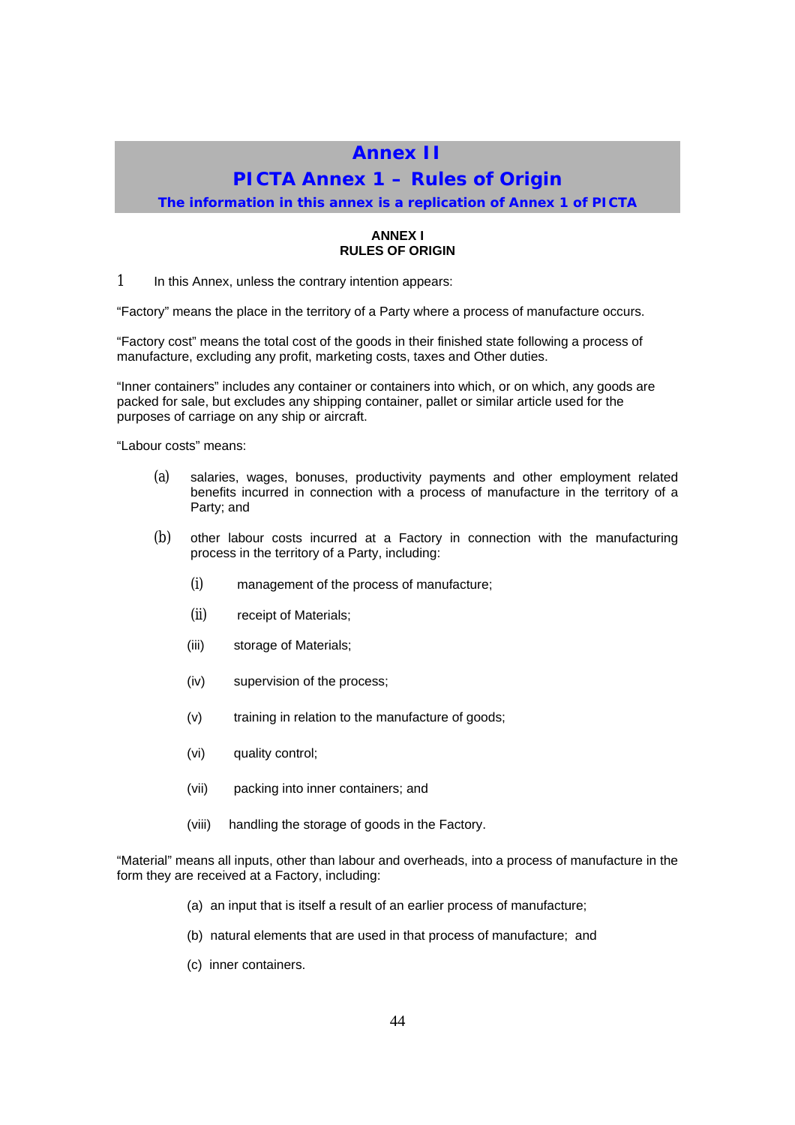## **Annex II**

## **PICTA Annex 1 – Rules of Origin**

**The information in this annex is a replication of Annex 1 of PICTA**

#### **ANNEX I RULES OF ORIGIN**

1 In this Annex, unless the contrary intention appears:

"Factory" means the place in the territory of a Party where a process of manufacture occurs.

"Factory cost" means the total cost of the goods in their finished state following a process of manufacture, excluding any profit, marketing costs, taxes and Other duties.

"Inner containers" includes any container or containers into which, or on which, any goods are packed for sale, but excludes any shipping container, pallet or similar article used for the purposes of carriage on any ship or aircraft.

"Labour costs" means:

- (a) salaries, wages, bonuses, productivity payments and other employment related benefits incurred in connection with a process of manufacture in the territory of a Party; and
- (b) other labour costs incurred at a Factory in connection with the manufacturing process in the territory of a Party, including:
	- (i) management of the process of manufacture;
	- (ii) receipt of Materials;
	- (iii) storage of Materials;
	- (iv) supervision of the process;
	- (v) training in relation to the manufacture of goods;
	- (vi) quality control;
	- (vii) packing into inner containers; and
	- (viii) handling the storage of goods in the Factory.

"Material" means all inputs, other than labour and overheads, into a process of manufacture in the form they are received at a Factory, including:

- (a) an input that is itself a result of an earlier process of manufacture;
- (b) natural elements that are used in that process of manufacture; and
- (c) inner containers.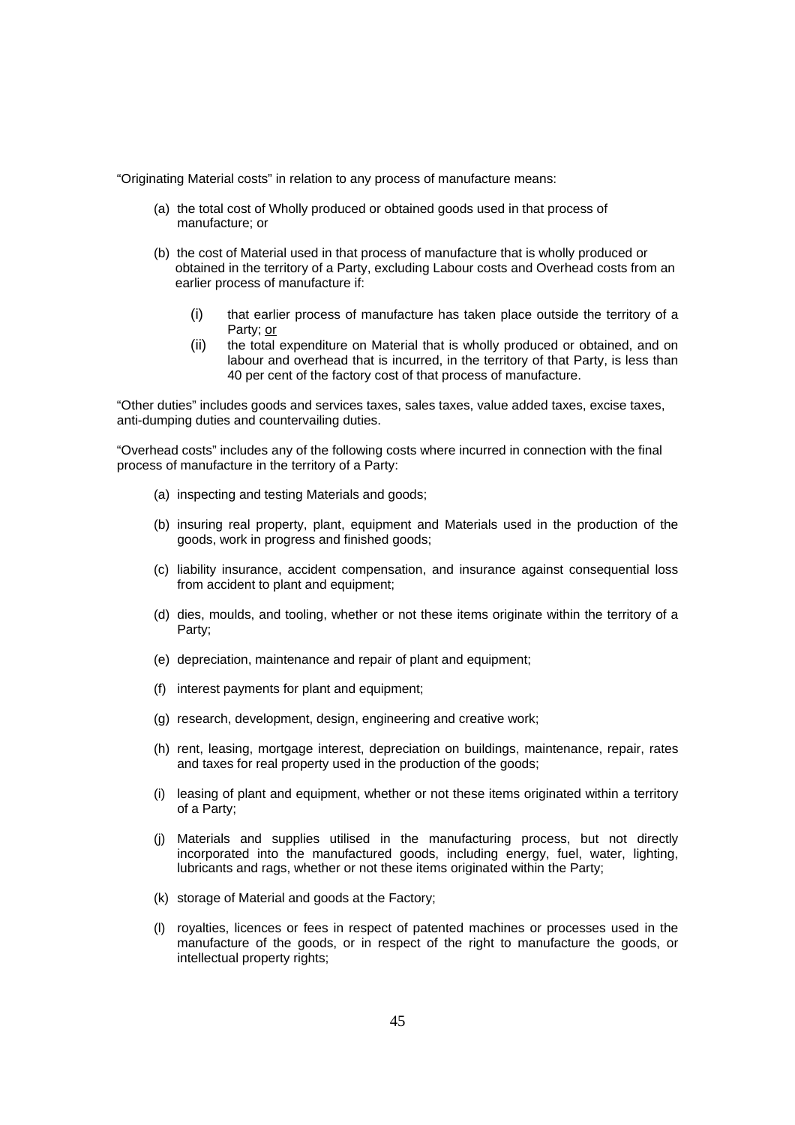"Originating Material costs" in relation to any process of manufacture means:

- (a) the total cost of Wholly produced or obtained goods used in that process of manufacture; or
- (b) the cost of Material used in that process of manufacture that is wholly produced or obtained in the territory of a Party, excluding Labour costs and Overhead costs from an earlier process of manufacture if:
	- (i) that earlier process of manufacture has taken place outside the territory of a Party; or
	- (ii) the total expenditure on Material that is wholly produced or obtained, and on labour and overhead that is incurred, in the territory of that Party, is less than 40 per cent of the factory cost of that process of manufacture.

"Other duties" includes goods and services taxes, sales taxes, value added taxes, excise taxes, anti-dumping duties and countervailing duties.

"Overhead costs" includes any of the following costs where incurred in connection with the final process of manufacture in the territory of a Party:

- (a) inspecting and testing Materials and goods;
- (b) insuring real property, plant, equipment and Materials used in the production of the goods, work in progress and finished goods;
- (c) liability insurance, accident compensation, and insurance against consequential loss from accident to plant and equipment;
- (d) dies, moulds, and tooling, whether or not these items originate within the territory of a Party;
- (e) depreciation, maintenance and repair of plant and equipment;
- (f) interest payments for plant and equipment;
- (g) research, development, design, engineering and creative work;
- (h) rent, leasing, mortgage interest, depreciation on buildings, maintenance, repair, rates and taxes for real property used in the production of the goods;
- (i) leasing of plant and equipment, whether or not these items originated within a territory of a Party;
- (j) Materials and supplies utilised in the manufacturing process, but not directly incorporated into the manufactured goods, including energy, fuel, water, lighting, lubricants and rags, whether or not these items originated within the Party;
- (k) storage of Material and goods at the Factory;
- (l) royalties, licences or fees in respect of patented machines or processes used in the manufacture of the goods, or in respect of the right to manufacture the goods, or intellectual property rights;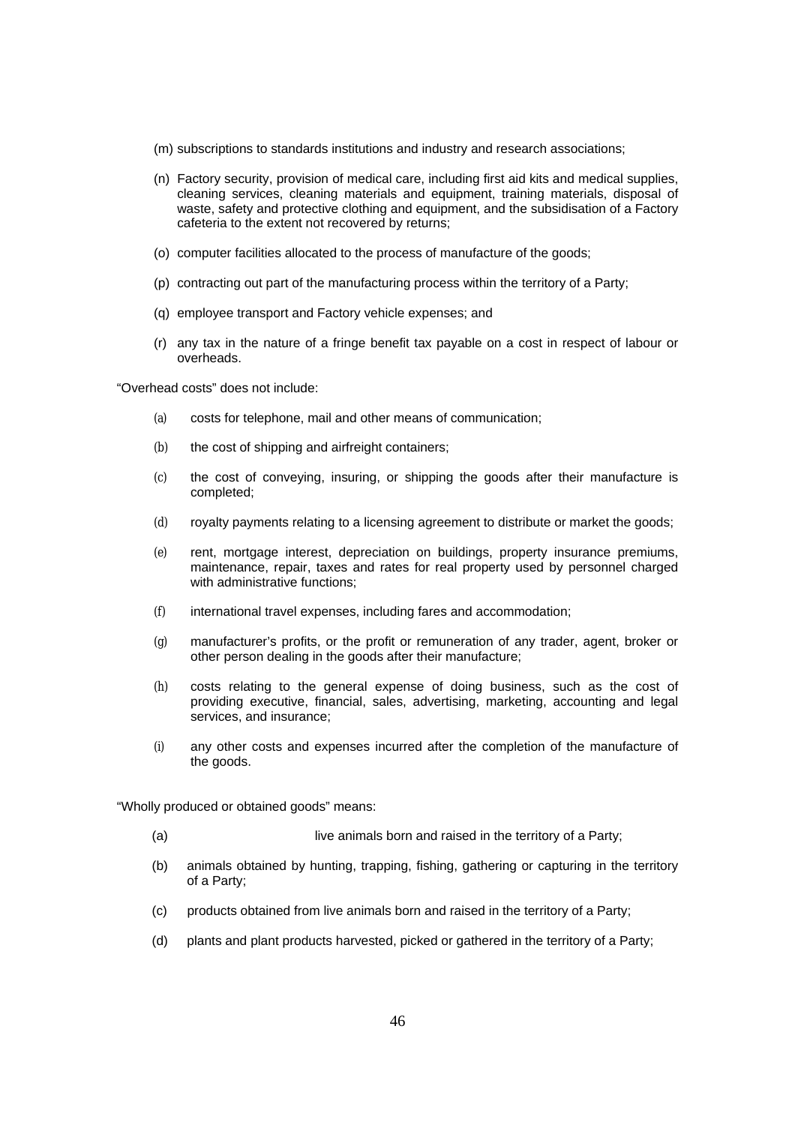- (m) subscriptions to standards institutions and industry and research associations;
- (n) Factory security, provision of medical care, including first aid kits and medical supplies, cleaning services, cleaning materials and equipment, training materials, disposal of waste, safety and protective clothing and equipment, and the subsidisation of a Factory cafeteria to the extent not recovered by returns;
- (o) computer facilities allocated to the process of manufacture of the goods;
- (p) contracting out part of the manufacturing process within the territory of a Party;
- (q) employee transport and Factory vehicle expenses; and
- (r) any tax in the nature of a fringe benefit tax payable on a cost in respect of labour or overheads.

"Overhead costs" does not include:

- (a) costs for telephone, mail and other means of communication;
- (b) the cost of shipping and airfreight containers;
- (c) the cost of conveying, insuring, or shipping the goods after their manufacture is completed;
- (d) royalty payments relating to a licensing agreement to distribute or market the goods;
- (e) rent, mortgage interest, depreciation on buildings, property insurance premiums, maintenance, repair, taxes and rates for real property used by personnel charged with administrative functions;
- (f) international travel expenses, including fares and accommodation;
- (g) manufacturer's profits, or the profit or remuneration of any trader, agent, broker or other person dealing in the goods after their manufacture;
- (h) costs relating to the general expense of doing business, such as the cost of providing executive, financial, sales, advertising, marketing, accounting and legal services, and insurance;
- (i) any other costs and expenses incurred after the completion of the manufacture of the goods.

"Wholly produced or obtained goods" means:

- (a) live animals born and raised in the territory of a Party;
- (b) animals obtained by hunting, trapping, fishing, gathering or capturing in the territory of a Party;
- (c) products obtained from live animals born and raised in the territory of a Party;
- (d) plants and plant products harvested, picked or gathered in the territory of a Party;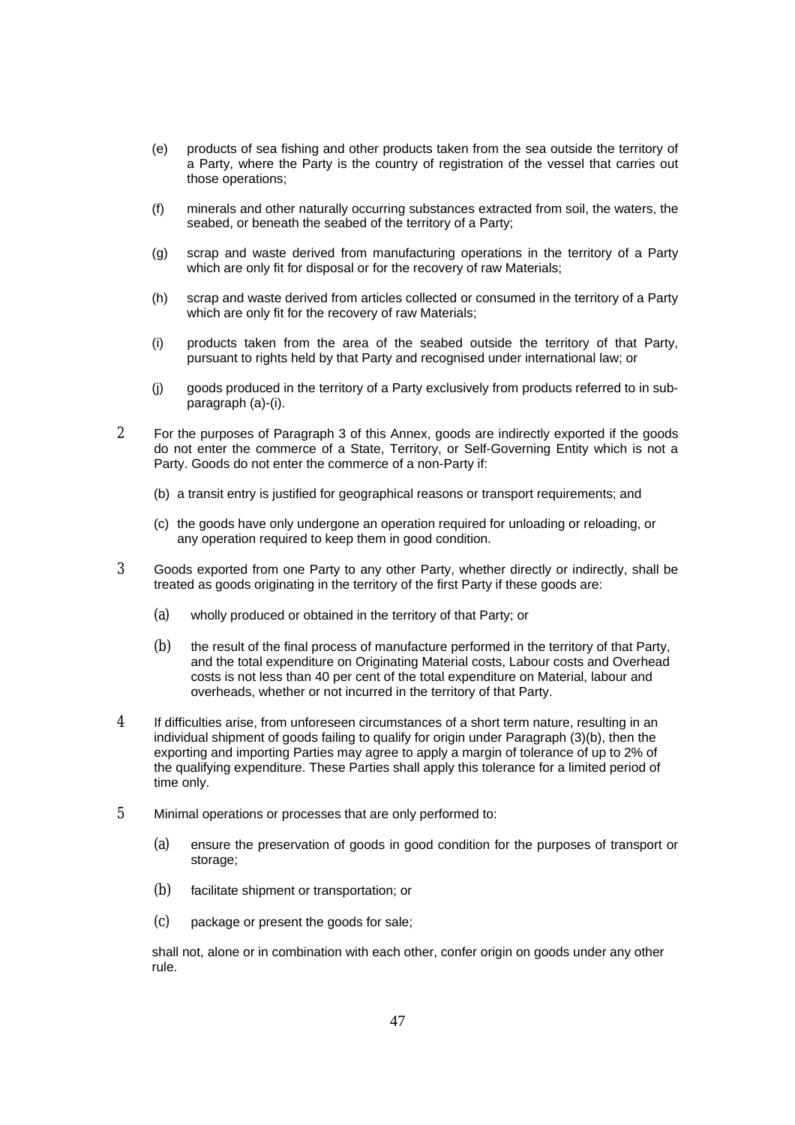- (e) products of sea fishing and other products taken from the sea outside the territory of a Party, where the Party is the country of registration of the vessel that carries out those operations;
- (f) minerals and other naturally occurring substances extracted from soil, the waters, the seabed, or beneath the seabed of the territory of a Party;
- (g) scrap and waste derived from manufacturing operations in the territory of a Party which are only fit for disposal or for the recovery of raw Materials;
- (h) scrap and waste derived from articles collected or consumed in the territory of a Party which are only fit for the recovery of raw Materials;
- (i) products taken from the area of the seabed outside the territory of that Party, pursuant to rights held by that Party and recognised under international law; or
- (j) goods produced in the territory of a Party exclusively from products referred to in subparagraph (a)-(i).
- 2 For the purposes of Paragraph 3 of this Annex, goods are indirectly exported if the goods do not enter the commerce of a State, Territory, or Self-Governing Entity which is not a Party. Goods do not enter the commerce of a non-Party if:
	- (b) a transit entry is justified for geographical reasons or transport requirements; and
	- (c) the goods have only undergone an operation required for unloading or reloading, or any operation required to keep them in good condition.
- 3 Goods exported from one Party to any other Party, whether directly or indirectly, shall be treated as goods originating in the territory of the first Party if these goods are:
	- (a) wholly produced or obtained in the territory of that Party; or
	- (b) the result of the final process of manufacture performed in the territory of that Party, and the total expenditure on Originating Material costs, Labour costs and Overhead costs is not less than 40 per cent of the total expenditure on Material, labour and overheads, whether or not incurred in the territory of that Party.
- 4 If difficulties arise, from unforeseen circumstances of a short term nature, resulting in an individual shipment of goods failing to qualify for origin under Paragraph (3)(b), then the exporting and importing Parties may agree to apply a margin of tolerance of up to 2% of the qualifying expenditure. These Parties shall apply this tolerance for a limited period of time only.
- 5 Minimal operations or processes that are only performed to:
	- (a) ensure the preservation of goods in good condition for the purposes of transport or storage;
	- (b) facilitate shipment or transportation; or
	- (c) package or present the goods for sale;

shall not, alone or in combination with each other, confer origin on goods under any other rule.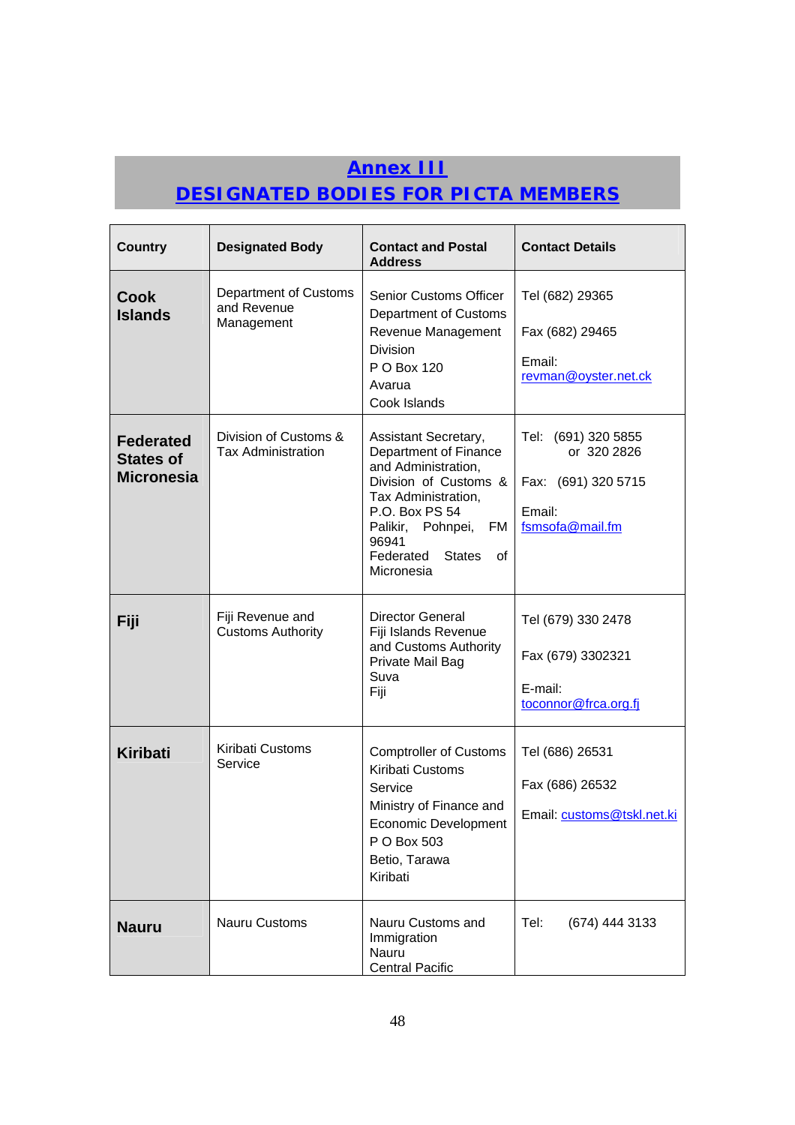# **Annex III**

# **DESIGNATED BODIES FOR PICTA MEMBERS**

| <b>Country</b>                                            | <b>Designated Body</b>                             | <b>Contact and Postal</b><br><b>Address</b>                                                                                                                                                                               | <b>Contact Details</b>                                                                 |
|-----------------------------------------------------------|----------------------------------------------------|---------------------------------------------------------------------------------------------------------------------------------------------------------------------------------------------------------------------------|----------------------------------------------------------------------------------------|
| <b>Cook</b><br><b>Islands</b>                             | Department of Customs<br>and Revenue<br>Management | <b>Senior Customs Officer</b><br>Department of Customs<br>Revenue Management<br><b>Division</b><br>P O Box 120<br>Avarua<br>Cook Islands                                                                                  | Tel (682) 29365<br>Fax (682) 29465<br>Email:<br>revman@oyster.net.ck                   |
| <b>Federated</b><br><b>States of</b><br><b>Micronesia</b> | Division of Customs &<br><b>Tax Administration</b> | Assistant Secretary,<br>Department of Finance<br>and Administration,<br>Division of Customs &<br>Tax Administration,<br>P.O. Box PS 54<br>Palikir, Pohnpei, FM<br>96941<br>Federated<br><b>States</b><br>οf<br>Micronesia | Tel: (691) 320 5855<br>or 320 2826<br>Fax: (691) 320 5715<br>Email:<br>fsmsofa@mail.fm |
| Fiji                                                      | Fiji Revenue and<br><b>Customs Authority</b>       | <b>Director General</b><br>Fiji Islands Revenue<br>and Customs Authority<br>Private Mail Bag<br>Suva<br>Fiji                                                                                                              | Tel (679) 330 2478<br>Fax (679) 3302321<br>E-mail:<br>toconnor@frca.org.fj             |
| <b>Kiribati</b>                                           | Kiribati Customs<br>Service                        | <b>Comptroller of Customs</b><br>Kiribati Customs<br>Service<br>Ministry of Finance and<br>Economic Development<br>P O Box 503<br>Betio, Tarawa<br>Kiribati                                                               | Tel (686) 26531<br>Fax (686) 26532<br>Email: customs@tskl.net.ki                       |
| <b>Nauru</b>                                              | Nauru Customs                                      | Nauru Customs and<br>Immigration<br>Nauru<br><b>Central Pacific</b>                                                                                                                                                       | Tel:<br>(674) 444 3133                                                                 |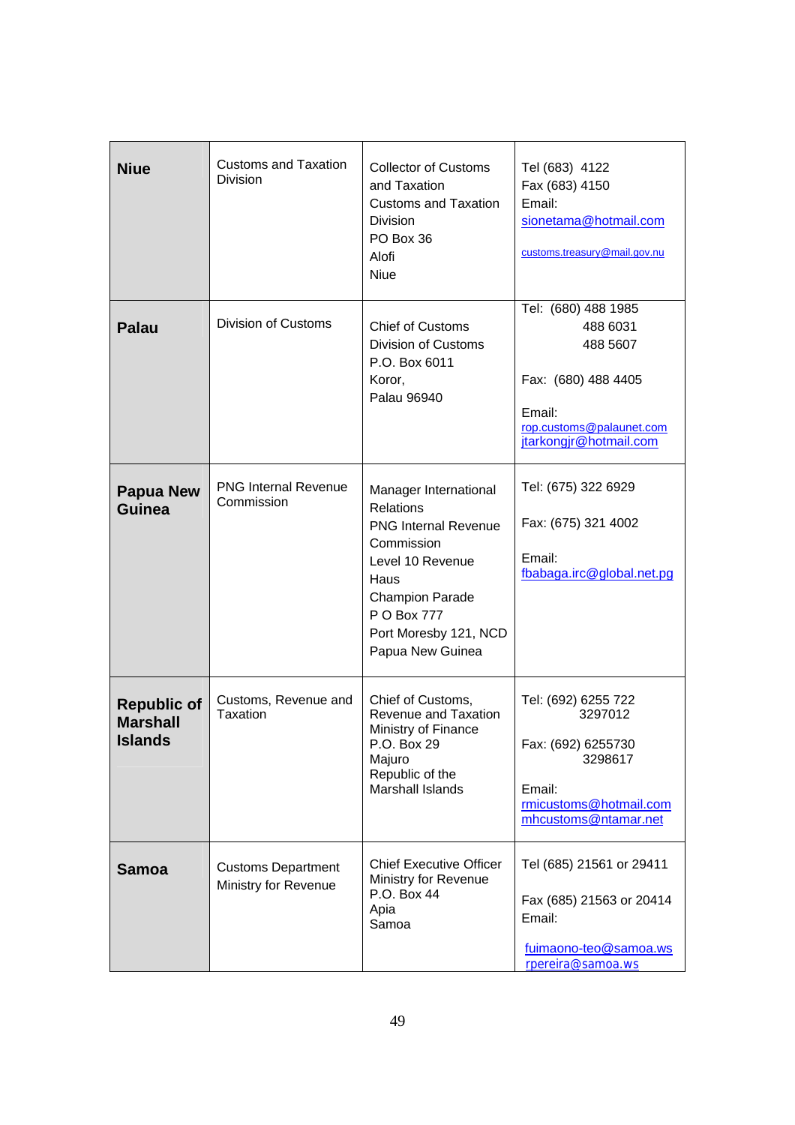| <b>Niue</b>                                             | <b>Customs and Taxation</b><br>Division           | <b>Collector of Customs</b><br>and Taxation<br><b>Customs and Taxation</b><br>Division<br>PO Box 36<br>Alofi<br><b>Niue</b>                                                                              | Tel (683) 4122<br>Fax (683) 4150<br>Email:<br>sionetama@hotmail.com<br>customs.treasury@mail.gov.nu                                |
|---------------------------------------------------------|---------------------------------------------------|----------------------------------------------------------------------------------------------------------------------------------------------------------------------------------------------------------|------------------------------------------------------------------------------------------------------------------------------------|
| <b>Palau</b>                                            | Division of Customs                               | <b>Chief of Customs</b><br>Division of Customs<br>P.O. Box 6011<br>Koror,<br>Palau 96940                                                                                                                 | Tel: (680) 488 1985<br>488 6031<br>488 5607<br>Fax: (680) 488 4405<br>Email:<br>rop.customs@palaunet.com<br>jtarkongjr@hotmail.com |
| <b>Papua New</b><br>Guinea                              | <b>PNG Internal Revenue</b><br>Commission         | Manager International<br><b>Relations</b><br><b>PNG Internal Revenue</b><br>Commission<br>Level 10 Revenue<br>Haus<br><b>Champion Parade</b><br>P O Box 777<br>Port Moresby 121, NCD<br>Papua New Guinea | Tel: (675) 322 6929<br>Fax: (675) 321 4002<br>Email:<br>fbabaga.irc@global.net.pg                                                  |
| <b>Republic of</b><br><b>Marshall</b><br><b>Islands</b> | Customs, Revenue and<br>Taxation                  | Chief of Customs,<br>Revenue and Taxation<br>Ministry of Finance<br>P.O. Box 29<br>Majuro<br>Republic of the<br>Marshall Islands                                                                         | Tel: (692) 6255 722<br>3297012<br>Fax: (692) 6255730<br>3298617<br>Email:<br>rmicustoms@hotmail.com<br>mhcustoms@ntamar.net        |
| <b>Samoa</b>                                            | <b>Customs Department</b><br>Ministry for Revenue | <b>Chief Executive Officer</b><br>Ministry for Revenue<br>P.O. Box 44<br>Apia<br>Samoa                                                                                                                   | Tel (685) 21561 or 29411<br>Fax (685) 21563 or 20414<br>Email:<br>fuimaono-teo@samoa.ws<br>rpereira@samoa.ws                       |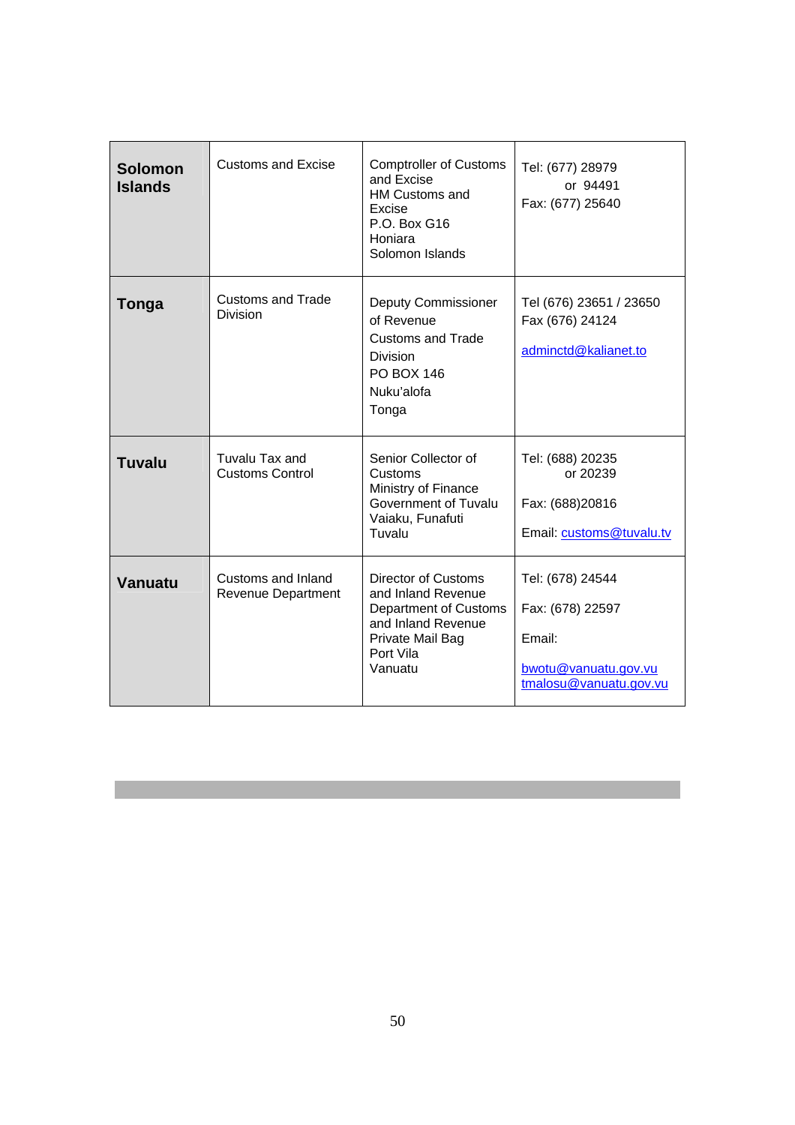| <b>Solomon</b><br><b>Islands</b> | <b>Customs and Excise</b>                | <b>Comptroller of Customs</b><br>and Excise<br><b>HM Customs and</b><br>Excise<br>P.O. Box G16<br>Honiara<br>Solomon Islands         | Tel: (677) 28979<br>or 94491<br>Fax: (677) 25640                                                 |
|----------------------------------|------------------------------------------|--------------------------------------------------------------------------------------------------------------------------------------|--------------------------------------------------------------------------------------------------|
| Tonga                            | <b>Customs and Trade</b><br>Division     | <b>Deputy Commissioner</b><br>of Revenue<br><b>Customs and Trade</b><br><b>Division</b><br><b>PO BOX 146</b><br>Nuku'alofa<br>Tonga  | Tel (676) 23651 / 23650<br>Fax (676) 24124<br>adminctd@kalianet.to                               |
| Tuvalu                           | Tuvalu Tax and<br><b>Customs Control</b> | Senior Collector of<br>Customs<br>Ministry of Finance<br>Government of Tuvalu<br>Vaiaku, Funafuti<br>Tuvalu                          | Tel: (688) 20235<br>or 20239<br>Fax: (688)20816<br>Email: customs@tuvalu.tv                      |
| Vanuatu                          | Customs and Inland<br>Revenue Department | Director of Customs<br>and Inland Revenue<br>Department of Customs<br>and Inland Revenue<br>Private Mail Bag<br>Port Vila<br>Vanuatu | Tel: (678) 24544<br>Fax: (678) 22597<br>Email:<br>bwotu@vanuatu.gov.vu<br>tmalosu@vanuatu.gov.vu |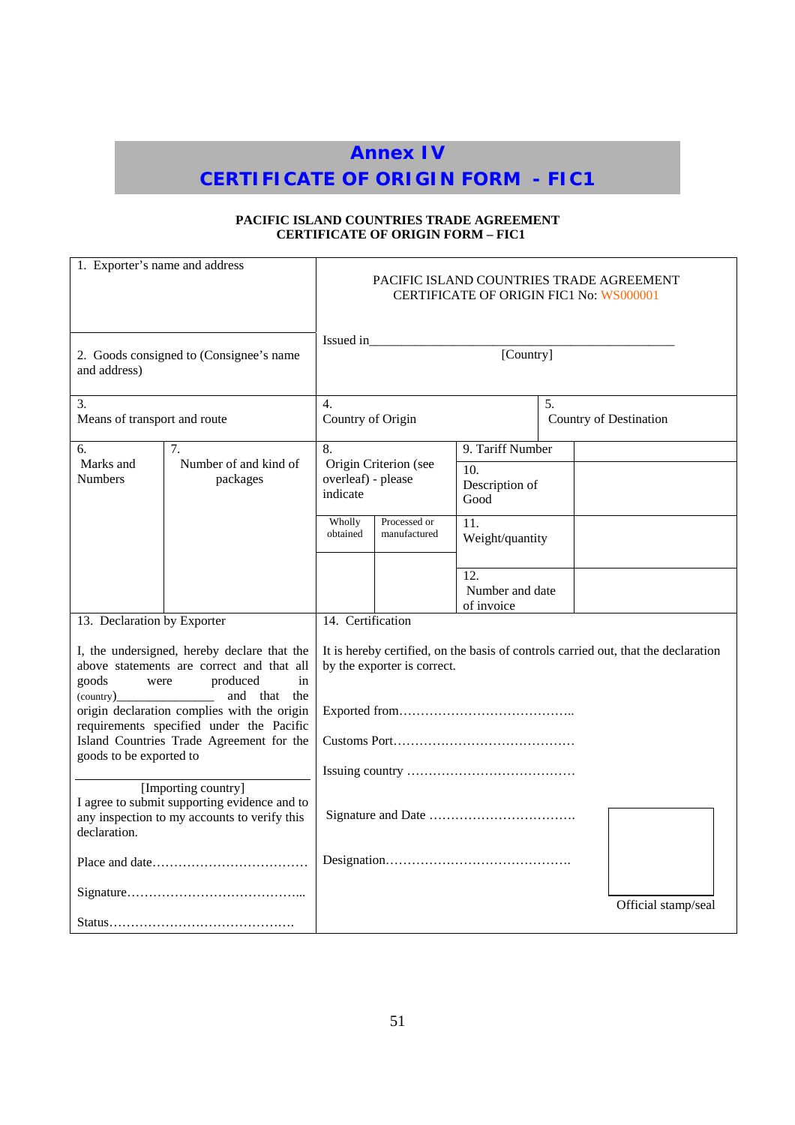# **Annex IV**

# **CERTIFICATE OF ORIGIN FORM - FIC1**

## **PACIFIC ISLAND COUNTRIES TRADE AGREEMENT CERTIFICATE OF ORIGIN FORM – FIC1**

| 1. Exporter's name and address                                                                                                                                                                                                                                                                                   |                                   |                                |                                                   | PACIFIC ISLAND COUNTRIES TRADE AGREEMENT<br>CERTIFICATE OF ORIGIN FIC1 No: WS000001 |  |                                                                                    |
|------------------------------------------------------------------------------------------------------------------------------------------------------------------------------------------------------------------------------------------------------------------------------------------------------------------|-----------------------------------|--------------------------------|---------------------------------------------------|-------------------------------------------------------------------------------------|--|------------------------------------------------------------------------------------|
| 2. Goods consigned to (Consignee's name<br>and address)                                                                                                                                                                                                                                                          |                                   | Issued in                      |                                                   | [Country]                                                                           |  |                                                                                    |
| 3.<br>Means of transport and route                                                                                                                                                                                                                                                                               |                                   | $\overline{4}$ .               | 5.<br>Country of Origin<br>Country of Destination |                                                                                     |  |                                                                                    |
| 6.                                                                                                                                                                                                                                                                                                               | 7.                                | 8.                             |                                                   | 9. Tariff Number                                                                    |  |                                                                                    |
| Marks and<br><b>Numbers</b>                                                                                                                                                                                                                                                                                      | Number of and kind of<br>packages | overleaf) - please<br>indicate | Origin Criterion (see                             | 10.<br>Description of<br>Good                                                       |  |                                                                                    |
|                                                                                                                                                                                                                                                                                                                  |                                   | Wholly<br>obtained             | Processed or<br>manufactured                      | 11.<br>Weight/quantity                                                              |  |                                                                                    |
|                                                                                                                                                                                                                                                                                                                  |                                   |                                |                                                   | 12.<br>Number and date<br>of invoice                                                |  |                                                                                    |
| 13. Declaration by Exporter                                                                                                                                                                                                                                                                                      |                                   | 14. Certification              |                                                   |                                                                                     |  |                                                                                    |
| I, the undersigned, hereby declare that the<br>above statements are correct and that all<br>produced<br>in<br>goods<br>were<br>and that<br>the<br>origin declaration complies with the origin<br>requirements specified under the Pacific<br>Island Countries Trade Agreement for the<br>goods to be exported to |                                   |                                | by the exporter is correct.                       |                                                                                     |  | It is hereby certified, on the basis of controls carried out, that the declaration |
| [Importing country]<br>I agree to submit supporting evidence and to<br>any inspection to my accounts to verify this<br>declaration.                                                                                                                                                                              |                                   |                                |                                                   |                                                                                     |  |                                                                                    |
|                                                                                                                                                                                                                                                                                                                  |                                   |                                |                                                   |                                                                                     |  |                                                                                    |
|                                                                                                                                                                                                                                                                                                                  |                                   |                                |                                                   |                                                                                     |  | Official stamp/seal                                                                |
|                                                                                                                                                                                                                                                                                                                  |                                   |                                |                                                   |                                                                                     |  |                                                                                    |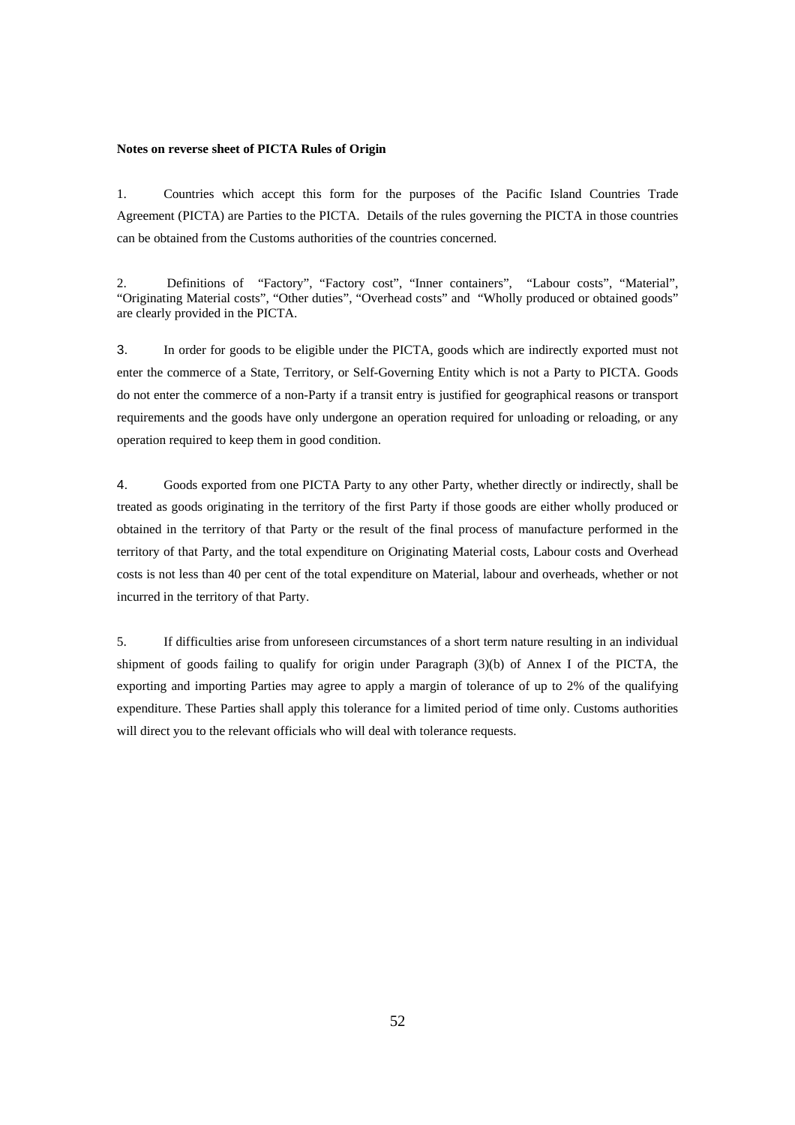#### **Notes on reverse sheet of PICTA Rules of Origin**

1. Countries which accept this form for the purposes of the Pacific Island Countries Trade Agreement (PICTA) are Parties to the PICTA. Details of the rules governing the PICTA in those countries can be obtained from the Customs authorities of the countries concerned.

2. Definitions of "Factory", "Factory cost", "Inner containers", "Labour costs", "Material", "Originating Material costs", "Other duties", "Overhead costs" and "Wholly produced or obtained goods" are clearly provided in the PICTA.

3. In order for goods to be eligible under the PICTA, goods which are indirectly exported must not enter the commerce of a State, Territory, or Self-Governing Entity which is not a Party to PICTA. Goods do not enter the commerce of a non-Party if a transit entry is justified for geographical reasons or transport requirements and the goods have only undergone an operation required for unloading or reloading, or any operation required to keep them in good condition.

4. Goods exported from one PICTA Party to any other Party, whether directly or indirectly, shall be treated as goods originating in the territory of the first Party if those goods are either wholly produced or obtained in the territory of that Party or the result of the final process of manufacture performed in the territory of that Party, and the total expenditure on Originating Material costs, Labour costs and Overhead costs is not less than 40 per cent of the total expenditure on Material, labour and overheads, whether or not incurred in the territory of that Party.

5. If difficulties arise from unforeseen circumstances of a short term nature resulting in an individual shipment of goods failing to qualify for origin under Paragraph (3)(b) of Annex I of the PICTA, the exporting and importing Parties may agree to apply a margin of tolerance of up to 2% of the qualifying expenditure. These Parties shall apply this tolerance for a limited period of time only. Customs authorities will direct you to the relevant officials who will deal with tolerance requests.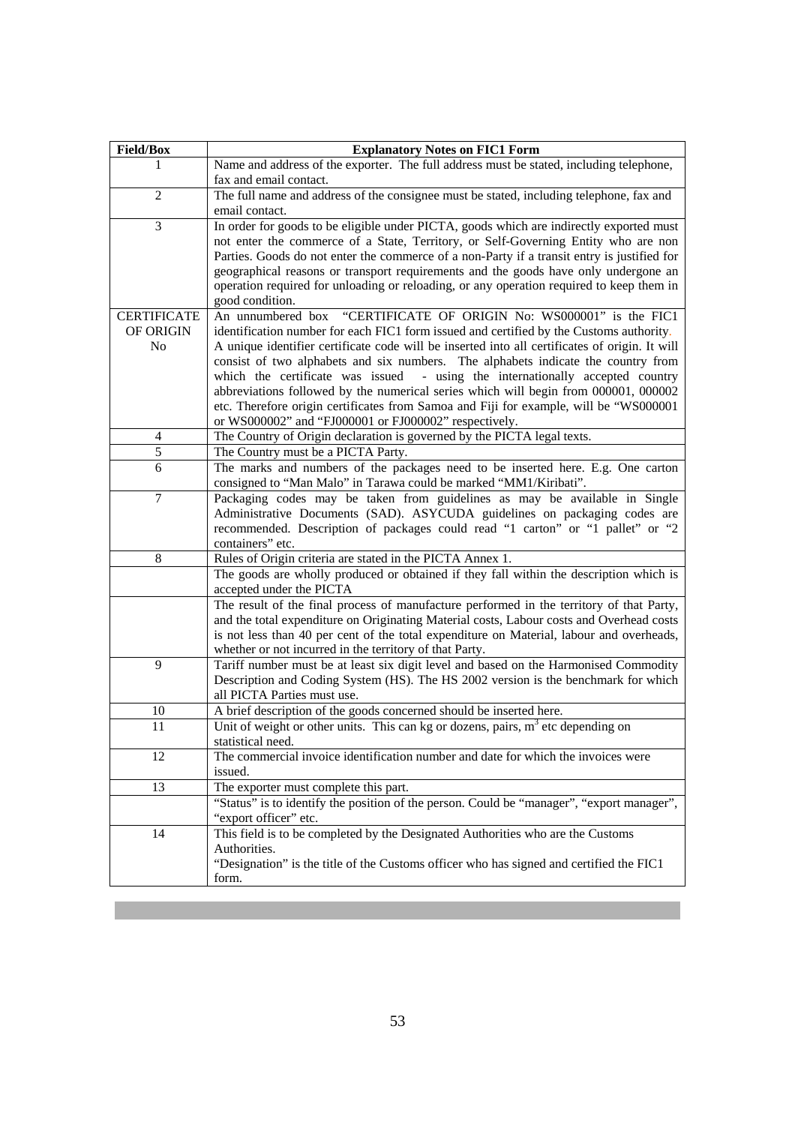| <b>Field/Box</b>   | <b>Explanatory Notes on FIC1 Form</b>                                                                                                                                           |
|--------------------|---------------------------------------------------------------------------------------------------------------------------------------------------------------------------------|
| 1                  | Name and address of the exporter. The full address must be stated, including telephone,                                                                                         |
|                    | fax and email contact.                                                                                                                                                          |
| $\overline{c}$     | The full name and address of the consignee must be stated, including telephone, fax and                                                                                         |
|                    | email contact.                                                                                                                                                                  |
| 3                  | In order for goods to be eligible under PICTA, goods which are indirectly exported must                                                                                         |
|                    | not enter the commerce of a State, Territory, or Self-Governing Entity who are non                                                                                              |
|                    | Parties. Goods do not enter the commerce of a non-Party if a transit entry is justified for                                                                                     |
|                    | geographical reasons or transport requirements and the goods have only undergone an<br>operation required for unloading or reloading, or any operation required to keep them in |
|                    | good condition.                                                                                                                                                                 |
| <b>CERTIFICATE</b> | "CERTIFICATE OF ORIGIN No: WS000001" is the FIC1<br>An unnumbered box                                                                                                           |
| OF ORIGIN          | identification number for each FIC1 form issued and certified by the Customs authority.                                                                                         |
| No                 | A unique identifier certificate code will be inserted into all certificates of origin. It will                                                                                  |
|                    | consist of two alphabets and six numbers. The alphabets indicate the country from                                                                                               |
|                    | which the certificate was issued - using the internationally accepted country                                                                                                   |
|                    | abbreviations followed by the numerical series which will begin from 000001, 000002                                                                                             |
|                    | etc. Therefore origin certificates from Samoa and Fiji for example, will be "WS000001                                                                                           |
|                    | or WS000002" and "FJ000001 or FJ000002" respectively.                                                                                                                           |
| $\overline{4}$     | The Country of Origin declaration is governed by the PICTA legal texts.                                                                                                         |
| 5                  | The Country must be a PICTA Party.                                                                                                                                              |
| 6                  | The marks and numbers of the packages need to be inserted here. E.g. One carton<br>consigned to "Man Malo" in Tarawa could be marked "MM1/Kiribati".                            |
| $\tau$             | Packaging codes may be taken from guidelines as may be available in Single                                                                                                      |
|                    | Administrative Documents (SAD). ASYCUDA guidelines on packaging codes are                                                                                                       |
|                    | recommended. Description of packages could read "1 carton" or "1 pallet" or "2                                                                                                  |
|                    | containers" etc.                                                                                                                                                                |
| 8                  | Rules of Origin criteria are stated in the PICTA Annex 1.                                                                                                                       |
|                    | The goods are wholly produced or obtained if they fall within the description which is                                                                                          |
|                    | accepted under the PICTA                                                                                                                                                        |
|                    | The result of the final process of manufacture performed in the territory of that Party,                                                                                        |
|                    | and the total expenditure on Originating Material costs, Labour costs and Overhead costs                                                                                        |
|                    | is not less than 40 per cent of the total expenditure on Material, labour and overheads,                                                                                        |
| 9                  | whether or not incurred in the territory of that Party.                                                                                                                         |
|                    | Tariff number must be at least six digit level and based on the Harmonised Commodity<br>Description and Coding System (HS). The HS 2002 version is the benchmark for which      |
|                    | all PICTA Parties must use.                                                                                                                                                     |
| 10                 | A brief description of the goods concerned should be inserted here.                                                                                                             |
| 11                 | Unit of weight or other units. This can kg or dozens, pairs, $m3$ etc depending on                                                                                              |
|                    | statistical need.                                                                                                                                                               |
| 12                 | The commercial invoice identification number and date for which the invoices were                                                                                               |
|                    | issued.                                                                                                                                                                         |
| 13                 | The exporter must complete this part.                                                                                                                                           |
|                    | "Status" is to identify the position of the person. Could be "manager", "export manager",                                                                                       |
|                    | "export officer" etc.                                                                                                                                                           |
| 14                 | This field is to be completed by the Designated Authorities who are the Customs                                                                                                 |
|                    | Authorities.                                                                                                                                                                    |
|                    | "Designation" is the title of the Customs officer who has signed and certified the FIC1                                                                                         |
|                    | form.                                                                                                                                                                           |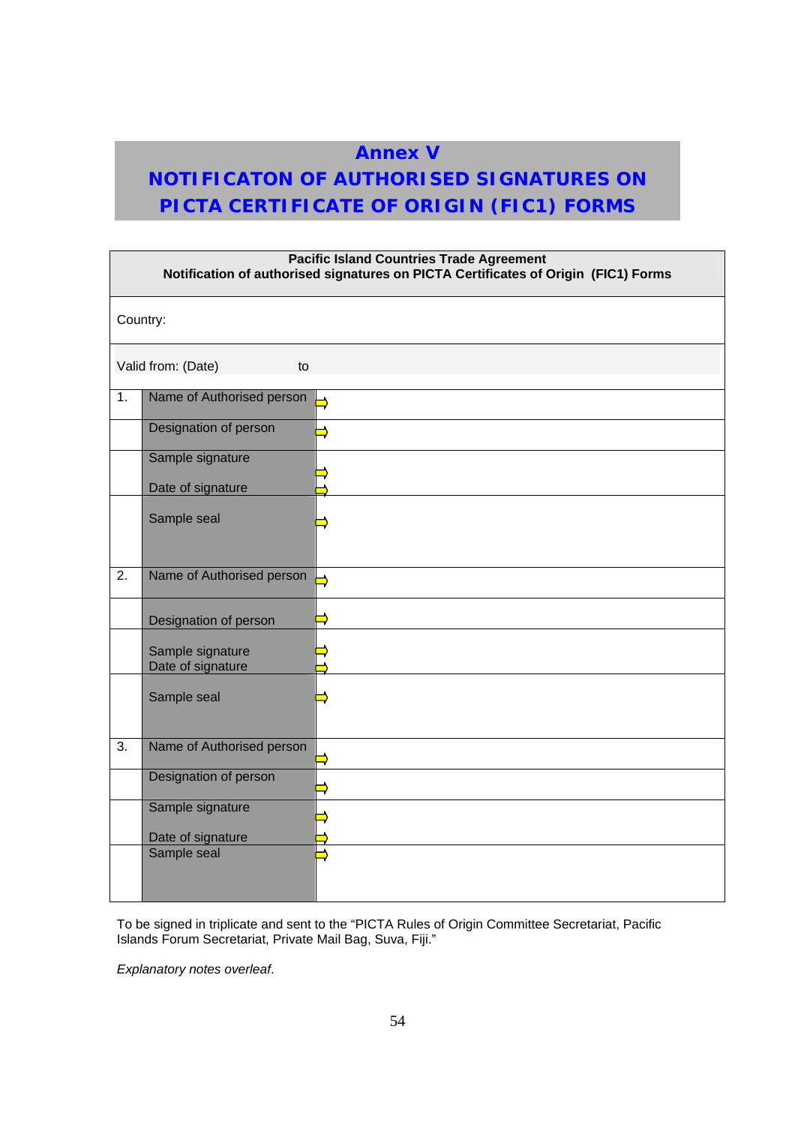# **Annex V**

# **NOTIFICATON OF AUTHORISED SIGNATURES ON PICTA CERTIFICATE OF ORIGIN (FIC1) FORMS**

| <b>Pacific Island Countries Trade Agreement</b><br>Notification of authorised signatures on PICTA Certificates of Origin (FIC1) Forms |                                       |               |
|---------------------------------------------------------------------------------------------------------------------------------------|---------------------------------------|---------------|
| Country:                                                                                                                              |                                       |               |
|                                                                                                                                       | Valid from: (Date)<br>to              |               |
| 1.                                                                                                                                    | Name of Authorised person             |               |
|                                                                                                                                       | Designation of person                 |               |
|                                                                                                                                       | Sample signature                      |               |
|                                                                                                                                       | Date of signature                     |               |
|                                                                                                                                       | Sample seal                           |               |
| $\overline{2}$ .                                                                                                                      | Name of Authorised person             | $\rightarrow$ |
|                                                                                                                                       | Designation of person                 |               |
|                                                                                                                                       | Sample signature<br>Date of signature |               |
|                                                                                                                                       | Sample seal                           |               |
| 3.                                                                                                                                    | Name of Authorised person             |               |
|                                                                                                                                       | Designation of person                 |               |
|                                                                                                                                       | Sample signature                      |               |
|                                                                                                                                       | Date of signature                     |               |
|                                                                                                                                       | Sample seal                           |               |

To be signed in triplicate and sent to the "PICTA Rules of Origin Committee Secretariat, Pacific Islands Forum Secretariat, Private Mail Bag, Suva, Fiji."

*Explanatory notes overleaf*.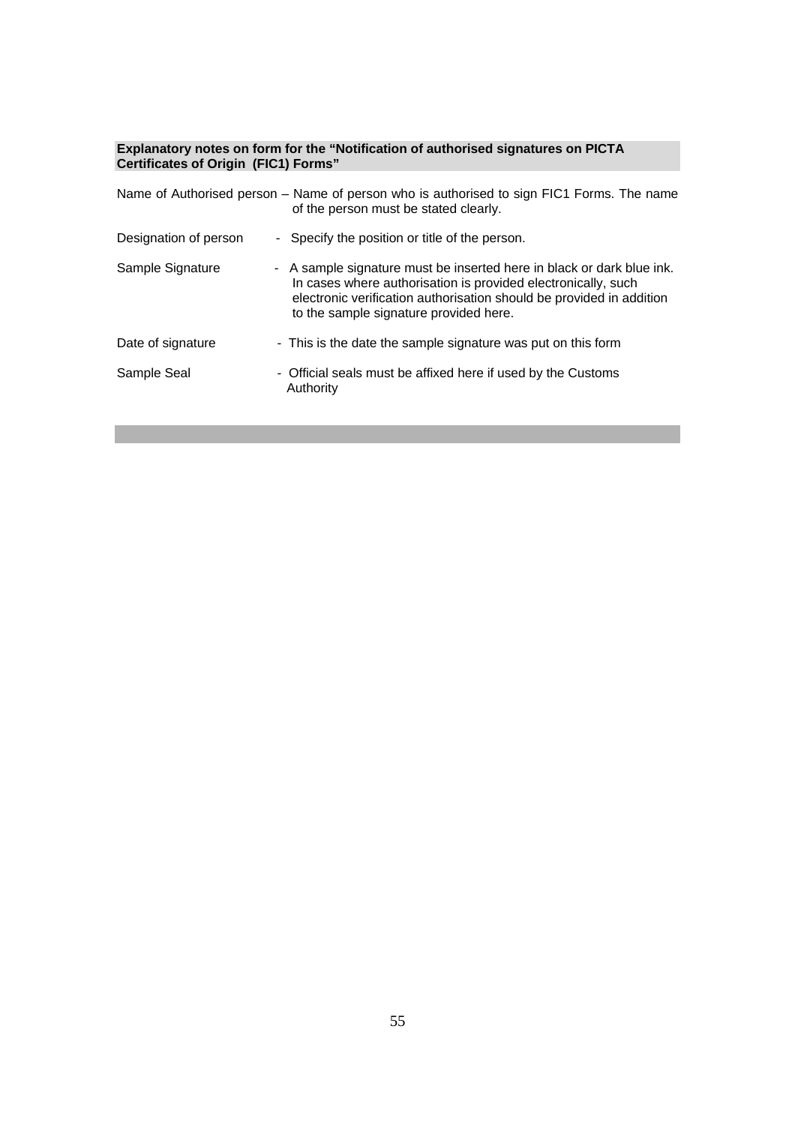#### **Explanatory notes on form for the "Notification of authorised signatures on PICTA Certificates of Origin (FIC1) Forms"**

|                       | Name of Authorised person – Name of person who is authorised to sign FIC1 Forms. The name<br>of the person must be stated clearly.                                                                                                                       |
|-----------------------|----------------------------------------------------------------------------------------------------------------------------------------------------------------------------------------------------------------------------------------------------------|
| Designation of person | - Specify the position or title of the person.                                                                                                                                                                                                           |
| Sample Signature      | - A sample signature must be inserted here in black or dark blue ink.<br>In cases where authorisation is provided electronically, such<br>electronic verification authorisation should be provided in addition<br>to the sample signature provided here. |
| Date of signature     | - This is the date the sample signature was put on this form                                                                                                                                                                                             |
| Sample Seal           | - Official seals must be affixed here if used by the Customs<br>Authority                                                                                                                                                                                |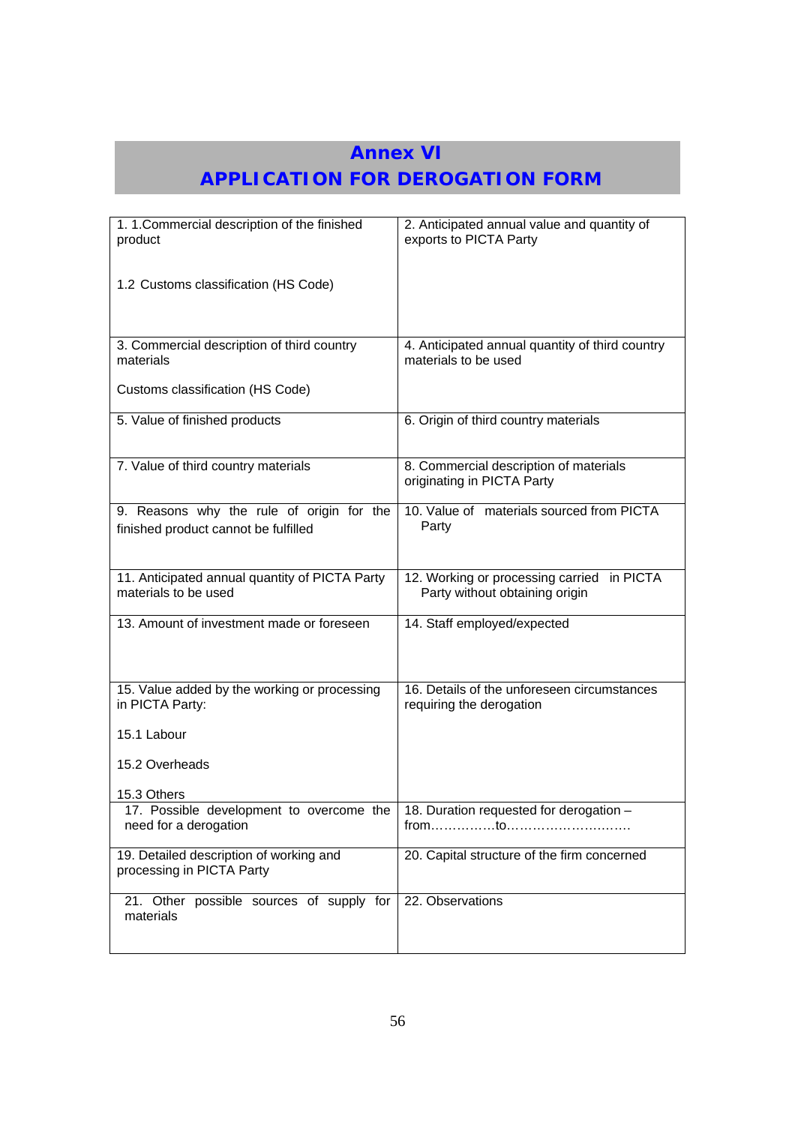# **Annex VI**

# **APPLICATION FOR DEROGATION FORM**

| 1. 1. Commercial description of the finished<br>product                           | 2. Anticipated annual value and quantity of<br>exports to PICTA Party                                                        |
|-----------------------------------------------------------------------------------|------------------------------------------------------------------------------------------------------------------------------|
| 1.2 Customs classification (HS Code)                                              |                                                                                                                              |
| 3. Commercial description of third country<br>materials                           | 4. Anticipated annual quantity of third country<br>materials to be used                                                      |
| Customs classification (HS Code)                                                  |                                                                                                                              |
| 5. Value of finished products                                                     | 6. Origin of third country materials                                                                                         |
| 7. Value of third country materials                                               | 8. Commercial description of materials<br>originating in PICTA Party                                                         |
| 9. Reasons why the rule of origin for the<br>finished product cannot be fulfilled | 10. Value of materials sourced from PICTA<br>Party                                                                           |
| 11. Anticipated annual quantity of PICTA Party<br>materials to be used            | 12. Working or processing carried in PICTA<br>Party without obtaining origin                                                 |
| 13. Amount of investment made or foreseen                                         | 14. Staff employed/expected                                                                                                  |
| 15. Value added by the working or processing<br>in PICTA Party:                   | 16. Details of the unforeseen circumstances<br>requiring the derogation                                                      |
| 15.1 Labour                                                                       |                                                                                                                              |
| 15.2 Overheads                                                                    |                                                                                                                              |
| 15.3 Others<br>17. Possible development to overcome the<br>need for a derogation  | 18. Duration requested for derogation -<br>$from \dots \dots \dots \dots to \dots \dots \dots \dots \dots \dots \dots \dots$ |
| 19. Detailed description of working and<br>processing in PICTA Party              | 20. Capital structure of the firm concerned                                                                                  |
| 21. Other possible sources of supply for<br>materials                             | 22. Observations                                                                                                             |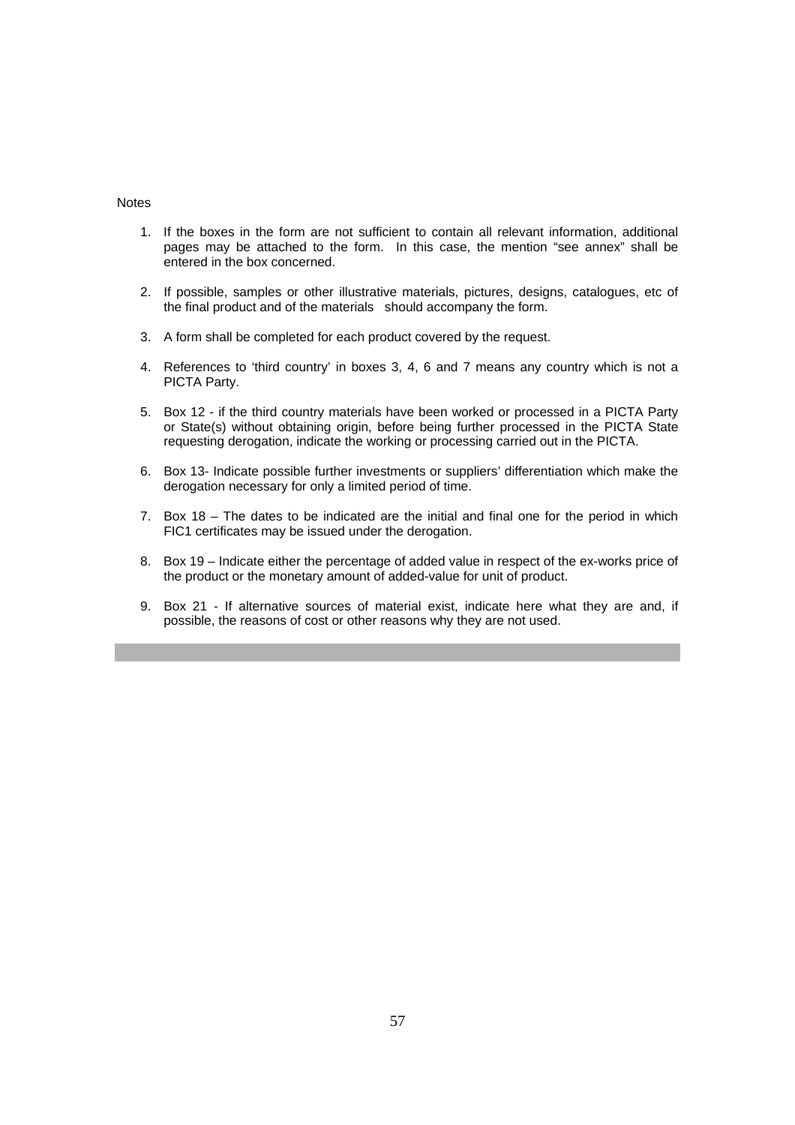#### Notes

- 1. If the boxes in the form are not sufficient to contain all relevant information, additional pages may be attached to the form. In this case, the mention "see annex" shall be entered in the box concerned.
- 2. If possible, samples or other illustrative materials, pictures, designs, catalogues, etc of the final product and of the materials should accompany the form.
- 3. A form shall be completed for each product covered by the request.
- 4. References to 'third country' in boxes 3, 4, 6 and 7 means any country which is not a PICTA Party.
- 5. Box 12 if the third country materials have been worked or processed in a PICTA Party or State(s) without obtaining origin, before being further processed in the PICTA State requesting derogation, indicate the working or processing carried out in the PICTA.
- 6. Box 13- Indicate possible further investments or suppliers' differentiation which make the derogation necessary for only a limited period of time.
- 7. Box 18 The dates to be indicated are the initial and final one for the period in which FIC1 certificates may be issued under the derogation.
- 8. Box 19 Indicate either the percentage of added value in respect of the ex-works price of the product or the monetary amount of added-value for unit of product.
- 9. Box 21 If alternative sources of material exist, indicate here what they are and, if possible, the reasons of cost or other reasons why they are not used.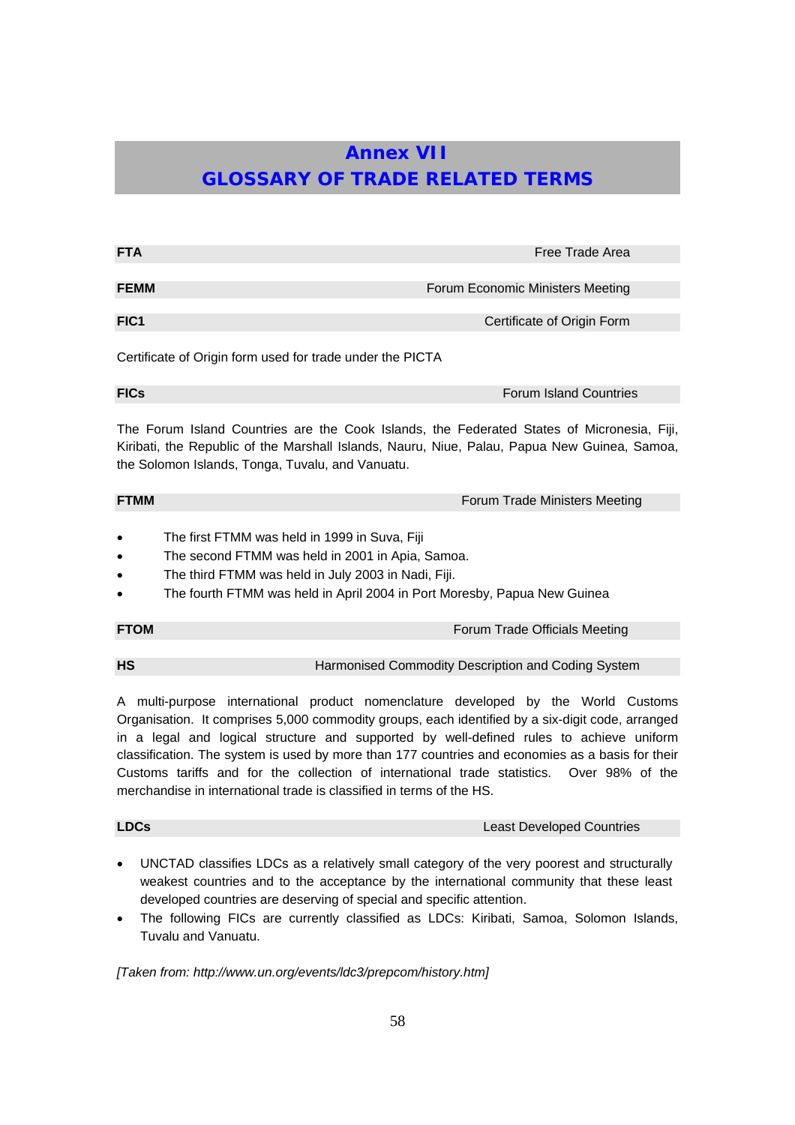# **Annex VII GLOSSARY OF TRADE RELATED TERMS**

| <b>FTA</b>                                                                                                                                                                                                                                     | Free Trade Area                  |  |
|------------------------------------------------------------------------------------------------------------------------------------------------------------------------------------------------------------------------------------------------|----------------------------------|--|
| <b>FEMM</b>                                                                                                                                                                                                                                    |                                  |  |
|                                                                                                                                                                                                                                                | Forum Economic Ministers Meeting |  |
| FIC <sub>1</sub>                                                                                                                                                                                                                               | Certificate of Origin Form       |  |
| Certificate of Origin form used for trade under the PICTA                                                                                                                                                                                      |                                  |  |
| <b>FICs</b>                                                                                                                                                                                                                                    | <b>Forum Island Countries</b>    |  |
| The Forum Island Countries are the Cook Islands, the Federated States of Micronesia, Fiji,<br>Kiribati, the Republic of the Marshall Islands, Nauru, Niue, Palau, Papua New Guinea, Samoa,<br>the Solomon Islands, Tonga, Tuvalu, and Vanuatu. |                                  |  |

**FTMM FTMM FORUM TRADE STATE FORUM FORUM TRADE MINISTERS** Meeting

- The first FTMM was held in 1999 in Suva, Fiji
- The second FTMM was held in 2001 in Apia, Samoa.
- The third FTMM was held in July 2003 in Nadi, Fiji.
- The fourth FTMM was held in April 2004 in Port Moresby, Papua New Guinea

**FTOM FTOM FORUM FORUM FORUM FORUM FORUM FORUM FORUM FORUM FORUM FORUM FORUM** *FORUM EXCLUDING <b>FORUM* 

**HS** Harmonised Commodity Description and Coding System

A multi-purpose international product nomenclature developed by the World Customs Organisation. It comprises 5,000 commodity groups, each identified by a six-digit code, arranged in a legal and logical structure and supported by well-defined rules to achieve uniform classification. The system is used by more than 177 countries and economies as a basis for their Customs tariffs and for the collection of international trade statistics. Over 98% of the merchandise in international trade is classified in terms of the HS.

**LDCs Least Developed Countries** 

- UNCTAD classifies LDCs as a relatively small category of the very poorest and structurally weakest countries and to the acceptance by the international community that these least developed countries are deserving of special and specific attention.
- The following FICs are currently classified as LDCs: Kiribati, Samoa, Solomon Islands, Tuvalu and Vanuatu.

*[Taken from: http://www.un.org/events/ldc3/prepcom/history.htm]*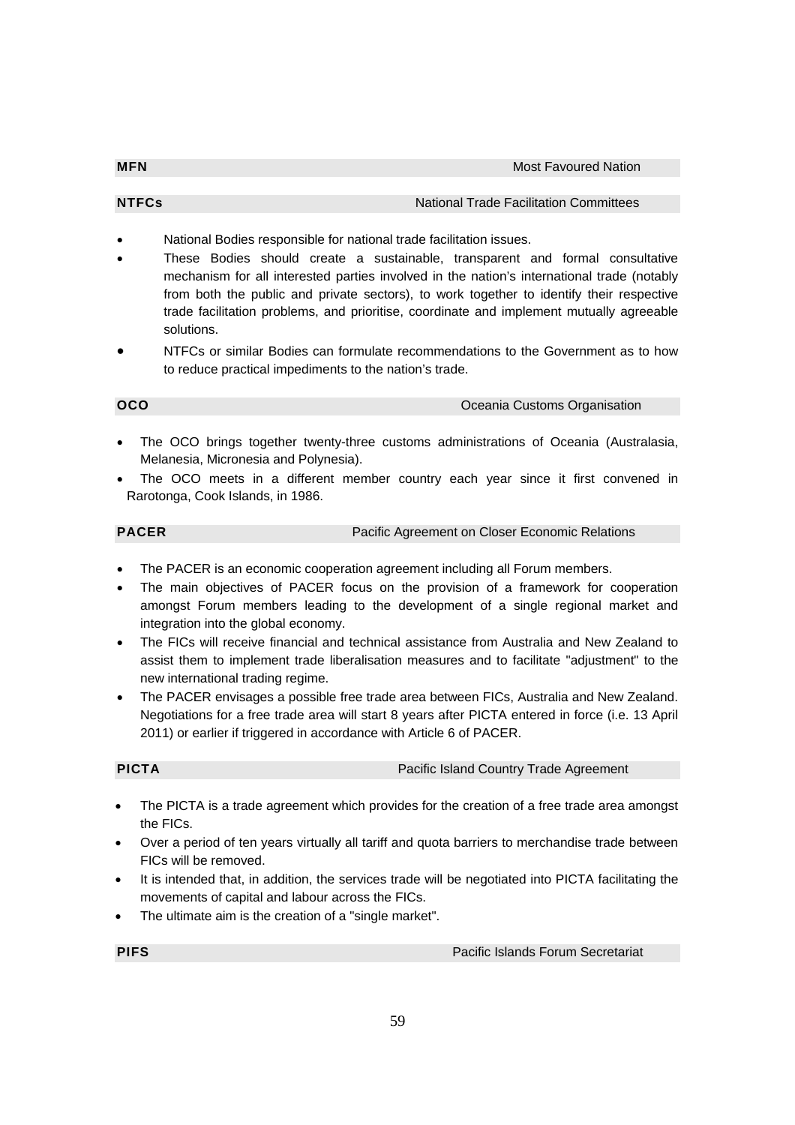- National Bodies responsible for national trade facilitation issues.
- These Bodies should create a sustainable, transparent and formal consultative mechanism for all interested parties involved in the nation's international trade (notably from both the public and private sectors), to work together to identify their respective trade facilitation problems, and prioritise, coordinate and implement mutually agreeable solutions.
- NTFCs or similar Bodies can formulate recommendations to the Government as to how to reduce practical impediments to the nation's trade.

### **OCO OCO OCO OCO OCO OCO OCO OCO OCO OCO OCO OCO OCO OCO OCO OCO OCO OCO OCO OCO OCO OCO OCO OCO OCO OCO OCO OCO OCO OCO OCO OCO OCO OCO OCO OCO OCO**

- The OCO brings together twenty-three customs administrations of Oceania (Australasia, Melanesia, Micronesia and Polynesia).
- The OCO meets in a different member country each year since it first convened in Rarotonga, Cook Islands, in 1986.

**PACER** Pacific Agreement on Closer Economic Relations

- The PACER is an economic cooperation agreement including all Forum members.
- The main objectives of PACER focus on the provision of a framework for cooperation amongst Forum members leading to the development of a single regional market and integration into the global economy.
- The FICs will receive financial and technical assistance from Australia and New Zealand to assist them to implement trade liberalisation measures and to facilitate "adjustment" to the new international trading regime.
- The PACER envisages a possible free trade area between FICs, Australia and New Zealand. Negotiations for a free trade area will start 8 years after PICTA entered in force (i.e. 13 April 2011) or earlier if triggered in accordance with Article 6 of PACER.

**PICTA** PICTA **PICTA PICTA PICTA PICTA PICTA PICTA PICTA PICTA PICTA PICTA PICTA PICTA PICTA PICTA PICTA PICTA PICTA PICTA PICTA PICTA PICTA PICTA PICTA PICTA PICTA PICTA**

- The PICTA is a trade agreement which provides for the creation of a free trade area amongst the FICs.
- Over a period of ten years virtually all tariff and quota barriers to merchandise trade between FICs will be removed.
- It is intended that, in addition, the services trade will be negotiated into PICTA facilitating the movements of capital and labour across the FICs.
- The ultimate aim is the creation of a "single market".

**PIFS PIFS PIFS PIFS PIFS PIFS PIPS PIPS PIPS PIPS PIPS PIPS PIPS PIPS PIPS PIPS PIPS**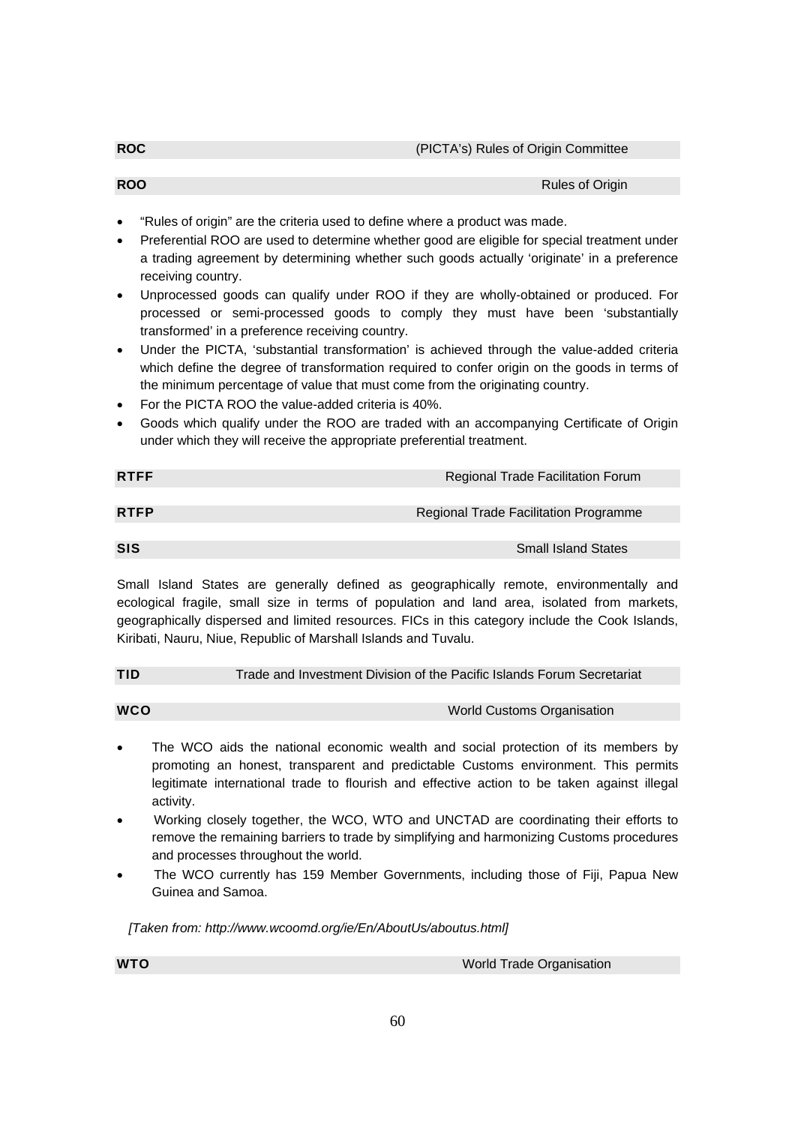**ROO RULES OF ORIGINAL CONSUMING THE CONSUMING OF ORIGINAL CONSUMING THE CONSUMING OF ORIGINAL CONSUMING THE CONSUMING OF ORIGINAL CONSUMING THE CONSUMING OF ORIGINAL CONSUMING THE CONSUMING OF ORIGINAL CONSUMING THE CON** 

- "Rules of origin" are the criteria used to define where a product was made.
- Preferential ROO are used to determine whether good are eligible for special treatment under a trading agreement by determining whether such goods actually 'originate' in a preference receiving country.
- Unprocessed goods can qualify under ROO if they are wholly-obtained or produced. For processed or semi-processed goods to comply they must have been 'substantially transformed' in a preference receiving country.
- Under the PICTA, 'substantial transformation' is achieved through the value-added criteria which define the degree of transformation required to confer origin on the goods in terms of the minimum percentage of value that must come from the originating country.
- For the PICTA ROO the value-added criteria is 40%.
- Goods which qualify under the ROO are traded with an accompanying Certificate of Origin under which they will receive the appropriate preferential treatment.

| <b>RTFF</b> | Regional Trade Facilitation Forum     |
|-------------|---------------------------------------|
|             |                                       |
| <b>RTFP</b> | Regional Trade Facilitation Programme |
|             |                                       |
| <b>SIS</b>  | <b>Small Island States</b>            |

Small Island States are generally defined as geographically remote, environmentally and ecological fragile, small size in terms of population and land area, isolated from markets, geographically dispersed and limited resources. FICs in this category include the Cook Islands, Kiribati, Nauru, Niue, Republic of Marshall Islands and Tuvalu.

**TID** Trade and Investment Division of the Pacific Islands Forum Secretariat

| WCO | <b>World Customs Organisation</b> |
|-----|-----------------------------------|
|     |                                   |

- The WCO aids the national economic wealth and social protection of its members by promoting an honest, transparent and predictable Customs environment. This permits legitimate international trade to flourish and effective action to be taken against illegal activity.
- Working closely together, the WCO, WTO and UNCTAD are coordinating their efforts to remove the remaining barriers to trade by simplifying and harmonizing Customs procedures and processes throughout the world.
- The WCO currently has 159 Member Governments, including those of Fiji, Papua New Guinea and Samoa.

*[Taken from: http://www.wcoomd.org/ie/En/AboutUs/aboutus.html]*

**WTO WITO WITO WITO WITO WITO** *WITO WITO WITO MITO*